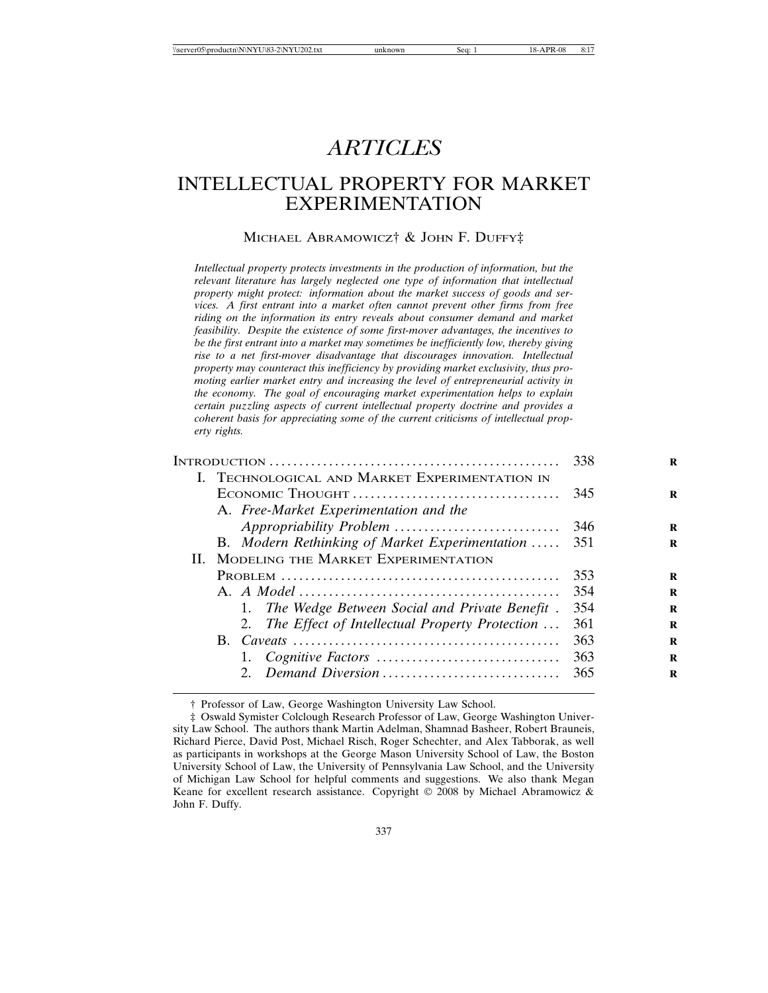# *ARTICLES*

# INTELLECTUAL PROPERTY FOR MARKET EXPERIMENTATION

## MICHAEL ABRAMOWICZ† & JOHN F. DUFFY‡

*Intellectual property protects investments in the production of information, but the relevant literature has largely neglected one type of information that intellectual property might protect: information about the market success of goods and services. A first entrant into a market often cannot prevent other firms from free riding on the information its entry reveals about consumer demand and market feasibility. Despite the existence of some first-mover advantages, the incentives to be the first entrant into a market may sometimes be inefficiently low, thereby giving rise to a net first-mover disadvantage that discourages innovation. Intellectual property may counteract this inefficiency by providing market exclusivity, thus promoting earlier market entry and increasing the level of entrepreneurial activity in the economy. The goal of encouraging market experimentation helps to explain certain puzzling aspects of current intellectual property doctrine and provides a coherent basis for appreciating some of the current criticisms of intellectual property rights.*

|                                                   | 338 | R |
|---------------------------------------------------|-----|---|
| I. TECHNOLOGICAL AND MARKET EXPERIMENTATION IN    |     |   |
|                                                   | 345 | R |
| A. Free-Market Experimentation and the            |     |   |
|                                                   | 346 | R |
| B. Modern Rethinking of Market Experimentation    | 351 | R |
| II. MODELING THE MARKET EXPERIMENTATION           |     |   |
|                                                   | 353 | R |
|                                                   | 354 | R |
| 1. The Wedge Between Social and Private Benefit.  | 354 | R |
| 2. The Effect of Intellectual Property Protection | 361 | R |
|                                                   | 363 | R |
|                                                   | 363 | R |
| Demand Diversion                                  | 365 | R |
|                                                   |     |   |

† Professor of Law, George Washington University Law School.

<sup>‡</sup> Oswald Symister Colclough Research Professor of Law, George Washington University Law School. The authors thank Martin Adelman, Shamnad Basheer, Robert Brauneis, Richard Pierce, David Post, Michael Risch, Roger Schechter, and Alex Tabborak, as well as participants in workshops at the George Mason University School of Law, the Boston University School of Law, the University of Pennsylvania Law School, and the University of Michigan Law School for helpful comments and suggestions. We also thank Megan Keane for excellent research assistance. Copyright © 2008 by Michael Abramowicz & John F. Duffy.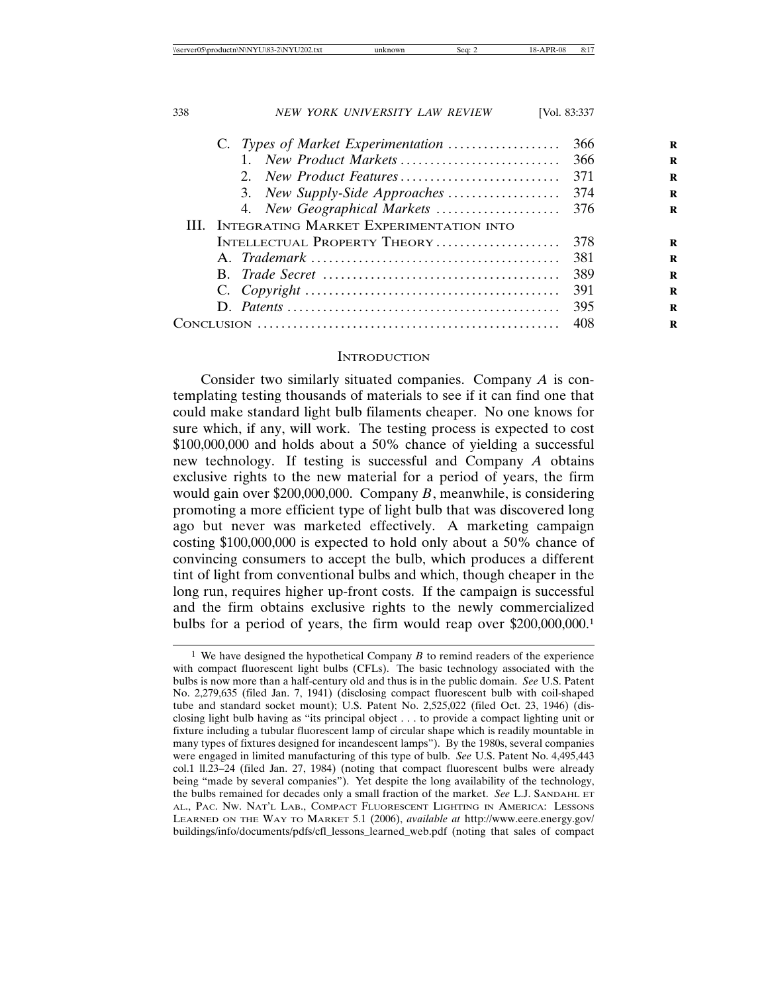| 338 | NEW YORK UNIVERSITY LAW REVIEW                      | [Vol. 83:337] |   |
|-----|-----------------------------------------------------|---------------|---|
|     | C. Types of Market Experimentation                  | 366           | R |
|     | New Product Markets                                 | 366           | R |
|     |                                                     | 371           | R |
|     | 3. New Supply-Side Approaches                       | 374           | R |
|     |                                                     |               | R |
|     | <b>III.</b> INTEGRATING MARKET EXPERIMENTATION INTO |               |   |
|     | INTELLECTUAL PROPERTY THEORY                        | 378           | R |
|     |                                                     | 381           | R |
|     |                                                     | 389           | R |
|     |                                                     | 391           | R |
|     |                                                     | 395           | R |
|     |                                                     | 408           | R |

## **INTRODUCTION**

Consider two similarly situated companies. Company *A* is contemplating testing thousands of materials to see if it can find one that could make standard light bulb filaments cheaper. No one knows for sure which, if any, will work. The testing process is expected to cost \$100,000,000 and holds about a 50% chance of yielding a successful new technology. If testing is successful and Company *A* obtains exclusive rights to the new material for a period of years, the firm would gain over \$200,000,000. Company *B*, meanwhile, is considering promoting a more efficient type of light bulb that was discovered long ago but never was marketed effectively. A marketing campaign costing \$100,000,000 is expected to hold only about a 50% chance of convincing consumers to accept the bulb, which produces a different tint of light from conventional bulbs and which, though cheaper in the long run, requires higher up-front costs. If the campaign is successful and the firm obtains exclusive rights to the newly commercialized bulbs for a period of years, the firm would reap over \$200,000,000.1

<sup>1</sup> We have designed the hypothetical Company *B* to remind readers of the experience with compact fluorescent light bulbs (CFLs). The basic technology associated with the bulbs is now more than a half-century old and thus is in the public domain. *See* U.S. Patent No. 2,279,635 (filed Jan. 7, 1941) (disclosing compact fluorescent bulb with coil-shaped tube and standard socket mount); U.S. Patent No. 2,525,022 (filed Oct. 23, 1946) (disclosing light bulb having as "its principal object . . . to provide a compact lighting unit or fixture including a tubular fluorescent lamp of circular shape which is readily mountable in many types of fixtures designed for incandescent lamps"). By the 1980s, several companies were engaged in limited manufacturing of this type of bulb. *See* U.S. Patent No. 4,495,443 col.1 ll.23–24 (filed Jan. 27, 1984) (noting that compact fluorescent bulbs were already being "made by several companies"). Yet despite the long availability of the technology, the bulbs remained for decades only a small fraction of the market. *See* L.J. SANDAHL ET AL., PAC. NW. NAT'L LAB., COMPACT FLUORESCENT LIGHTING IN AMERICA: LESSONS LEARNED ON THE WAY TO MARKET 5.1 (2006), *available at* http://www.eere.energy.gov/ buildings/info/documents/pdfs/cfl\_lessons\_learned\_web.pdf (noting that sales of compact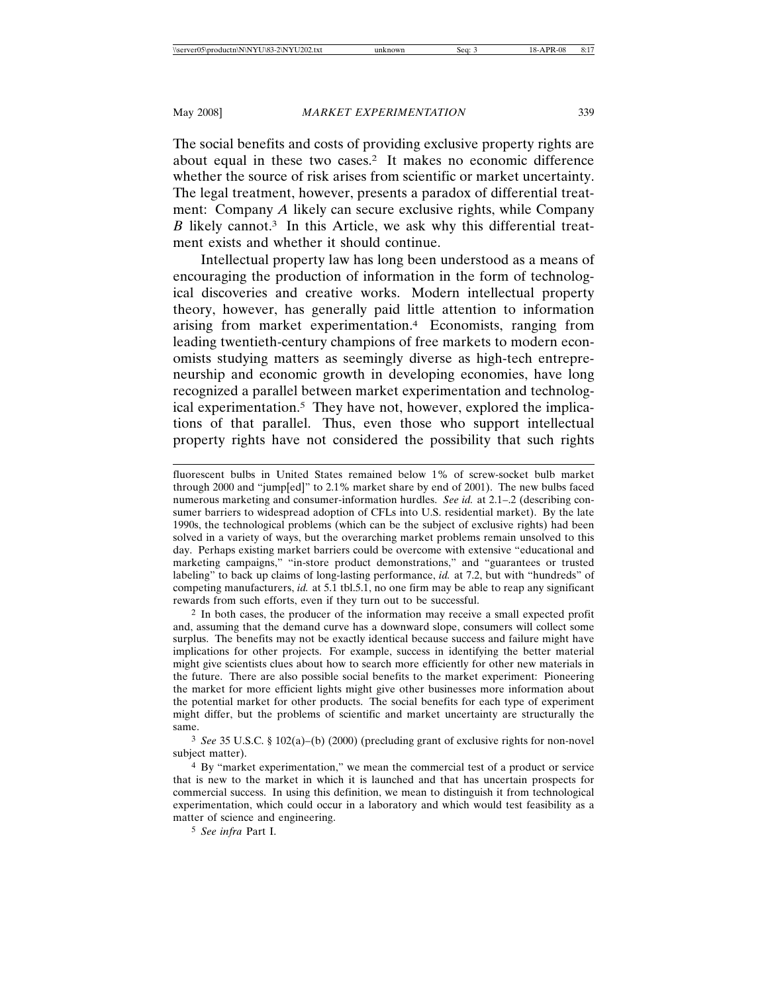The social benefits and costs of providing exclusive property rights are about equal in these two cases.2 It makes no economic difference whether the source of risk arises from scientific or market uncertainty. The legal treatment, however, presents a paradox of differential treatment: Company *A* likely can secure exclusive rights, while Company *B* likely cannot.<sup>3</sup> In this Article, we ask why this differential treatment exists and whether it should continue.

Intellectual property law has long been understood as a means of encouraging the production of information in the form of technological discoveries and creative works. Modern intellectual property theory, however, has generally paid little attention to information arising from market experimentation.4 Economists, ranging from leading twentieth-century champions of free markets to modern economists studying matters as seemingly diverse as high-tech entrepreneurship and economic growth in developing economies, have long recognized a parallel between market experimentation and technological experimentation.5 They have not, however, explored the implications of that parallel. Thus, even those who support intellectual property rights have not considered the possibility that such rights

2 In both cases, the producer of the information may receive a small expected profit and, assuming that the demand curve has a downward slope, consumers will collect some surplus. The benefits may not be exactly identical because success and failure might have implications for other projects. For example, success in identifying the better material might give scientists clues about how to search more efficiently for other new materials in the future. There are also possible social benefits to the market experiment: Pioneering the market for more efficient lights might give other businesses more information about the potential market for other products. The social benefits for each type of experiment might differ, but the problems of scientific and market uncertainty are structurally the same.

3 *See* 35 U.S.C. § 102(a)–(b) (2000) (precluding grant of exclusive rights for non-novel subject matter).

4 By "market experimentation," we mean the commercial test of a product or service that is new to the market in which it is launched and that has uncertain prospects for commercial success. In using this definition, we mean to distinguish it from technological experimentation, which could occur in a laboratory and which would test feasibility as a matter of science and engineering.

5 *See infra* Part I.

fluorescent bulbs in United States remained below 1% of screw-socket bulb market through 2000 and "jump[ed]" to 2.1% market share by end of 2001). The new bulbs faced numerous marketing and consumer-information hurdles. *See id.* at 2.1–.2 (describing consumer barriers to widespread adoption of CFLs into U.S. residential market). By the late 1990s, the technological problems (which can be the subject of exclusive rights) had been solved in a variety of ways, but the overarching market problems remain unsolved to this day. Perhaps existing market barriers could be overcome with extensive "educational and marketing campaigns," "in-store product demonstrations," and "guarantees or trusted labeling" to back up claims of long-lasting performance, *id.* at 7.2, but with "hundreds" of competing manufacturers, *id.* at 5.1 tbl.5.1, no one firm may be able to reap any significant rewards from such efforts, even if they turn out to be successful.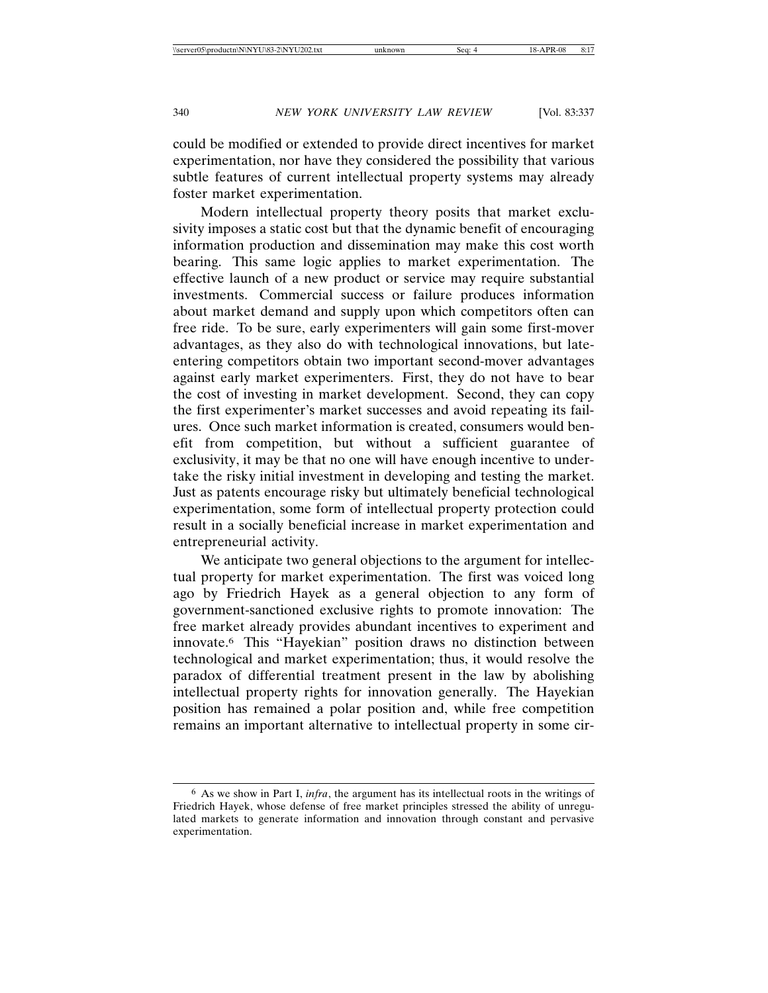could be modified or extended to provide direct incentives for market experimentation, nor have they considered the possibility that various subtle features of current intellectual property systems may already foster market experimentation.

Modern intellectual property theory posits that market exclusivity imposes a static cost but that the dynamic benefit of encouraging information production and dissemination may make this cost worth bearing. This same logic applies to market experimentation. The effective launch of a new product or service may require substantial investments. Commercial success or failure produces information about market demand and supply upon which competitors often can free ride. To be sure, early experimenters will gain some first-mover advantages, as they also do with technological innovations, but lateentering competitors obtain two important second-mover advantages against early market experimenters. First, they do not have to bear the cost of investing in market development. Second, they can copy the first experimenter's market successes and avoid repeating its failures. Once such market information is created, consumers would benefit from competition, but without a sufficient guarantee of exclusivity, it may be that no one will have enough incentive to undertake the risky initial investment in developing and testing the market. Just as patents encourage risky but ultimately beneficial technological experimentation, some form of intellectual property protection could result in a socially beneficial increase in market experimentation and entrepreneurial activity.

We anticipate two general objections to the argument for intellectual property for market experimentation. The first was voiced long ago by Friedrich Hayek as a general objection to any form of government-sanctioned exclusive rights to promote innovation: The free market already provides abundant incentives to experiment and innovate.6 This "Hayekian" position draws no distinction between technological and market experimentation; thus, it would resolve the paradox of differential treatment present in the law by abolishing intellectual property rights for innovation generally. The Hayekian position has remained a polar position and, while free competition remains an important alternative to intellectual property in some cir-

<sup>6</sup> As we show in Part I, *infra*, the argument has its intellectual roots in the writings of Friedrich Hayek, whose defense of free market principles stressed the ability of unregulated markets to generate information and innovation through constant and pervasive experimentation.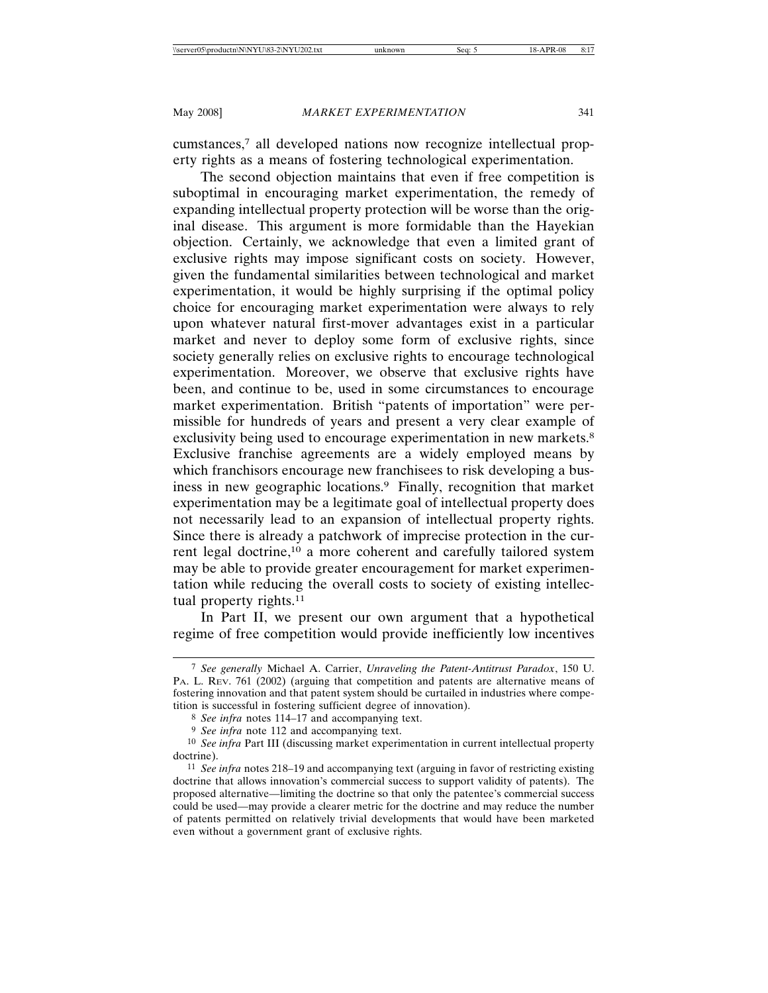cumstances,7 all developed nations now recognize intellectual property rights as a means of fostering technological experimentation.

The second objection maintains that even if free competition is suboptimal in encouraging market experimentation, the remedy of expanding intellectual property protection will be worse than the original disease. This argument is more formidable than the Hayekian objection. Certainly, we acknowledge that even a limited grant of exclusive rights may impose significant costs on society. However, given the fundamental similarities between technological and market experimentation, it would be highly surprising if the optimal policy choice for encouraging market experimentation were always to rely upon whatever natural first-mover advantages exist in a particular market and never to deploy some form of exclusive rights, since society generally relies on exclusive rights to encourage technological experimentation. Moreover, we observe that exclusive rights have been, and continue to be, used in some circumstances to encourage market experimentation. British "patents of importation" were permissible for hundreds of years and present a very clear example of exclusivity being used to encourage experimentation in new markets.<sup>8</sup> Exclusive franchise agreements are a widely employed means by which franchisors encourage new franchisees to risk developing a business in new geographic locations.9 Finally, recognition that market experimentation may be a legitimate goal of intellectual property does not necessarily lead to an expansion of intellectual property rights. Since there is already a patchwork of imprecise protection in the current legal doctrine,10 a more coherent and carefully tailored system may be able to provide greater encouragement for market experimentation while reducing the overall costs to society of existing intellectual property rights.<sup>11</sup>

In Part II, we present our own argument that a hypothetical regime of free competition would provide inefficiently low incentives

<sup>7</sup> *See generally* Michael A. Carrier, *Unraveling the Patent-Antitrust Paradox*, 150 U. PA. L. REV. 761 (2002) (arguing that competition and patents are alternative means of fostering innovation and that patent system should be curtailed in industries where competition is successful in fostering sufficient degree of innovation).

<sup>8</sup> *See infra* notes 114–17 and accompanying text.

<sup>&</sup>lt;sup>9</sup> See infra note 112 and accompanying text.

<sup>10</sup> *See infra* Part III (discussing market experimentation in current intellectual property doctrine).

<sup>11</sup> *See infra* notes 218–19 and accompanying text (arguing in favor of restricting existing doctrine that allows innovation's commercial success to support validity of patents). The proposed alternative—limiting the doctrine so that only the patentee's commercial success could be used—may provide a clearer metric for the doctrine and may reduce the number of patents permitted on relatively trivial developments that would have been marketed even without a government grant of exclusive rights.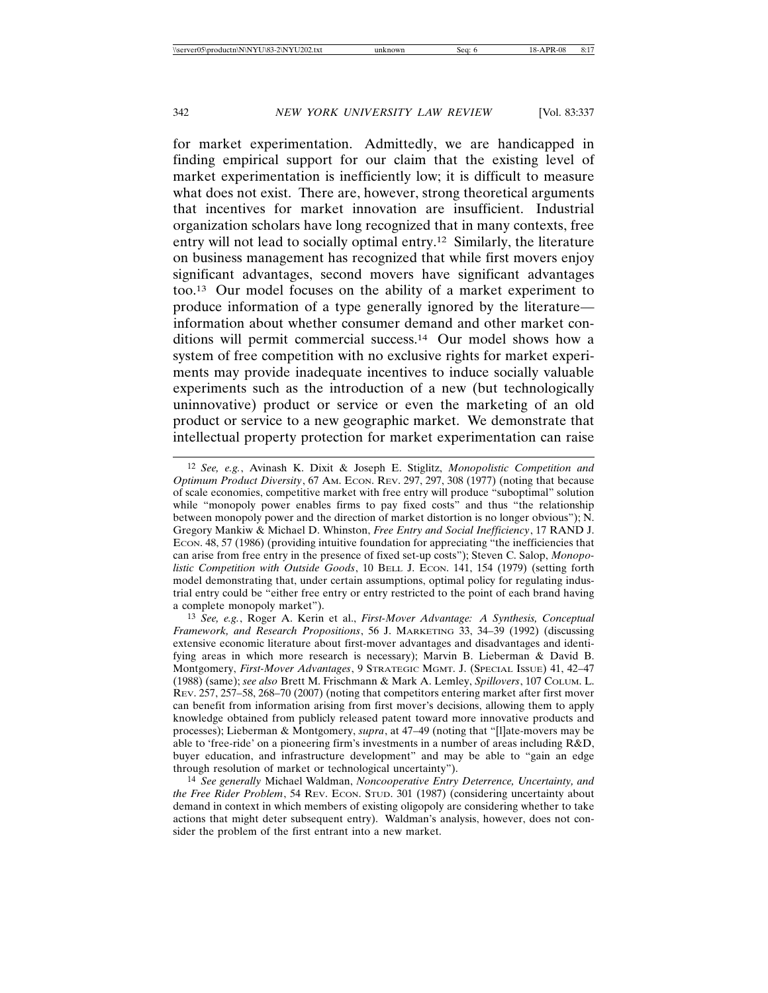for market experimentation. Admittedly, we are handicapped in finding empirical support for our claim that the existing level of market experimentation is inefficiently low; it is difficult to measure what does not exist. There are, however, strong theoretical arguments that incentives for market innovation are insufficient. Industrial organization scholars have long recognized that in many contexts, free entry will not lead to socially optimal entry.12 Similarly, the literature on business management has recognized that while first movers enjoy significant advantages, second movers have significant advantages too.13 Our model focuses on the ability of a market experiment to produce information of a type generally ignored by the literature information about whether consumer demand and other market conditions will permit commercial success.14 Our model shows how a system of free competition with no exclusive rights for market experiments may provide inadequate incentives to induce socially valuable experiments such as the introduction of a new (but technologically uninnovative) product or service or even the marketing of an old product or service to a new geographic market. We demonstrate that intellectual property protection for market experimentation can raise

<sup>12</sup> *See, e.g.*, Avinash K. Dixit & Joseph E. Stiglitz, *Monopolistic Competition and Optimum Product Diversity*, 67 AM. ECON. REV. 297, 297, 308 (1977) (noting that because of scale economies, competitive market with free entry will produce "suboptimal" solution while "monopoly power enables firms to pay fixed costs" and thus "the relationship between monopoly power and the direction of market distortion is no longer obvious"); N. Gregory Mankiw & Michael D. Whinston, *Free Entry and Social Inefficiency*, 17 RAND J. ECON. 48, 57 (1986) (providing intuitive foundation for appreciating "the inefficiencies that can arise from free entry in the presence of fixed set-up costs"); Steven C. Salop, *Monopolistic Competition with Outside Goods*, 10 BELL J. ECON. 141, 154 (1979) (setting forth model demonstrating that, under certain assumptions, optimal policy for regulating industrial entry could be "either free entry or entry restricted to the point of each brand having a complete monopoly market").

<sup>13</sup> *See, e.g.*, Roger A. Kerin et al., *First-Mover Advantage: A Synthesis, Conceptual Framework, and Research Propositions*, 56 J. MARKETING 33, 34–39 (1992) (discussing extensive economic literature about first-mover advantages and disadvantages and identifying areas in which more research is necessary); Marvin B. Lieberman & David B. Montgomery, *First-Mover Advantages*, 9 STRATEGIC MGMT. J. (SPECIAL ISSUE) 41, 42–47 (1988) (same); *see also* Brett M. Frischmann & Mark A. Lemley, *Spillovers*, 107 COLUM. L. REV. 257, 257–58, 268–70 (2007) (noting that competitors entering market after first mover can benefit from information arising from first mover's decisions, allowing them to apply knowledge obtained from publicly released patent toward more innovative products and processes); Lieberman & Montgomery, *supra*, at 47–49 (noting that "[l]ate-movers may be able to 'free-ride' on a pioneering firm's investments in a number of areas including R&D, buyer education, and infrastructure development" and may be able to "gain an edge through resolution of market or technological uncertainty").

<sup>14</sup> *See generally* Michael Waldman, *Noncooperative Entry Deterrence, Uncertainty, and the Free Rider Problem,* 54 REV. ECON. STUD. 301 (1987) (considering uncertainty about demand in context in which members of existing oligopoly are considering whether to take actions that might deter subsequent entry). Waldman's analysis, however, does not consider the problem of the first entrant into a new market.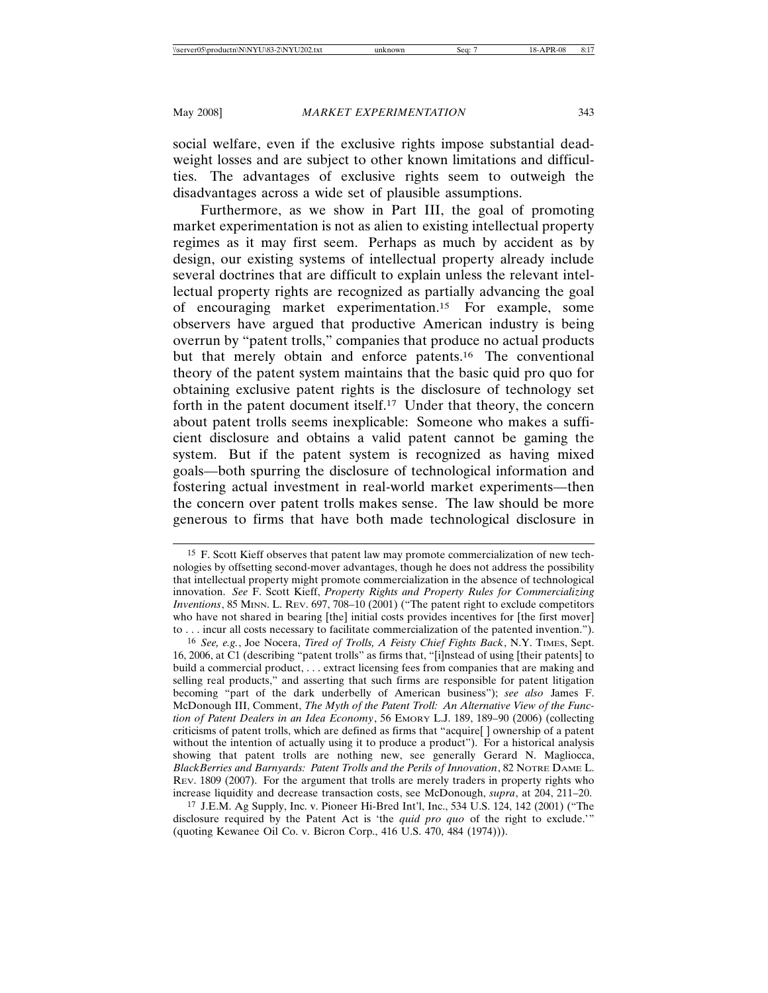social welfare, even if the exclusive rights impose substantial deadweight losses and are subject to other known limitations and difficulties. The advantages of exclusive rights seem to outweigh the disadvantages across a wide set of plausible assumptions.

Furthermore, as we show in Part III, the goal of promoting market experimentation is not as alien to existing intellectual property regimes as it may first seem. Perhaps as much by accident as by design, our existing systems of intellectual property already include several doctrines that are difficult to explain unless the relevant intellectual property rights are recognized as partially advancing the goal of encouraging market experimentation.15 For example, some observers have argued that productive American industry is being overrun by "patent trolls," companies that produce no actual products but that merely obtain and enforce patents.16 The conventional theory of the patent system maintains that the basic quid pro quo for obtaining exclusive patent rights is the disclosure of technology set forth in the patent document itself.<sup>17</sup> Under that theory, the concern about patent trolls seems inexplicable: Someone who makes a sufficient disclosure and obtains a valid patent cannot be gaming the system. But if the patent system is recognized as having mixed goals—both spurring the disclosure of technological information and fostering actual investment in real-world market experiments—then the concern over patent trolls makes sense. The law should be more generous to firms that have both made technological disclosure in

16 *See, e.g.*, Joe Nocera, *Tired of Trolls, A Feisty Chief Fights Back*, N.Y. TIMES, Sept. 16, 2006, at C1 (describing "patent trolls" as firms that, "[i]nstead of using [their patents] to build a commercial product, . . . extract licensing fees from companies that are making and selling real products," and asserting that such firms are responsible for patent litigation becoming "part of the dark underbelly of American business"); *see also* James F. McDonough III, Comment, *The Myth of the Patent Troll: An Alternative View of the Function of Patent Dealers in an Idea Economy*, 56 EMORY L.J. 189, 189–90 (2006) (collecting criticisms of patent trolls, which are defined as firms that "acquire[ ] ownership of a patent without the intention of actually using it to produce a product"). For a historical analysis showing that patent trolls are nothing new, see generally Gerard N. Magliocca, *BlackBerries and Barnyards: Patent Trolls and the Perils of Innovation*, 82 NOTRE DAME L. REV. 1809 (2007). For the argument that trolls are merely traders in property rights who increase liquidity and decrease transaction costs, see McDonough, *supra*, at 204, 211–20.

17 J.E.M. Ag Supply, Inc. v. Pioneer Hi-Bred Int'l, Inc., 534 U.S. 124, 142 (2001) ("The disclosure required by the Patent Act is 'the *quid pro quo* of the right to exclude.'" (quoting Kewanee Oil Co. v. Bicron Corp., 416 U.S. 470, 484 (1974))).

<sup>15</sup> F. Scott Kieff observes that patent law may promote commercialization of new technologies by offsetting second-mover advantages, though he does not address the possibility that intellectual property might promote commercialization in the absence of technological innovation. *See* F. Scott Kieff, *Property Rights and Property Rules for Commercializing Inventions*, 85 MINN. L. REV. 697, 708–10 (2001) ("The patent right to exclude competitors who have not shared in bearing [the] initial costs provides incentives for [the first mover] to . . . incur all costs necessary to facilitate commercialization of the patented invention.").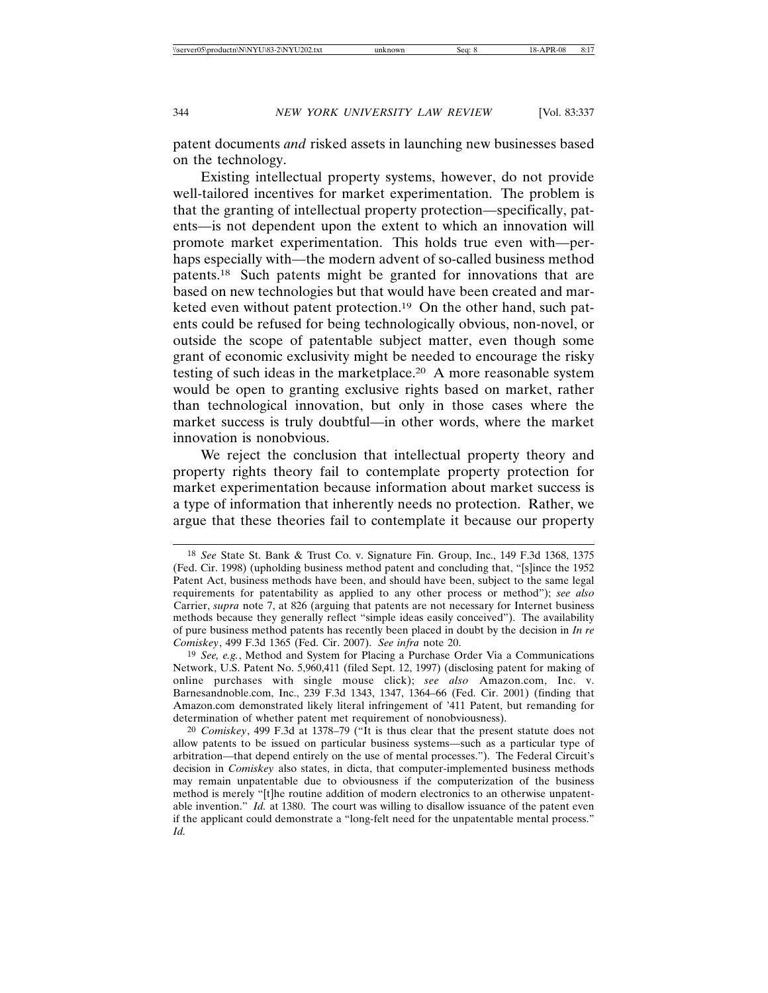patent documents *and* risked assets in launching new businesses based on the technology.

Existing intellectual property systems, however, do not provide well-tailored incentives for market experimentation. The problem is that the granting of intellectual property protection—specifically, patents—is not dependent upon the extent to which an innovation will promote market experimentation. This holds true even with—perhaps especially with—the modern advent of so-called business method patents.18 Such patents might be granted for innovations that are based on new technologies but that would have been created and marketed even without patent protection.<sup>19</sup> On the other hand, such patents could be refused for being technologically obvious, non-novel, or outside the scope of patentable subject matter, even though some grant of economic exclusivity might be needed to encourage the risky testing of such ideas in the marketplace.20 A more reasonable system would be open to granting exclusive rights based on market, rather than technological innovation, but only in those cases where the market success is truly doubtful—in other words, where the market innovation is nonobvious.

We reject the conclusion that intellectual property theory and property rights theory fail to contemplate property protection for market experimentation because information about market success is a type of information that inherently needs no protection. Rather, we argue that these theories fail to contemplate it because our property

<sup>18</sup> *See* State St. Bank & Trust Co. v. Signature Fin. Group, Inc., 149 F.3d 1368, 1375 (Fed. Cir. 1998) (upholding business method patent and concluding that, "[s]ince the 1952 Patent Act, business methods have been, and should have been, subject to the same legal requirements for patentability as applied to any other process or method"); *see also* Carrier, *supra* note 7, at 826 (arguing that patents are not necessary for Internet business methods because they generally reflect "simple ideas easily conceived"). The availability of pure business method patents has recently been placed in doubt by the decision in *In re Comiskey*, 499 F.3d 1365 (Fed. Cir. 2007). *See infra* note 20.

<sup>19</sup> *See, e.g.*, Method and System for Placing a Purchase Order Via a Communications Network, U.S. Patent No. 5,960,411 (filed Sept. 12, 1997) (disclosing patent for making of online purchases with single mouse click); *see also* Amazon.com, Inc. v. Barnesandnoble.com, Inc., 239 F.3d 1343, 1347, 1364–66 (Fed. Cir. 2001) (finding that Amazon.com demonstrated likely literal infringement of '411 Patent, but remanding for determination of whether patent met requirement of nonobviousness).

<sup>20</sup> *Comiskey*, 499 F.3d at 1378–79 ("It is thus clear that the present statute does not allow patents to be issued on particular business systems—such as a particular type of arbitration—that depend entirely on the use of mental processes."). The Federal Circuit's decision in *Comiskey* also states, in dicta, that computer-implemented business methods may remain unpatentable due to obviousness if the computerization of the business method is merely "[t]he routine addition of modern electronics to an otherwise unpatentable invention." *Id.* at 1380. The court was willing to disallow issuance of the patent even if the applicant could demonstrate a "long-felt need for the unpatentable mental process." *Id.*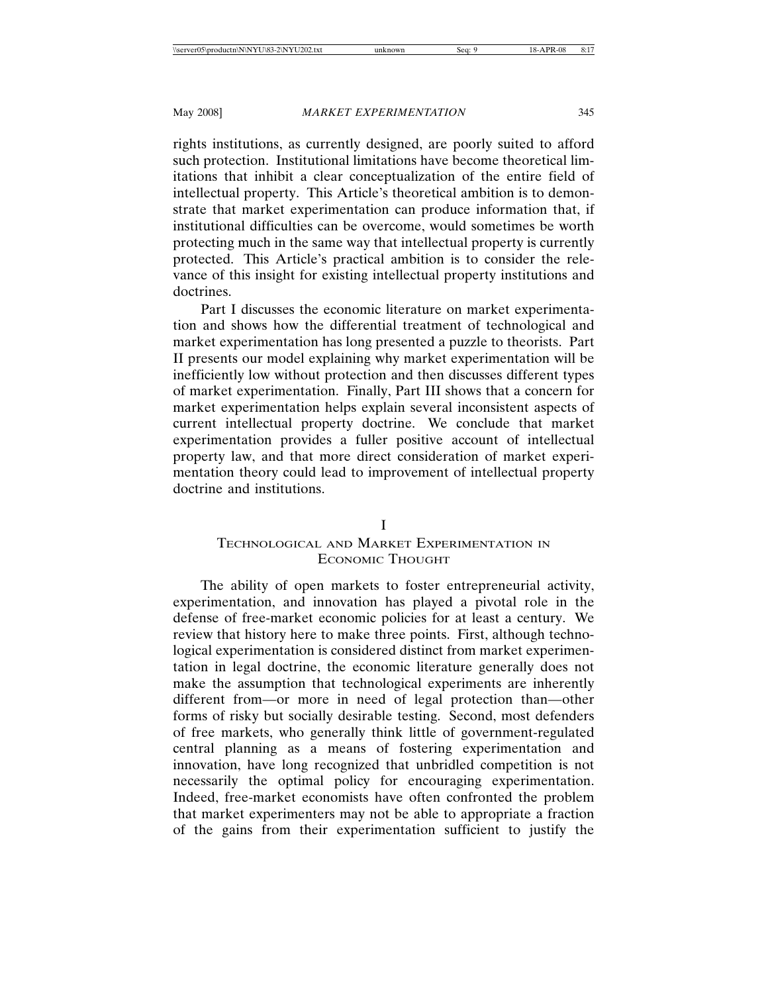rights institutions, as currently designed, are poorly suited to afford such protection. Institutional limitations have become theoretical limitations that inhibit a clear conceptualization of the entire field of intellectual property. This Article's theoretical ambition is to demonstrate that market experimentation can produce information that, if institutional difficulties can be overcome, would sometimes be worth protecting much in the same way that intellectual property is currently protected. This Article's practical ambition is to consider the relevance of this insight for existing intellectual property institutions and doctrines.

Part I discusses the economic literature on market experimentation and shows how the differential treatment of technological and market experimentation has long presented a puzzle to theorists. Part II presents our model explaining why market experimentation will be inefficiently low without protection and then discusses different types of market experimentation. Finally, Part III shows that a concern for market experimentation helps explain several inconsistent aspects of current intellectual property doctrine. We conclude that market experimentation provides a fuller positive account of intellectual property law, and that more direct consideration of market experimentation theory could lead to improvement of intellectual property doctrine and institutions.

# I

# TECHNOLOGICAL AND MARKET EXPERIMENTATION IN ECONOMIC THOUGHT

The ability of open markets to foster entrepreneurial activity, experimentation, and innovation has played a pivotal role in the defense of free-market economic policies for at least a century. We review that history here to make three points. First, although technological experimentation is considered distinct from market experimentation in legal doctrine, the economic literature generally does not make the assumption that technological experiments are inherently different from—or more in need of legal protection than—other forms of risky but socially desirable testing. Second, most defenders of free markets, who generally think little of government-regulated central planning as a means of fostering experimentation and innovation, have long recognized that unbridled competition is not necessarily the optimal policy for encouraging experimentation. Indeed, free-market economists have often confronted the problem that market experimenters may not be able to appropriate a fraction of the gains from their experimentation sufficient to justify the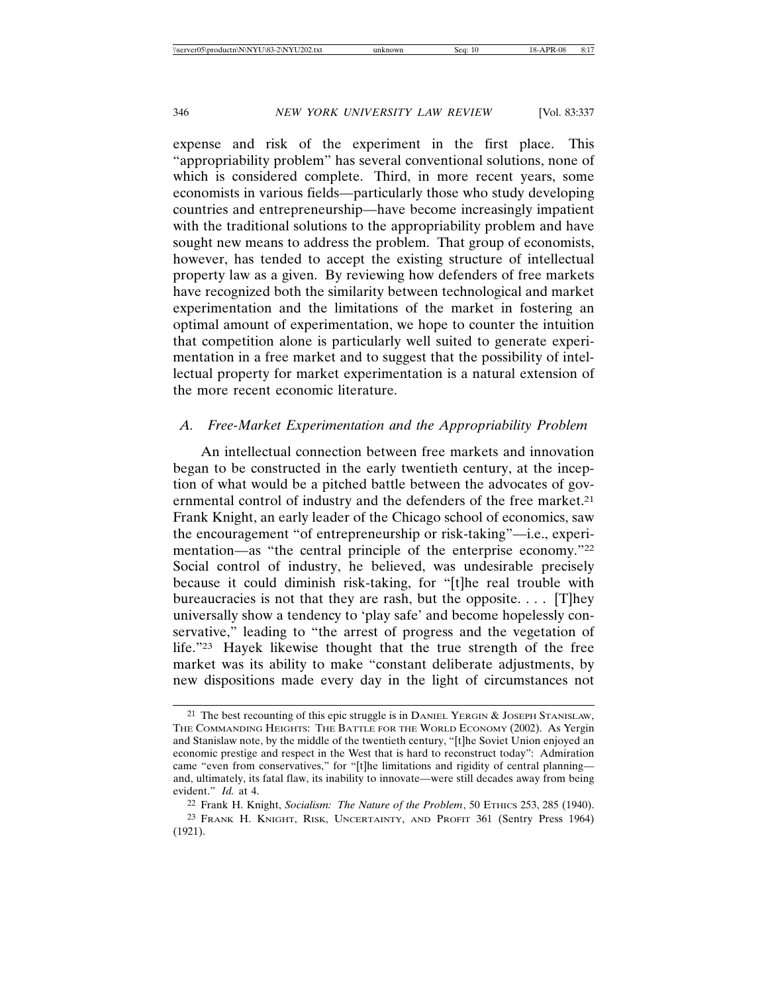expense and risk of the experiment in the first place. This "appropriability problem" has several conventional solutions, none of which is considered complete. Third, in more recent years, some economists in various fields—particularly those who study developing countries and entrepreneurship—have become increasingly impatient with the traditional solutions to the appropriability problem and have sought new means to address the problem. That group of economists, however, has tended to accept the existing structure of intellectual property law as a given. By reviewing how defenders of free markets have recognized both the similarity between technological and market experimentation and the limitations of the market in fostering an optimal amount of experimentation, we hope to counter the intuition that competition alone is particularly well suited to generate experimentation in a free market and to suggest that the possibility of intellectual property for market experimentation is a natural extension of the more recent economic literature.

# *A. Free-Market Experimentation and the Appropriability Problem*

An intellectual connection between free markets and innovation began to be constructed in the early twentieth century, at the inception of what would be a pitched battle between the advocates of governmental control of industry and the defenders of the free market.<sup>21</sup> Frank Knight, an early leader of the Chicago school of economics, saw the encouragement "of entrepreneurship or risk-taking"—i.e., experimentation—as "the central principle of the enterprise economy."22 Social control of industry, he believed, was undesirable precisely because it could diminish risk-taking, for "[t]he real trouble with bureaucracies is not that they are rash, but the opposite.  $\ldots$  [T]hey universally show a tendency to 'play safe' and become hopelessly conservative," leading to "the arrest of progress and the vegetation of life."23 Hayek likewise thought that the true strength of the free market was its ability to make "constant deliberate adjustments, by new dispositions made every day in the light of circumstances not

<sup>21</sup> The best recounting of this epic struggle is in DANIEL YERGIN & JOSEPH STANISLAW, THE COMMANDING HEIGHTS: THE BATTLE FOR THE WORLD ECONOMY (2002). As Yergin and Stanislaw note, by the middle of the twentieth century, "[t]he Soviet Union enjoyed an economic prestige and respect in the West that is hard to reconstruct today": Admiration came "even from conservatives," for "[t]he limitations and rigidity of central planning and, ultimately, its fatal flaw, its inability to innovate—were still decades away from being evident." *Id.* at 4.

<sup>22</sup> Frank H. Knight, *Socialism: The Nature of the Problem*, 50 ETHICS 253, 285 (1940). 23 FRANK H. KNIGHT, RISK, UNCERTAINTY, AND PROFIT 361 (Sentry Press 1964) (1921).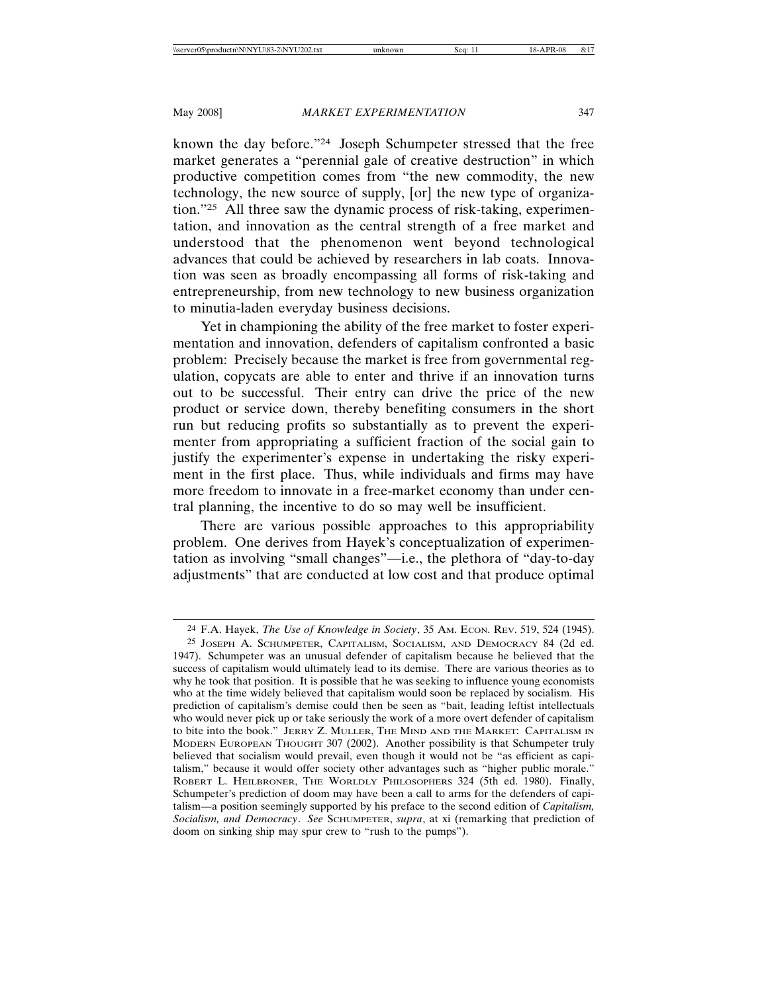known the day before."24 Joseph Schumpeter stressed that the free market generates a "perennial gale of creative destruction" in which productive competition comes from "the new commodity, the new technology, the new source of supply, [or] the new type of organization."25 All three saw the dynamic process of risk-taking, experimentation, and innovation as the central strength of a free market and understood that the phenomenon went beyond technological advances that could be achieved by researchers in lab coats. Innovation was seen as broadly encompassing all forms of risk-taking and entrepreneurship, from new technology to new business organization to minutia-laden everyday business decisions.

Yet in championing the ability of the free market to foster experimentation and innovation, defenders of capitalism confronted a basic problem: Precisely because the market is free from governmental regulation, copycats are able to enter and thrive if an innovation turns out to be successful. Their entry can drive the price of the new product or service down, thereby benefiting consumers in the short run but reducing profits so substantially as to prevent the experimenter from appropriating a sufficient fraction of the social gain to justify the experimenter's expense in undertaking the risky experiment in the first place. Thus, while individuals and firms may have more freedom to innovate in a free-market economy than under central planning, the incentive to do so may well be insufficient.

There are various possible approaches to this appropriability problem. One derives from Hayek's conceptualization of experimentation as involving "small changes"—i.e., the plethora of "day-to-day adjustments" that are conducted at low cost and that produce optimal

<sup>24</sup> F.A. Hayek, *The Use of Knowledge in Society*, 35 AM. ECON. REV. 519, 524 (1945).

<sup>25</sup> JOSEPH A. SCHUMPETER, CAPITALISM, SOCIALISM, AND DEMOCRACY 84 (2d ed. 1947). Schumpeter was an unusual defender of capitalism because he believed that the success of capitalism would ultimately lead to its demise. There are various theories as to why he took that position. It is possible that he was seeking to influence young economists who at the time widely believed that capitalism would soon be replaced by socialism. His prediction of capitalism's demise could then be seen as "bait, leading leftist intellectuals who would never pick up or take seriously the work of a more overt defender of capitalism to bite into the book." JERRY Z. MULLER, THE MIND AND THE MARKET: CAPITALISM IN MODERN EUROPEAN THOUGHT 307 (2002). Another possibility is that Schumpeter truly believed that socialism would prevail, even though it would not be "as efficient as capitalism," because it would offer society other advantages such as "higher public morale." ROBERT L. HEILBRONER, THE WORLDLY PHILOSOPHERS 324 (5th ed. 1980). Finally, Schumpeter's prediction of doom may have been a call to arms for the defenders of capitalism—a position seemingly supported by his preface to the second edition of *Capitalism, Socialism, and Democracy*. *See* SCHUMPETER, *supra*, at xi (remarking that prediction of doom on sinking ship may spur crew to "rush to the pumps").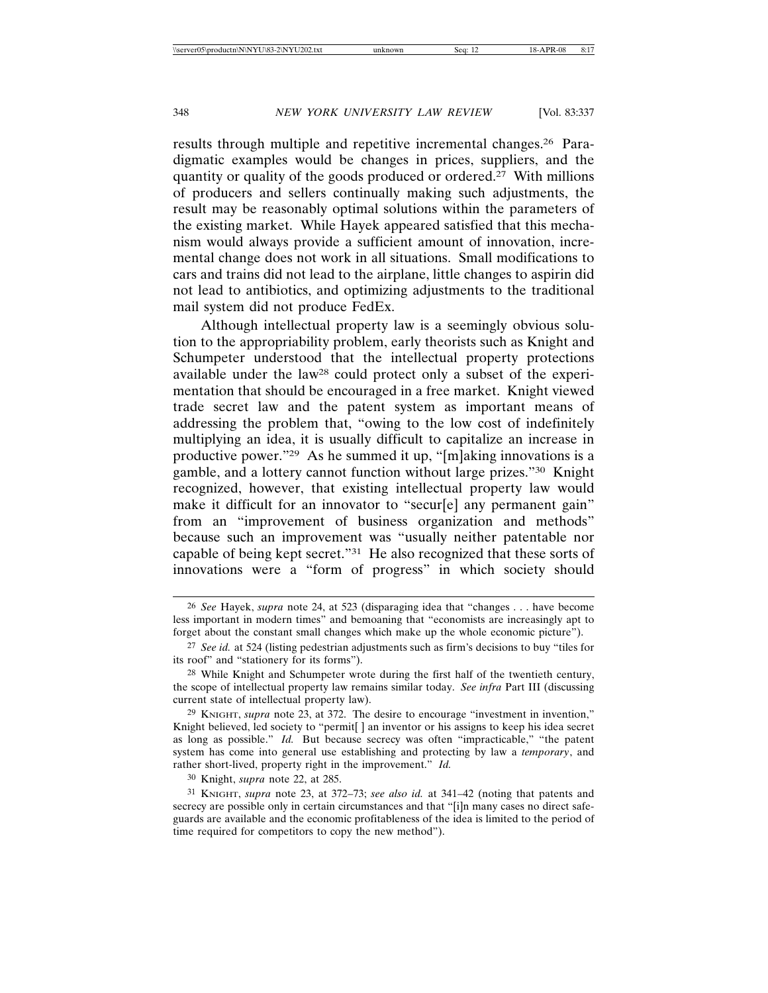results through multiple and repetitive incremental changes.26 Paradigmatic examples would be changes in prices, suppliers, and the quantity or quality of the goods produced or ordered.27 With millions of producers and sellers continually making such adjustments, the result may be reasonably optimal solutions within the parameters of the existing market. While Hayek appeared satisfied that this mechanism would always provide a sufficient amount of innovation, incremental change does not work in all situations. Small modifications to cars and trains did not lead to the airplane, little changes to aspirin did not lead to antibiotics, and optimizing adjustments to the traditional mail system did not produce FedEx.

Although intellectual property law is a seemingly obvious solution to the appropriability problem, early theorists such as Knight and Schumpeter understood that the intellectual property protections available under the law28 could protect only a subset of the experimentation that should be encouraged in a free market. Knight viewed trade secret law and the patent system as important means of addressing the problem that, "owing to the low cost of indefinitely multiplying an idea, it is usually difficult to capitalize an increase in productive power."29 As he summed it up, "[m]aking innovations is a gamble, and a lottery cannot function without large prizes."30 Knight recognized, however, that existing intellectual property law would make it difficult for an innovator to "secur[e] any permanent gain" from an "improvement of business organization and methods" because such an improvement was "usually neither patentable nor capable of being kept secret."31 He also recognized that these sorts of innovations were a "form of progress" in which society should

<sup>26</sup> *See* Hayek, *supra* note 24, at 523 (disparaging idea that "changes . . . have become less important in modern times" and bemoaning that "economists are increasingly apt to forget about the constant small changes which make up the whole economic picture").

<sup>27</sup> *See id.* at 524 (listing pedestrian adjustments such as firm's decisions to buy "tiles for its roof" and "stationery for its forms").

<sup>28</sup> While Knight and Schumpeter wrote during the first half of the twentieth century, the scope of intellectual property law remains similar today. *See infra* Part III (discussing current state of intellectual property law).

<sup>29</sup> KNIGHT, *supra* note 23, at 372. The desire to encourage "investment in invention," Knight believed, led society to "permit[ ] an inventor or his assigns to keep his idea secret as long as possible." *Id.* But because secrecy was often "impracticable," "the patent system has come into general use establishing and protecting by law a *temporary*, and rather short-lived, property right in the improvement." *Id.*

<sup>30</sup> Knight, *supra* note 22, at 285.

<sup>31</sup> KNIGHT, *supra* note 23, at 372–73; *see also id.* at 341–42 (noting that patents and secrecy are possible only in certain circumstances and that "[i]n many cases no direct safeguards are available and the economic profitableness of the idea is limited to the period of time required for competitors to copy the new method").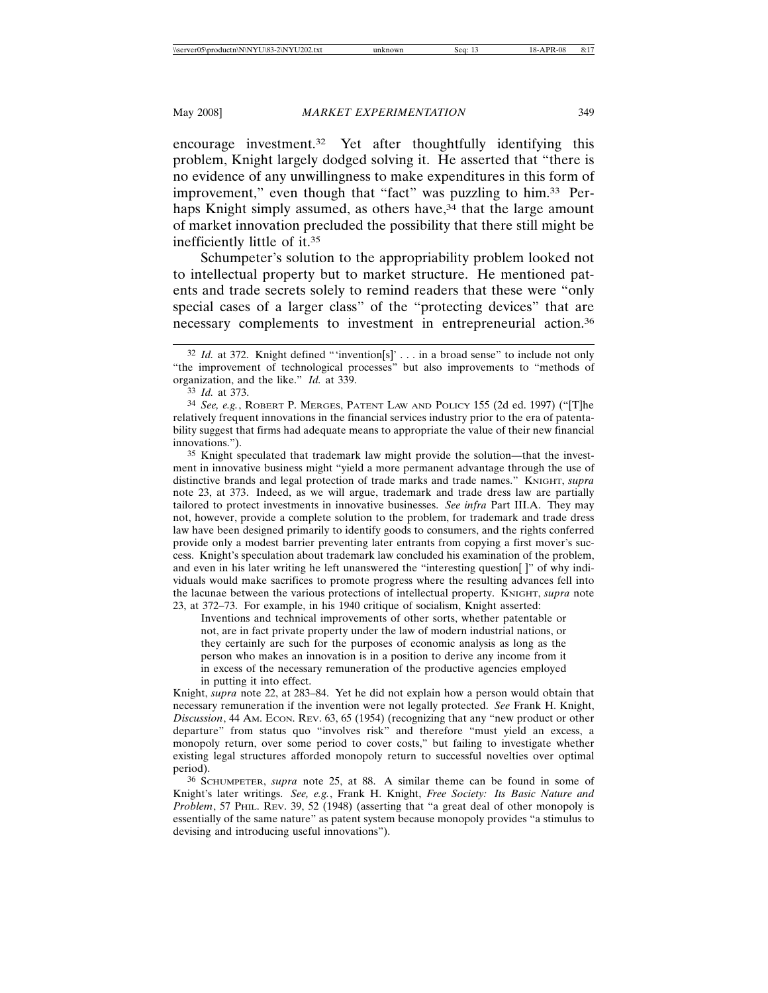encourage investment.32 Yet after thoughtfully identifying this problem, Knight largely dodged solving it. He asserted that "there is no evidence of any unwillingness to make expenditures in this form of improvement," even though that "fact" was puzzling to him.33 Perhaps Knight simply assumed, as others have,<sup>34</sup> that the large amount of market innovation precluded the possibility that there still might be inefficiently little of it.35

Schumpeter's solution to the appropriability problem looked not to intellectual property but to market structure. He mentioned patents and trade secrets solely to remind readers that these were "only special cases of a larger class" of the "protecting devices" that are necessary complements to investment in entrepreneurial action.36

35 Knight speculated that trademark law might provide the solution—that the investment in innovative business might "yield a more permanent advantage through the use of distinctive brands and legal protection of trade marks and trade names." KNIGHT, *supra* note 23, at 373. Indeed, as we will argue, trademark and trade dress law are partially tailored to protect investments in innovative businesses. *See infra* Part III.A. They may not, however, provide a complete solution to the problem, for trademark and trade dress law have been designed primarily to identify goods to consumers, and the rights conferred provide only a modest barrier preventing later entrants from copying a first mover's success. Knight's speculation about trademark law concluded his examination of the problem, and even in his later writing he left unanswered the "interesting question[ ]" of why individuals would make sacrifices to promote progress where the resulting advances fell into the lacunae between the various protections of intellectual property. KNIGHT, *supra* note 23, at 372–73. For example, in his 1940 critique of socialism, Knight asserted:

Inventions and technical improvements of other sorts, whether patentable or not, are in fact private property under the law of modern industrial nations, or they certainly are such for the purposes of economic analysis as long as the person who makes an innovation is in a position to derive any income from it in excess of the necessary remuneration of the productive agencies employed in putting it into effect.

Knight, *supra* note 22, at 283–84. Yet he did not explain how a person would obtain that necessary remuneration if the invention were not legally protected. *See* Frank H. Knight, *Discussion*, 44 AM. ECON. REV. 63, 65 (1954) (recognizing that any "new product or other departure" from status quo "involves risk" and therefore "must yield an excess, a monopoly return, over some period to cover costs," but failing to investigate whether existing legal structures afforded monopoly return to successful novelties over optimal period).

36 SCHUMPETER, *supra* note 25, at 88. A similar theme can be found in some of Knight's later writings. *See, e.g.*, Frank H. Knight, *Free Society: Its Basic Nature and Problem*, 57 PHIL. REV. 39, 52 (1948) (asserting that "a great deal of other monopoly is essentially of the same nature" as patent system because monopoly provides "a stimulus to devising and introducing useful innovations").

<sup>&</sup>lt;sup>32</sup> *Id.* at 372. Knight defined "'invention[s]' . . . in a broad sense" to include not only "the improvement of technological processes" but also improvements to "methods of organization, and the like." *Id.* at 339.

<sup>33</sup> *Id.* at 373.

<sup>34</sup> *See, e.g.*, ROBERT P. MERGES, PATENT LAW AND POLICY 155 (2d ed. 1997) ("[T]he relatively frequent innovations in the financial services industry prior to the era of patentability suggest that firms had adequate means to appropriate the value of their new financial innovations.").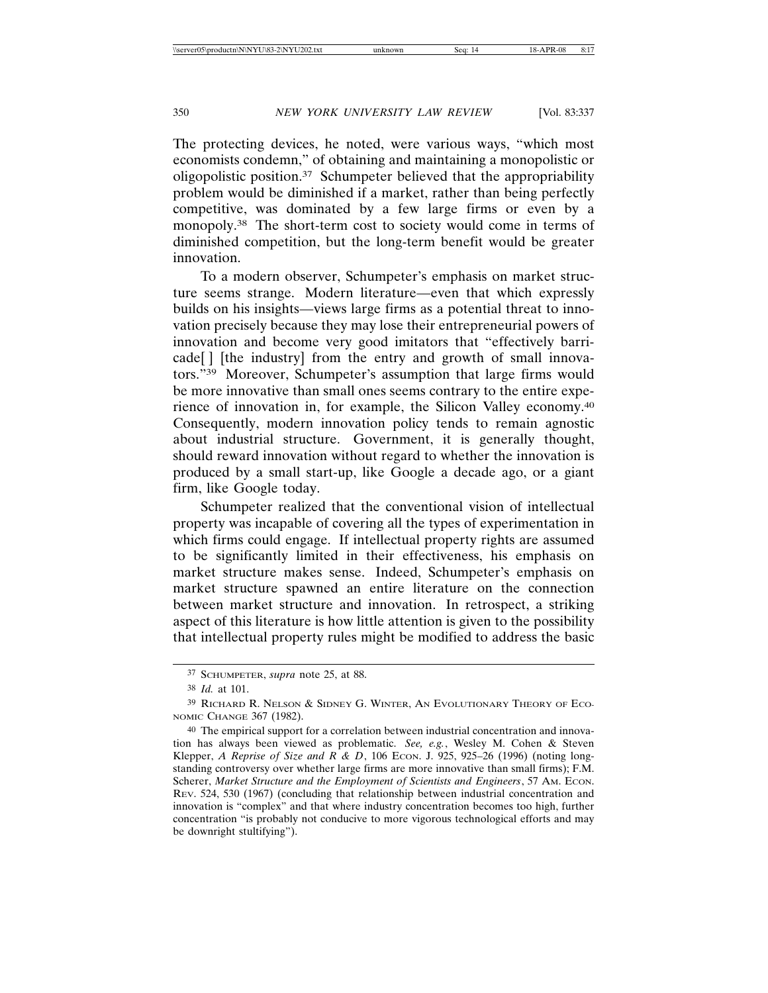The protecting devices, he noted, were various ways, "which most economists condemn," of obtaining and maintaining a monopolistic or oligopolistic position.37 Schumpeter believed that the appropriability problem would be diminished if a market, rather than being perfectly competitive, was dominated by a few large firms or even by a monopoly.38 The short-term cost to society would come in terms of diminished competition, but the long-term benefit would be greater innovation.

To a modern observer, Schumpeter's emphasis on market structure seems strange. Modern literature—even that which expressly builds on his insights—views large firms as a potential threat to innovation precisely because they may lose their entrepreneurial powers of innovation and become very good imitators that "effectively barricade[ ] [the industry] from the entry and growth of small innovators."39 Moreover, Schumpeter's assumption that large firms would be more innovative than small ones seems contrary to the entire experience of innovation in, for example, the Silicon Valley economy.40 Consequently, modern innovation policy tends to remain agnostic about industrial structure. Government, it is generally thought, should reward innovation without regard to whether the innovation is produced by a small start-up, like Google a decade ago, or a giant firm, like Google today.

Schumpeter realized that the conventional vision of intellectual property was incapable of covering all the types of experimentation in which firms could engage. If intellectual property rights are assumed to be significantly limited in their effectiveness, his emphasis on market structure makes sense. Indeed, Schumpeter's emphasis on market structure spawned an entire literature on the connection between market structure and innovation. In retrospect, a striking aspect of this literature is how little attention is given to the possibility that intellectual property rules might be modified to address the basic

<sup>37</sup> SCHUMPETER, *supra* note 25, at 88.

<sup>38</sup> *Id.* at 101.

<sup>39</sup> RICHARD R. NELSON & SIDNEY G. WINTER, AN EVOLUTIONARY THEORY OF ECO-NOMIC CHANGE 367 (1982).

<sup>40</sup> The empirical support for a correlation between industrial concentration and innovation has always been viewed as problematic. *See, e.g.*, Wesley M. Cohen & Steven Klepper, *A Reprise of Size and R & D*, 106 ECON. J. 925, 925–26 (1996) (noting longstanding controversy over whether large firms are more innovative than small firms); F.M. Scherer, *Market Structure and the Employment of Scientists and Engineers*, 57 AM. ECON. REV. 524, 530 (1967) (concluding that relationship between industrial concentration and innovation is "complex" and that where industry concentration becomes too high, further concentration "is probably not conducive to more vigorous technological efforts and may be downright stultifying").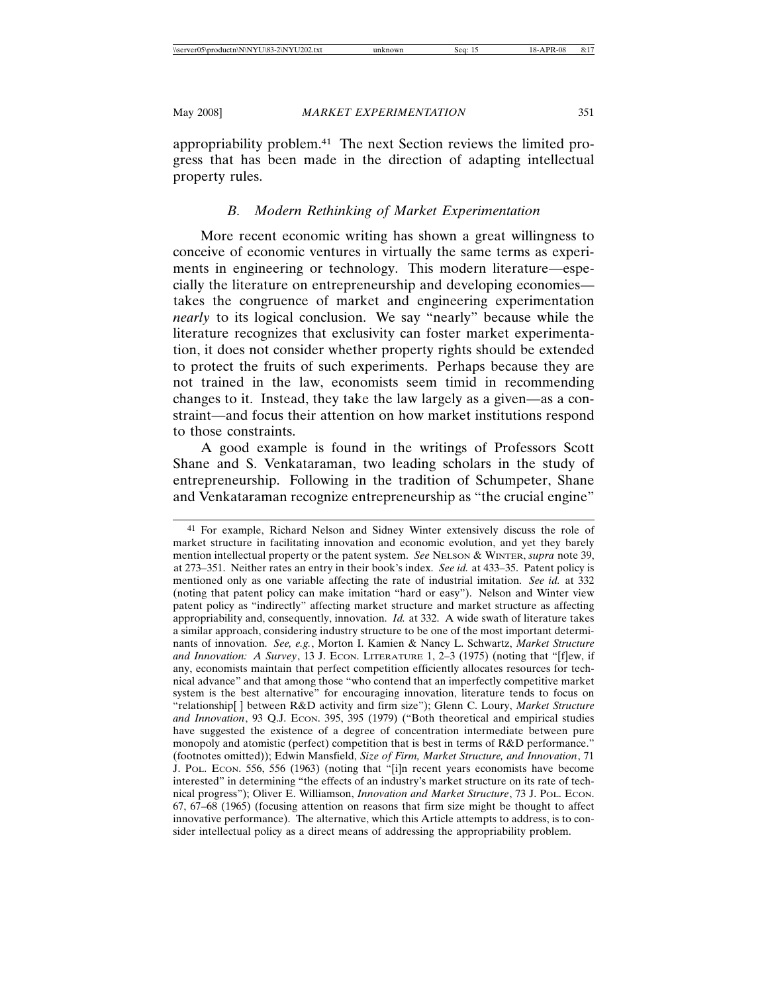appropriability problem.41 The next Section reviews the limited progress that has been made in the direction of adapting intellectual property rules.

## *B. Modern Rethinking of Market Experimentation*

More recent economic writing has shown a great willingness to conceive of economic ventures in virtually the same terms as experiments in engineering or technology. This modern literature—especially the literature on entrepreneurship and developing economies takes the congruence of market and engineering experimentation *nearly* to its logical conclusion. We say "nearly" because while the literature recognizes that exclusivity can foster market experimentation, it does not consider whether property rights should be extended to protect the fruits of such experiments. Perhaps because they are not trained in the law, economists seem timid in recommending changes to it. Instead, they take the law largely as a given—as a constraint—and focus their attention on how market institutions respond to those constraints.

A good example is found in the writings of Professors Scott Shane and S. Venkataraman, two leading scholars in the study of entrepreneurship. Following in the tradition of Schumpeter, Shane and Venkataraman recognize entrepreneurship as "the crucial engine"

<sup>41</sup> For example, Richard Nelson and Sidney Winter extensively discuss the role of market structure in facilitating innovation and economic evolution, and yet they barely mention intellectual property or the patent system. *See* NELSON & WINTER, *supra* note 39, at 273–351. Neither rates an entry in their book's index. *See id.* at 433–35. Patent policy is mentioned only as one variable affecting the rate of industrial imitation. *See id.* at 332 (noting that patent policy can make imitation "hard or easy"). Nelson and Winter view patent policy as "indirectly" affecting market structure and market structure as affecting appropriability and, consequently, innovation. *Id.* at 332. A wide swath of literature takes a similar approach, considering industry structure to be one of the most important determinants of innovation. *See, e.g.*, Morton I. Kamien & Nancy L. Schwartz, *Market Structure* and Innovation: A Survey, 13 J. ECON. LITERATURE 1, 2-3 (1975) (noting that "[f]ew, if any, economists maintain that perfect competition efficiently allocates resources for technical advance" and that among those "who contend that an imperfectly competitive market system is the best alternative" for encouraging innovation, literature tends to focus on "relationship[ ] between R&D activity and firm size"); Glenn C. Loury, *Market Structure* and Innovation, 93 Q.J. Econ. 395, 395 (1979) ("Both theoretical and empirical studies have suggested the existence of a degree of concentration intermediate between pure monopoly and atomistic (perfect) competition that is best in terms of R&D performance." (footnotes omitted)); Edwin Mansfield, *Size of Firm, Market Structure, and Innovation*, 71 J. POL. ECON. 556, 556 (1963) (noting that "[i]n recent years economists have become interested" in determining "the effects of an industry's market structure on its rate of technical progress"); Oliver E. Williamson, *Innovation and Market Structure*, 73 J. POL. ECON. 67, 67–68 (1965) (focusing attention on reasons that firm size might be thought to affect innovative performance). The alternative, which this Article attempts to address, is to consider intellectual policy as a direct means of addressing the appropriability problem.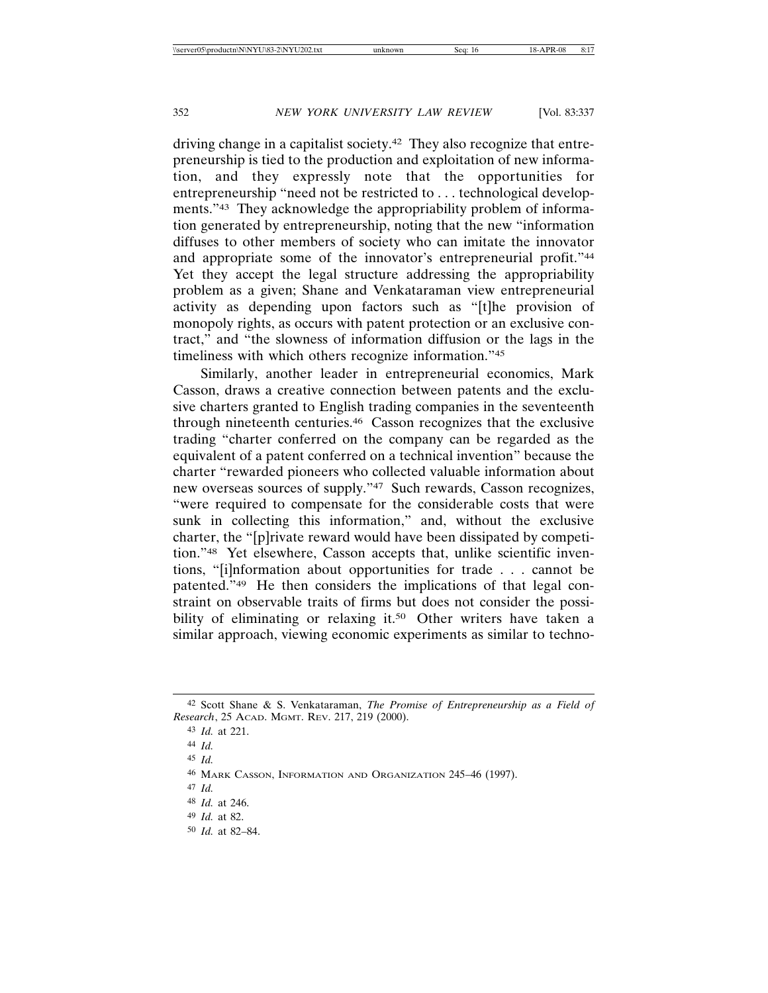driving change in a capitalist society.42 They also recognize that entrepreneurship is tied to the production and exploitation of new information, and they expressly note that the opportunities for entrepreneurship "need not be restricted to . . . technological developments."43 They acknowledge the appropriability problem of information generated by entrepreneurship, noting that the new "information diffuses to other members of society who can imitate the innovator and appropriate some of the innovator's entrepreneurial profit."44 Yet they accept the legal structure addressing the appropriability problem as a given; Shane and Venkataraman view entrepreneurial activity as depending upon factors such as "[t]he provision of monopoly rights, as occurs with patent protection or an exclusive contract," and "the slowness of information diffusion or the lags in the timeliness with which others recognize information."45

Similarly, another leader in entrepreneurial economics, Mark Casson, draws a creative connection between patents and the exclusive charters granted to English trading companies in the seventeenth through nineteenth centuries.46 Casson recognizes that the exclusive trading "charter conferred on the company can be regarded as the equivalent of a patent conferred on a technical invention" because the charter "rewarded pioneers who collected valuable information about new overseas sources of supply."47 Such rewards, Casson recognizes, "were required to compensate for the considerable costs that were sunk in collecting this information," and, without the exclusive charter, the "[p]rivate reward would have been dissipated by competition."48 Yet elsewhere, Casson accepts that, unlike scientific inventions, "[i]nformation about opportunities for trade . . . cannot be patented."49 He then considers the implications of that legal constraint on observable traits of firms but does not consider the possibility of eliminating or relaxing it.<sup>50</sup> Other writers have taken a similar approach, viewing economic experiments as similar to techno-

<sup>42</sup> Scott Shane & S. Venkataraman, *The Promise of Entrepreneurship as a Field of Research*, 25 ACAD. MGMT. REV. 217, 219 (2000).

<sup>43</sup> *Id.* at 221.

<sup>44</sup> *Id.*

<sup>45</sup> *Id.*

<sup>46</sup> MARK CASSON, INFORMATION AND ORGANIZATION 245–46 (1997).

<sup>47</sup> *Id.*

<sup>48</sup> *Id.* at 246.

<sup>49</sup> *Id.* at 82.

<sup>50</sup> *Id.* at 82–84.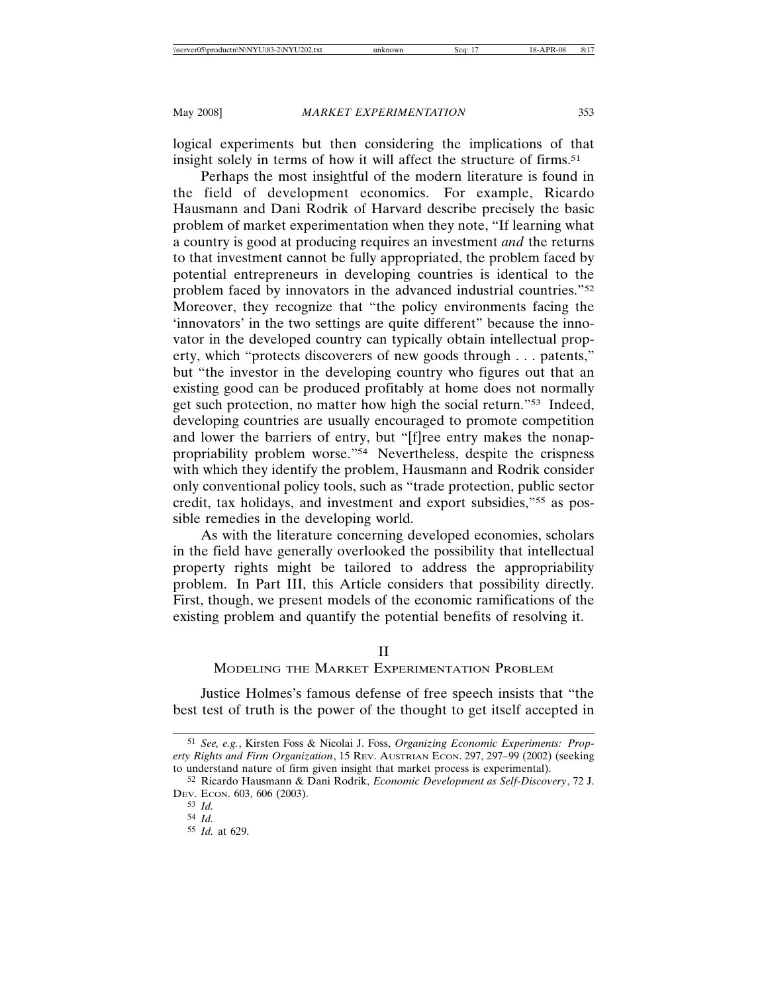logical experiments but then considering the implications of that insight solely in terms of how it will affect the structure of firms.<sup>51</sup>

Perhaps the most insightful of the modern literature is found in the field of development economics. For example, Ricardo Hausmann and Dani Rodrik of Harvard describe precisely the basic problem of market experimentation when they note, "If learning what a country is good at producing requires an investment *and* the returns to that investment cannot be fully appropriated, the problem faced by potential entrepreneurs in developing countries is identical to the problem faced by innovators in the advanced industrial countries."52 Moreover, they recognize that "the policy environments facing the 'innovators' in the two settings are quite different" because the innovator in the developed country can typically obtain intellectual property, which "protects discoverers of new goods through . . . patents," but "the investor in the developing country who figures out that an existing good can be produced profitably at home does not normally get such protection, no matter how high the social return."53 Indeed, developing countries are usually encouraged to promote competition and lower the barriers of entry, but "[f]ree entry makes the nonappropriability problem worse."54 Nevertheless, despite the crispness with which they identify the problem, Hausmann and Rodrik consider only conventional policy tools, such as "trade protection, public sector credit, tax holidays, and investment and export subsidies,"55 as possible remedies in the developing world.

As with the literature concerning developed economies, scholars in the field have generally overlooked the possibility that intellectual property rights might be tailored to address the appropriability problem. In Part III, this Article considers that possibility directly. First, though, we present models of the economic ramifications of the existing problem and quantify the potential benefits of resolving it.

## II

## MODELING THE MARKET EXPERIMENTATION PROBLEM

Justice Holmes's famous defense of free speech insists that "the best test of truth is the power of the thought to get itself accepted in

<sup>51</sup> *See, e.g.*, Kirsten Foss & Nicolai J. Foss, *Organizing Economic Experiments: Property Rights and Firm Organization*, 15 REV. AUSTRIAN ECON. 297, 297–99 (2002) (seeking to understand nature of firm given insight that market process is experimental).

<sup>52</sup> Ricardo Hausmann & Dani Rodrik, *Economic Development as Self-Discovery*, 72 J. DEV. ECON. 603, 606 (2003).

<sup>53</sup> *Id.*

<sup>54</sup> *Id.*

<sup>55</sup> *Id.* at 629.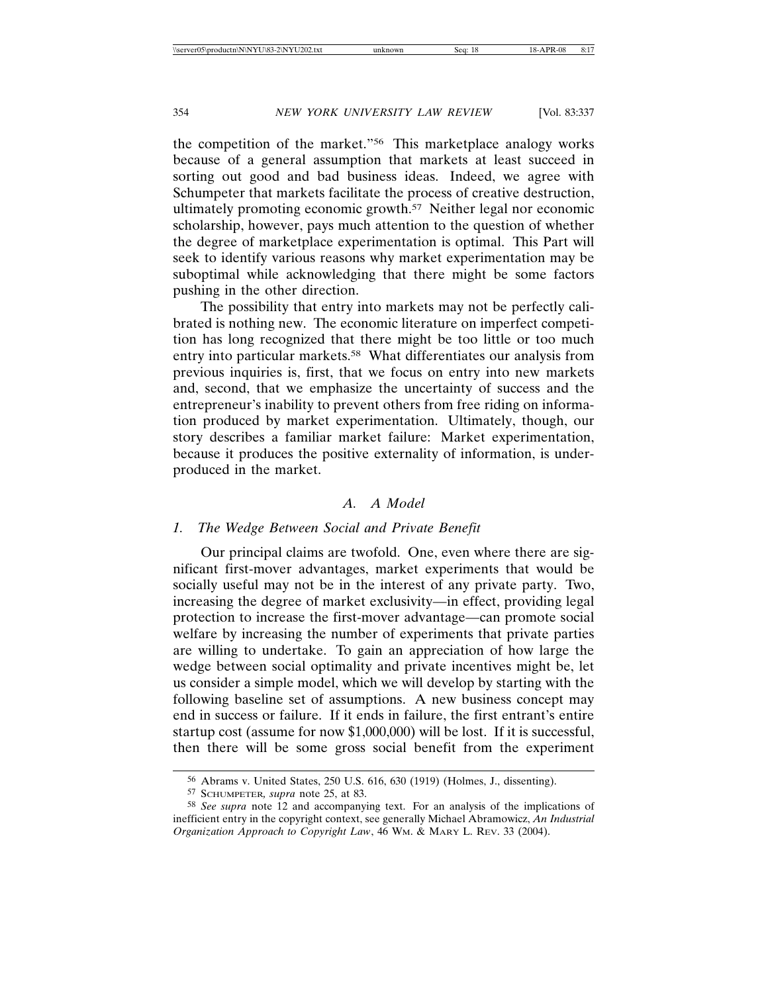the competition of the market."56 This marketplace analogy works because of a general assumption that markets at least succeed in sorting out good and bad business ideas. Indeed, we agree with Schumpeter that markets facilitate the process of creative destruction, ultimately promoting economic growth.57 Neither legal nor economic scholarship, however, pays much attention to the question of whether the degree of marketplace experimentation is optimal. This Part will seek to identify various reasons why market experimentation may be suboptimal while acknowledging that there might be some factors pushing in the other direction.

The possibility that entry into markets may not be perfectly calibrated is nothing new. The economic literature on imperfect competition has long recognized that there might be too little or too much entry into particular markets.58 What differentiates our analysis from previous inquiries is, first, that we focus on entry into new markets and, second, that we emphasize the uncertainty of success and the entrepreneur's inability to prevent others from free riding on information produced by market experimentation. Ultimately, though, our story describes a familiar market failure: Market experimentation, because it produces the positive externality of information, is underproduced in the market.

## *A. A Model*

## *1. The Wedge Between Social and Private Benefit*

Our principal claims are twofold. One, even where there are significant first-mover advantages, market experiments that would be socially useful may not be in the interest of any private party. Two, increasing the degree of market exclusivity—in effect, providing legal protection to increase the first-mover advantage—can promote social welfare by increasing the number of experiments that private parties are willing to undertake. To gain an appreciation of how large the wedge between social optimality and private incentives might be, let us consider a simple model, which we will develop by starting with the following baseline set of assumptions. A new business concept may end in success or failure. If it ends in failure, the first entrant's entire startup cost (assume for now \$1,000,000) will be lost. If it is successful, then there will be some gross social benefit from the experiment

<sup>56</sup> Abrams v. United States, 250 U.S. 616, 630 (1919) (Holmes, J., dissenting).

<sup>57</sup> SCHUMPETER*, supra* note 25, at 83.

<sup>58</sup> *See supra* note 12 and accompanying text. For an analysis of the implications of inefficient entry in the copyright context, see generally Michael Abramowicz, *An Industrial Organization Approach to Copyright Law*, 46 WM. & MARY L. REV. 33 (2004).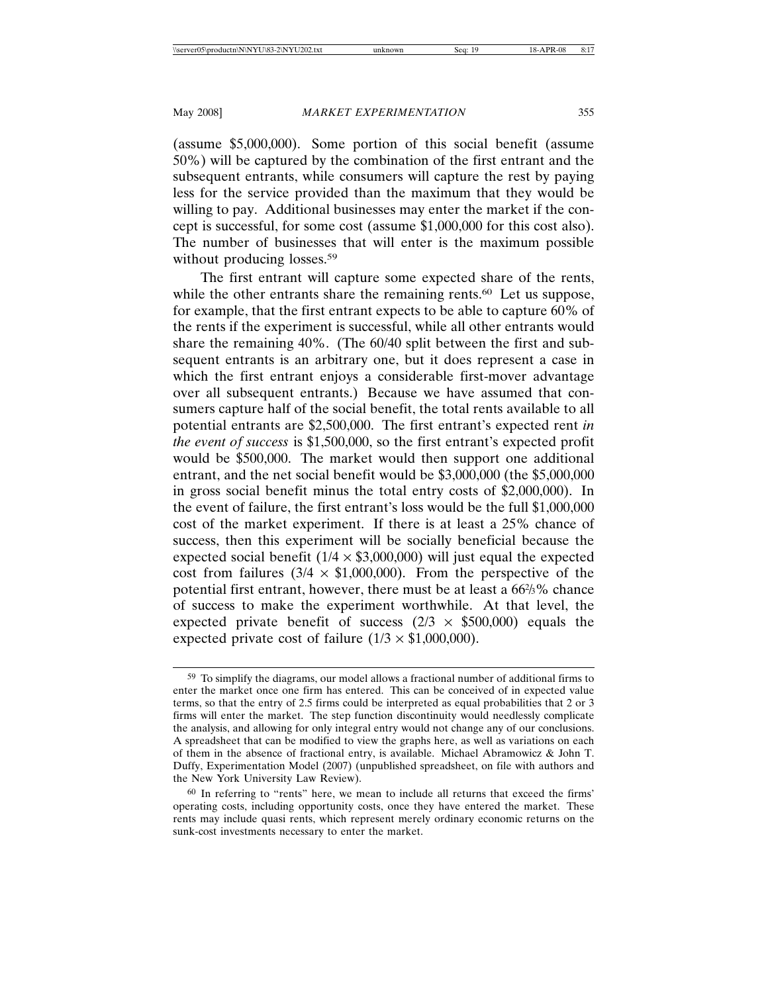(assume \$5,000,000). Some portion of this social benefit (assume 50%) will be captured by the combination of the first entrant and the subsequent entrants, while consumers will capture the rest by paying less for the service provided than the maximum that they would be willing to pay. Additional businesses may enter the market if the concept is successful, for some cost (assume \$1,000,000 for this cost also). The number of businesses that will enter is the maximum possible without producing losses.<sup>59</sup>

The first entrant will capture some expected share of the rents, while the other entrants share the remaining rents.<sup>60</sup> Let us suppose, for example, that the first entrant expects to be able to capture 60% of the rents if the experiment is successful, while all other entrants would share the remaining 40%. (The 60/40 split between the first and subsequent entrants is an arbitrary one, but it does represent a case in which the first entrant enjoys a considerable first-mover advantage over all subsequent entrants.) Because we have assumed that consumers capture half of the social benefit, the total rents available to all potential entrants are \$2,500,000. The first entrant's expected rent *in the event of success* is \$1,500,000, so the first entrant's expected profit would be \$500,000. The market would then support one additional entrant, and the net social benefit would be \$3,000,000 (the \$5,000,000 in gross social benefit minus the total entry costs of \$2,000,000). In the event of failure, the first entrant's loss would be the full \$1,000,000 cost of the market experiment. If there is at least a 25% chance of success, then this experiment will be socially beneficial because the expected social benefit  $(1/4 \times $3,000,000)$  will just equal the expected cost from failures  $(3/4 \times $1,000,000)$ . From the perspective of the potential first entrant, however, there must be at least a 66½% chance of success to make the experiment worthwhile. At that level, the expected private benefit of success  $(2/3 \times $500,000)$  equals the expected private cost of failure  $(1/3 \times $1,000,000)$ .

<sup>59</sup> To simplify the diagrams, our model allows a fractional number of additional firms to enter the market once one firm has entered. This can be conceived of in expected value terms, so that the entry of 2.5 firms could be interpreted as equal probabilities that 2 or 3 firms will enter the market. The step function discontinuity would needlessly complicate the analysis, and allowing for only integral entry would not change any of our conclusions. A spreadsheet that can be modified to view the graphs here, as well as variations on each of them in the absence of fractional entry, is available. Michael Abramowicz & John T. Duffy, Experimentation Model (2007) (unpublished spreadsheet, on file with authors and the New York University Law Review).

<sup>60</sup> In referring to "rents" here, we mean to include all returns that exceed the firms' operating costs, including opportunity costs, once they have entered the market. These rents may include quasi rents, which represent merely ordinary economic returns on the sunk-cost investments necessary to enter the market.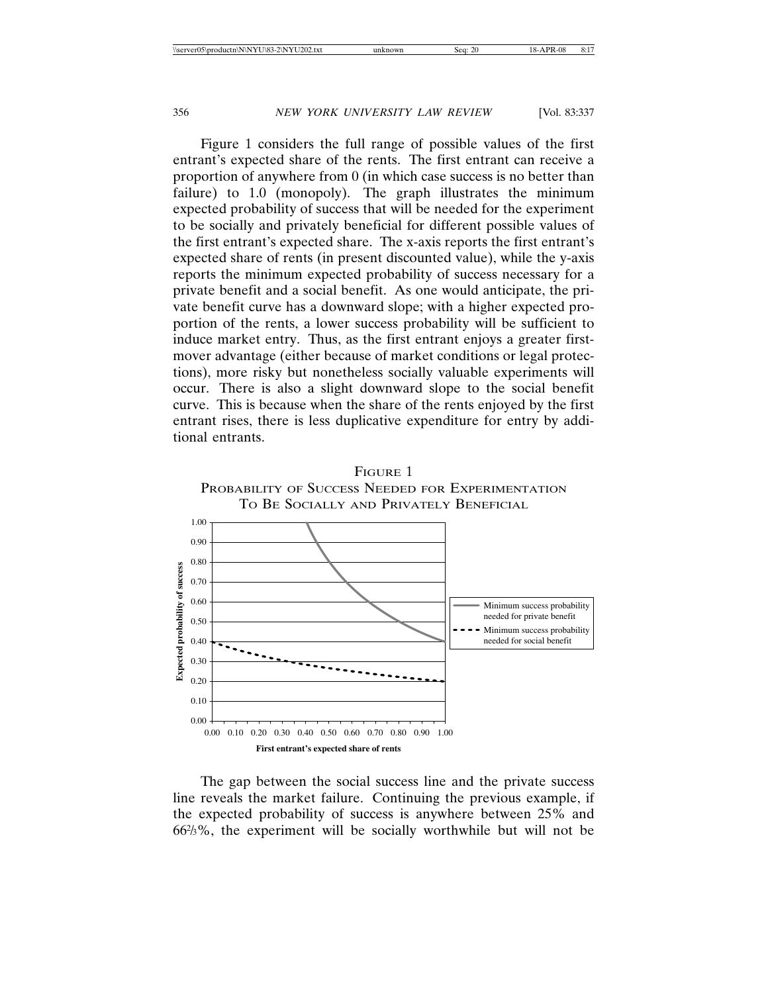Figure 1 considers the full range of possible values of the first entrant's expected share of the rents. The first entrant can receive a proportion of anywhere from 0 (in which case success is no better than failure) to 1.0 (monopoly). The graph illustrates the minimum expected probability of success that will be needed for the experiment to be socially and privately beneficial for different possible values of the first entrant's expected share. The x-axis reports the first entrant's expected share of rents (in present discounted value), while the y-axis reports the minimum expected probability of success necessary for a private benefit and a social benefit. As one would anticipate, the private benefit curve has a downward slope; with a higher expected proportion of the rents, a lower success probability will be sufficient to induce market entry. Thus, as the first entrant enjoys a greater firstmover advantage (either because of market conditions or legal protections), more risky but nonetheless socially valuable experiments will occur. There is also a slight downward slope to the social benefit curve. This is because when the share of the rents enjoyed by the first entrant rises, there is less duplicative expenditure for entry by additional entrants.



The gap between the social success line and the private success line reveals the market failure. Continuing the previous example, if the expected probability of success is anywhere between 25% and 662 /3%, the experiment will be socially worthwhile but will not be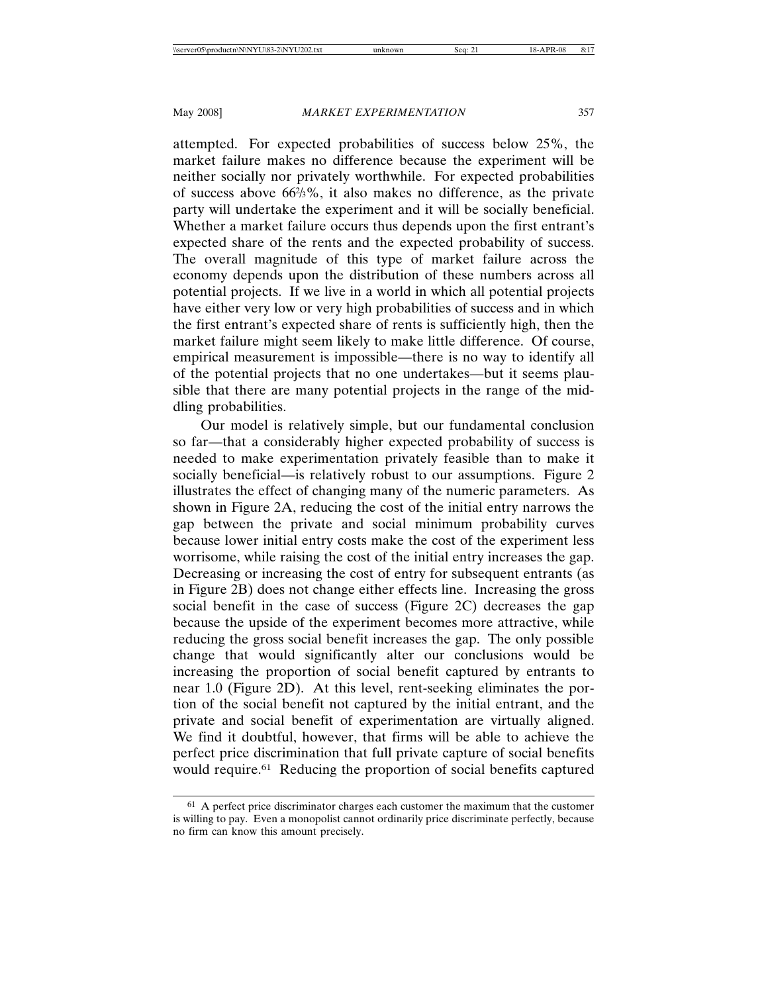attempted. For expected probabilities of success below 25%, the market failure makes no difference because the experiment will be neither socially nor privately worthwhile. For expected probabilities of success above 662 /3%, it also makes no difference, as the private party will undertake the experiment and it will be socially beneficial. Whether a market failure occurs thus depends upon the first entrant's expected share of the rents and the expected probability of success. The overall magnitude of this type of market failure across the economy depends upon the distribution of these numbers across all potential projects. If we live in a world in which all potential projects have either very low or very high probabilities of success and in which the first entrant's expected share of rents is sufficiently high, then the market failure might seem likely to make little difference. Of course, empirical measurement is impossible—there is no way to identify all of the potential projects that no one undertakes—but it seems plausible that there are many potential projects in the range of the middling probabilities.

Our model is relatively simple, but our fundamental conclusion so far—that a considerably higher expected probability of success is needed to make experimentation privately feasible than to make it socially beneficial—is relatively robust to our assumptions. Figure 2 illustrates the effect of changing many of the numeric parameters. As shown in Figure 2A, reducing the cost of the initial entry narrows the gap between the private and social minimum probability curves because lower initial entry costs make the cost of the experiment less worrisome, while raising the cost of the initial entry increases the gap. Decreasing or increasing the cost of entry for subsequent entrants (as in Figure 2B) does not change either effects line. Increasing the gross social benefit in the case of success (Figure 2C) decreases the gap because the upside of the experiment becomes more attractive, while reducing the gross social benefit increases the gap. The only possible change that would significantly alter our conclusions would be increasing the proportion of social benefit captured by entrants to near 1.0 (Figure 2D). At this level, rent-seeking eliminates the portion of the social benefit not captured by the initial entrant, and the private and social benefit of experimentation are virtually aligned. We find it doubtful, however, that firms will be able to achieve the perfect price discrimination that full private capture of social benefits would require.61 Reducing the proportion of social benefits captured

<sup>&</sup>lt;sup>61</sup> A perfect price discriminator charges each customer the maximum that the customer is willing to pay. Even a monopolist cannot ordinarily price discriminate perfectly, because no firm can know this amount precisely.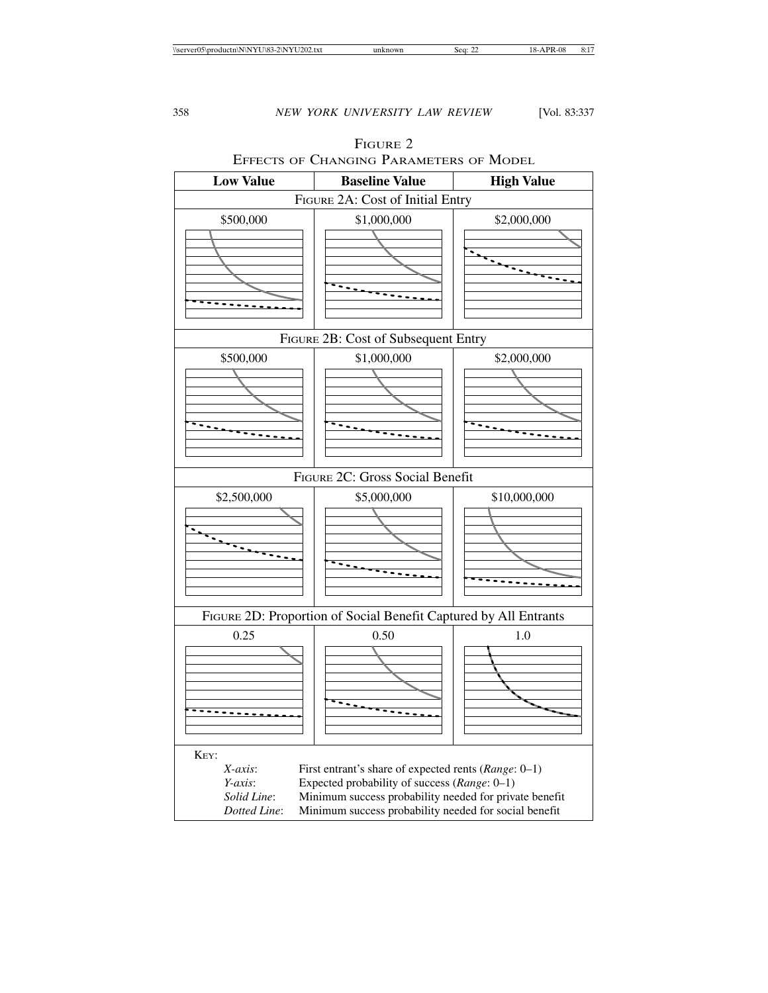

# FIGURE 2 EFFECTS OF CHANGING PARAMETERS OF MODEL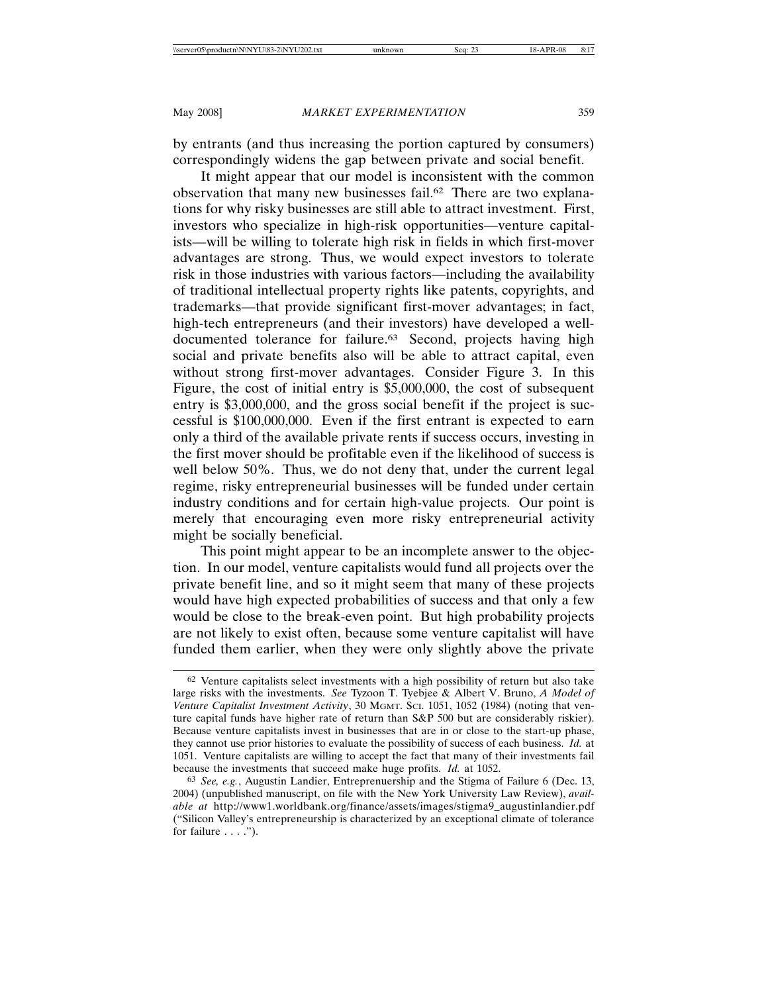by entrants (and thus increasing the portion captured by consumers) correspondingly widens the gap between private and social benefit.

It might appear that our model is inconsistent with the common observation that many new businesses fail.62 There are two explanations for why risky businesses are still able to attract investment. First, investors who specialize in high-risk opportunities—venture capitalists—will be willing to tolerate high risk in fields in which first-mover advantages are strong. Thus, we would expect investors to tolerate risk in those industries with various factors—including the availability of traditional intellectual property rights like patents, copyrights, and trademarks—that provide significant first-mover advantages; in fact, high-tech entrepreneurs (and their investors) have developed a welldocumented tolerance for failure.<sup>63</sup> Second, projects having high social and private benefits also will be able to attract capital, even without strong first-mover advantages. Consider Figure 3. In this Figure, the cost of initial entry is \$5,000,000, the cost of subsequent entry is \$3,000,000, and the gross social benefit if the project is successful is \$100,000,000. Even if the first entrant is expected to earn only a third of the available private rents if success occurs, investing in the first mover should be profitable even if the likelihood of success is well below 50%. Thus, we do not deny that, under the current legal regime, risky entrepreneurial businesses will be funded under certain industry conditions and for certain high-value projects. Our point is merely that encouraging even more risky entrepreneurial activity might be socially beneficial.

This point might appear to be an incomplete answer to the objection. In our model, venture capitalists would fund all projects over the private benefit line, and so it might seem that many of these projects would have high expected probabilities of success and that only a few would be close to the break-even point. But high probability projects are not likely to exist often, because some venture capitalist will have funded them earlier, when they were only slightly above the private

<sup>62</sup> Venture capitalists select investments with a high possibility of return but also take large risks with the investments. *See* Tyzoon T. Tyebjee & Albert V. Bruno, *A Model of Venture Capitalist Investment Activity*, 30 MGMT. SCI. 1051, 1052 (1984) (noting that venture capital funds have higher rate of return than S&P 500 but are considerably riskier). Because venture capitalists invest in businesses that are in or close to the start-up phase, they cannot use prior histories to evaluate the possibility of success of each business. *Id.* at 1051. Venture capitalists are willing to accept the fact that many of their investments fail because the investments that succeed make huge profits. *Id.* at 1052.

<sup>63</sup> *See, e.g.*, Augustin Landier, Entreprenuership and the Stigma of Failure 6 (Dec. 13, 2004) (unpublished manuscript, on file with the New York University Law Review), *available at* http://www1.worldbank.org/finance/assets/images/stigma9\_augustinlandier.pdf ("Silicon Valley's entrepreneurship is characterized by an exceptional climate of tolerance for failure  $\dots$ .").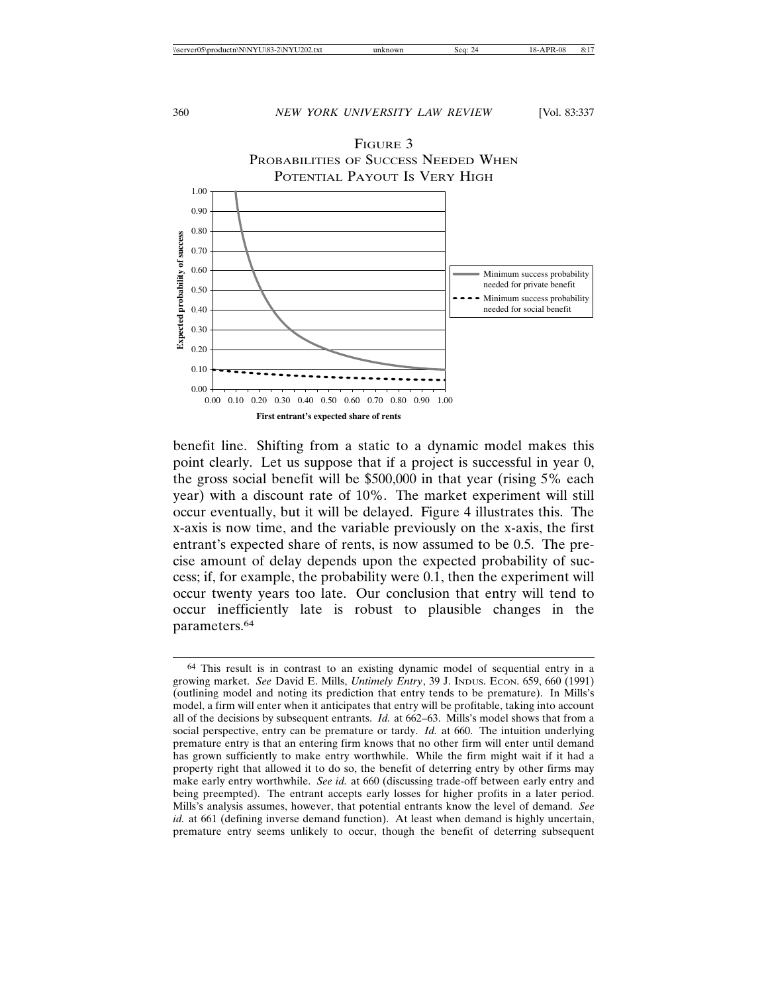

benefit line. Shifting from a static to a dynamic model makes this point clearly. Let us suppose that if a project is successful in year 0, the gross social benefit will be \$500,000 in that year (rising 5% each year) with a discount rate of 10%. The market experiment will still occur eventually, but it will be delayed. Figure 4 illustrates this. The x-axis is now time, and the variable previously on the x-axis, the first entrant's expected share of rents, is now assumed to be 0.5. The precise amount of delay depends upon the expected probability of success; if, for example, the probability were 0.1, then the experiment will occur twenty years too late. Our conclusion that entry will tend to occur inefficiently late is robust to plausible changes in the parameters.64

<sup>64</sup> This result is in contrast to an existing dynamic model of sequential entry in a growing market. *See* David E. Mills, *Untimely Entry*, 39 J. INDUS. ECON. 659, 660 (1991) (outlining model and noting its prediction that entry tends to be premature). In Mills's model, a firm will enter when it anticipates that entry will be profitable, taking into account all of the decisions by subsequent entrants. *Id.* at 662–63. Mills's model shows that from a social perspective, entry can be premature or tardy. *Id.* at 660. The intuition underlying premature entry is that an entering firm knows that no other firm will enter until demand has grown sufficiently to make entry worthwhile. While the firm might wait if it had a property right that allowed it to do so, the benefit of deterring entry by other firms may make early entry worthwhile. *See id.* at 660 (discussing trade-off between early entry and being preempted). The entrant accepts early losses for higher profits in a later period. Mills's analysis assumes, however, that potential entrants know the level of demand. *See id.* at 661 (defining inverse demand function). At least when demand is highly uncertain, premature entry seems unlikely to occur, though the benefit of deterring subsequent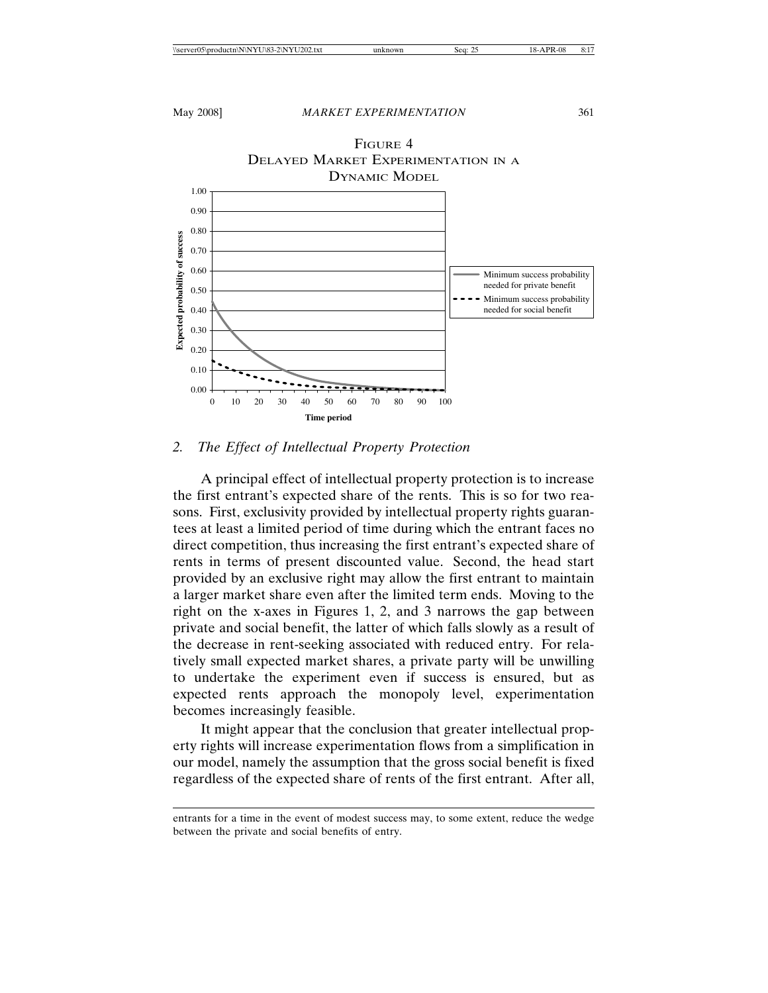

# *2. The Effect of Intellectual Property Protection*

A principal effect of intellectual property protection is to increase the first entrant's expected share of the rents. This is so for two reasons. First, exclusivity provided by intellectual property rights guarantees at least a limited period of time during which the entrant faces no direct competition, thus increasing the first entrant's expected share of rents in terms of present discounted value. Second, the head start provided by an exclusive right may allow the first entrant to maintain a larger market share even after the limited term ends. Moving to the right on the x-axes in Figures 1, 2, and 3 narrows the gap between private and social benefit, the latter of which falls slowly as a result of the decrease in rent-seeking associated with reduced entry. For relatively small expected market shares, a private party will be unwilling to undertake the experiment even if success is ensured, but as expected rents approach the monopoly level, experimentation becomes increasingly feasible.

It might appear that the conclusion that greater intellectual property rights will increase experimentation flows from a simplification in our model, namely the assumption that the gross social benefit is fixed regardless of the expected share of rents of the first entrant. After all,

entrants for a time in the event of modest success may, to some extent, reduce the wedge between the private and social benefits of entry.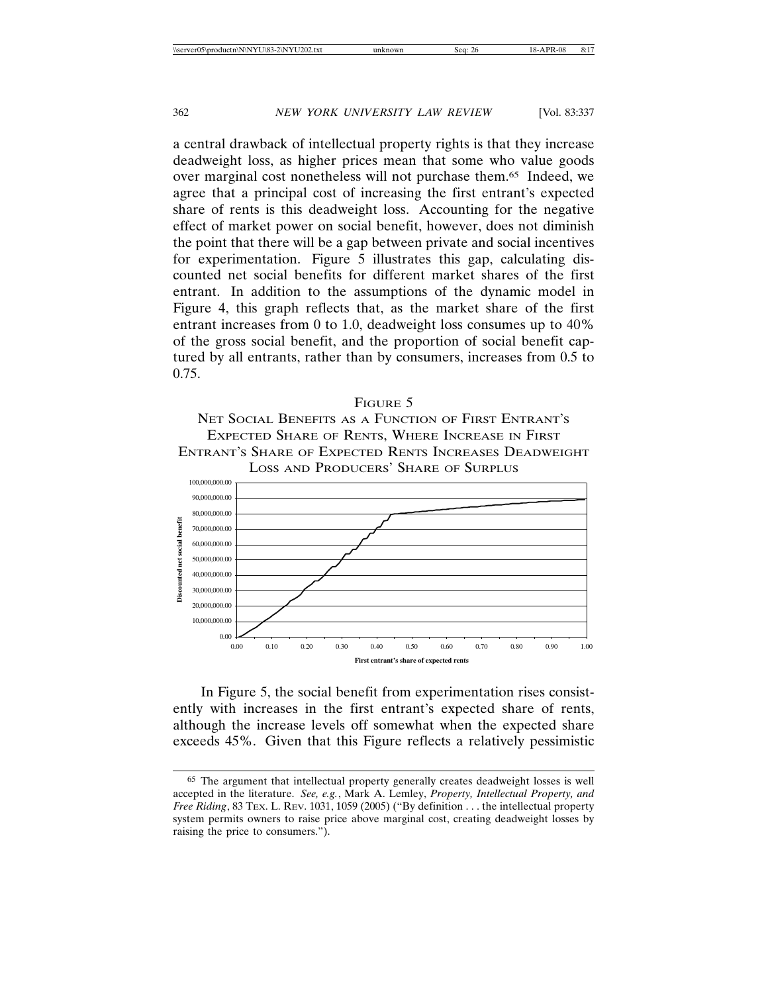a central drawback of intellectual property rights is that they increase deadweight loss, as higher prices mean that some who value goods over marginal cost nonetheless will not purchase them.65 Indeed, we agree that a principal cost of increasing the first entrant's expected share of rents is this deadweight loss. Accounting for the negative effect of market power on social benefit, however, does not diminish the point that there will be a gap between private and social incentives for experimentation. Figure 5 illustrates this gap, calculating discounted net social benefits for different market shares of the first entrant. In addition to the assumptions of the dynamic model in Figure 4, this graph reflects that, as the market share of the first entrant increases from 0 to 1.0, deadweight loss consumes up to 40% of the gross social benefit, and the proportion of social benefit captured by all entrants, rather than by consumers, increases from 0.5 to 0.75.

## FIGURE 5

NET SOCIAL BENEFITS AS A FUNCTION OF FIRST ENTRANT'S EXPECTED SHARE OF RENTS, WHERE INCREASE IN FIRST ENTRANT'S SHARE OF EXPECTED RENTS INCREASES DEADWEIGHT LOSS AND PRODUCERS' SHARE OF SURPLUS



In Figure 5, the social benefit from experimentation rises consistently with increases in the first entrant's expected share of rents, although the increase levels off somewhat when the expected share exceeds 45%. Given that this Figure reflects a relatively pessimistic

<sup>65</sup> The argument that intellectual property generally creates deadweight losses is well accepted in the literature. *See, e.g.*, Mark A. Lemley, *Property, Intellectual Property, and Free Riding*, 83 TEX. L. REV. 1031, 1059 (2005) ("By definition . . . the intellectual property system permits owners to raise price above marginal cost, creating deadweight losses by raising the price to consumers.").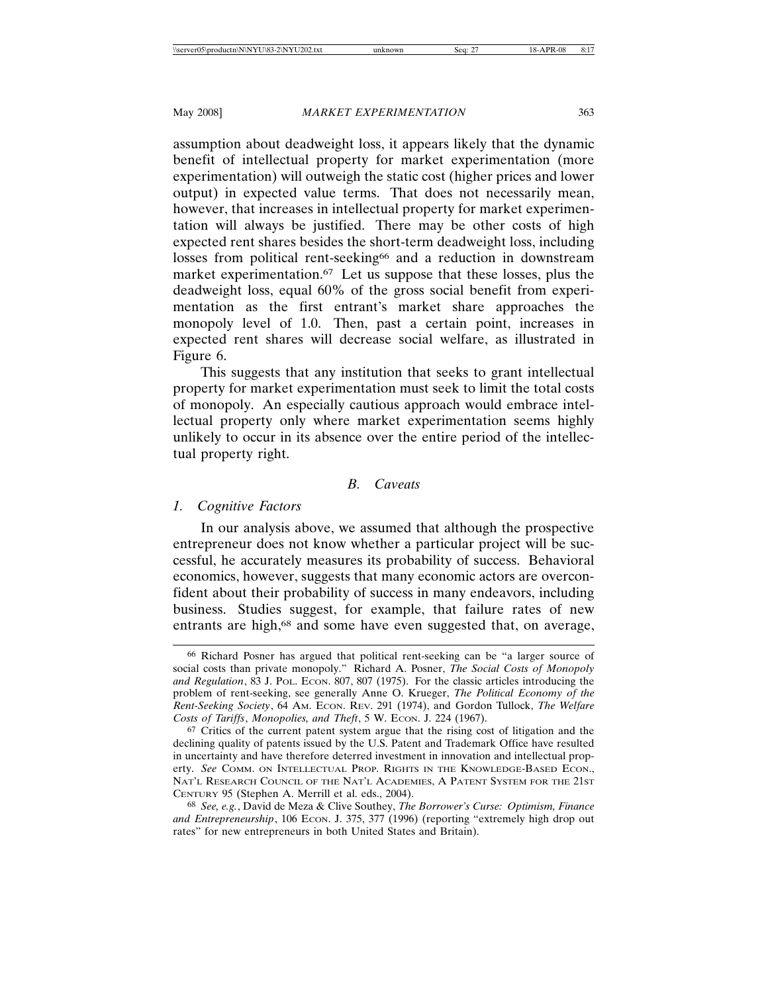assumption about deadweight loss, it appears likely that the dynamic benefit of intellectual property for market experimentation (more experimentation) will outweigh the static cost (higher prices and lower output) in expected value terms. That does not necessarily mean, however, that increases in intellectual property for market experimentation will always be justified. There may be other costs of high expected rent shares besides the short-term deadweight loss, including losses from political rent-seeking<sup>66</sup> and a reduction in downstream market experimentation.<sup>67</sup> Let us suppose that these losses, plus the deadweight loss, equal 60% of the gross social benefit from experimentation as the first entrant's market share approaches the monopoly level of 1.0. Then, past a certain point, increases in expected rent shares will decrease social welfare, as illustrated in Figure 6.

This suggests that any institution that seeks to grant intellectual property for market experimentation must seek to limit the total costs of monopoly. An especially cautious approach would embrace intellectual property only where market experimentation seems highly unlikely to occur in its absence over the entire period of the intellectual property right.

# *B. Caveats*

## *1. Cognitive Factors*

In our analysis above, we assumed that although the prospective entrepreneur does not know whether a particular project will be successful, he accurately measures its probability of success. Behavioral economics, however, suggests that many economic actors are overconfident about their probability of success in many endeavors, including business. Studies suggest, for example, that failure rates of new entrants are high,<sup>68</sup> and some have even suggested that, on average,

<sup>66</sup> Richard Posner has argued that political rent-seeking can be "a larger source of social costs than private monopoly." Richard A. Posner, *The Social Costs of Monopoly* and Regulation, 83 J. Pol. Econ. 807, 807 (1975). For the classic articles introducing the problem of rent-seeking, see generally Anne O. Krueger, *The Political Economy of the Rent-Seeking Society*, 64 AM. ECON. REV. 291 (1974), and Gordon Tullock, *The Welfare Costs of Tariffs*, *Monopolies, and Theft*, 5 W. ECON. J. 224 (1967).

<sup>67</sup> Critics of the current patent system argue that the rising cost of litigation and the declining quality of patents issued by the U.S. Patent and Trademark Office have resulted in uncertainty and have therefore deterred investment in innovation and intellectual property. *See* COMM. ON INTELLECTUAL PROP. RIGHTS IN THE KNOWLEDGE-BASED ECON., NAT'L RESEARCH COUNCIL OF THE NAT'L ACADEMIES, A PATENT SYSTEM FOR THE 21ST CENTURY 95 (Stephen A. Merrill et al. eds., 2004).

<sup>68</sup> *See, e.g.*, David de Meza & Clive Southey, *The Borrower's Curse: Optimism, Finance* and Entrepreneurship, 106 ECON. J. 375, 377 (1996) (reporting "extremely high drop out rates" for new entrepreneurs in both United States and Britain).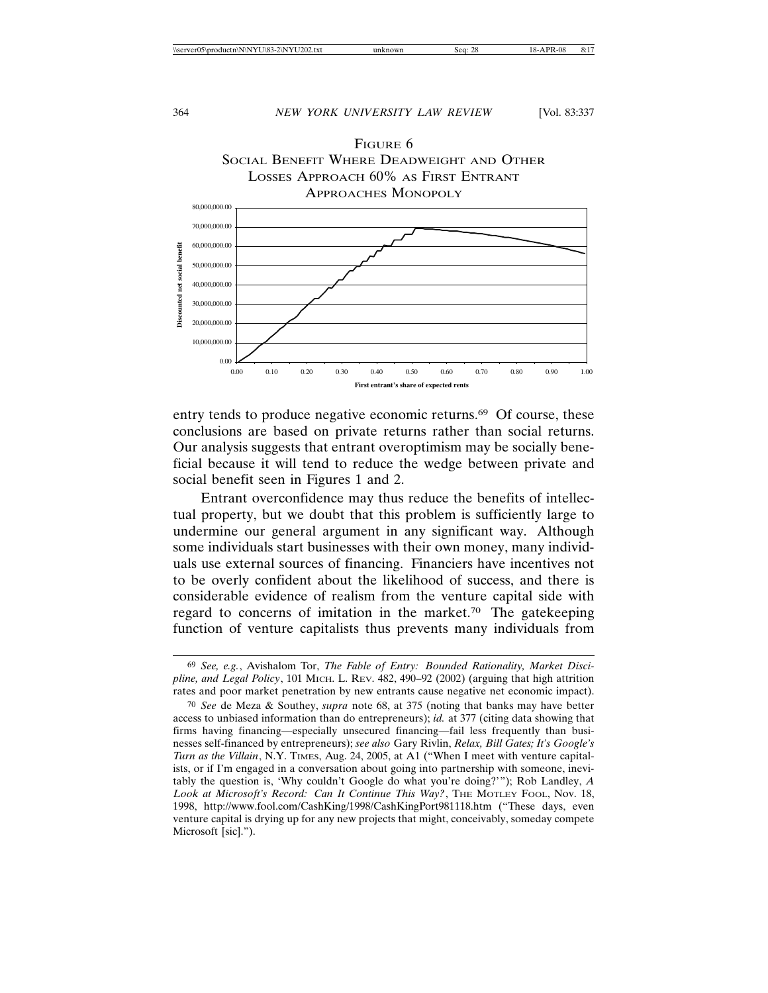

entry tends to produce negative economic returns.<sup>69</sup> Of course, these conclusions are based on private returns rather than social returns. Our analysis suggests that entrant overoptimism may be socially beneficial because it will tend to reduce the wedge between private and social benefit seen in Figures 1 and 2.

Entrant overconfidence may thus reduce the benefits of intellectual property, but we doubt that this problem is sufficiently large to undermine our general argument in any significant way. Although some individuals start businesses with their own money, many individuals use external sources of financing. Financiers have incentives not to be overly confident about the likelihood of success, and there is considerable evidence of realism from the venture capital side with regard to concerns of imitation in the market.70 The gatekeeping function of venture capitalists thus prevents many individuals from

<sup>69</sup> *See, e.g.*, Avishalom Tor, *The Fable of Entry: Bounded Rationality, Market Discipline, and Legal Policy*, 101 MICH. L. REV. 482, 490–92 (2002) (arguing that high attrition rates and poor market penetration by new entrants cause negative net economic impact).

<sup>70</sup> *See* de Meza & Southey, *supra* note 68, at 375 (noting that banks may have better access to unbiased information than do entrepreneurs); *id.* at 377 (citing data showing that firms having financing—especially unsecured financing—fail less frequently than businesses self-financed by entrepreneurs); *see also* Gary Rivlin, *Relax, Bill Gates; It's Google's Turn as the Villain*, N.Y. TIMES, Aug. 24, 2005, at A1 ("When I meet with venture capitalists, or if I'm engaged in a conversation about going into partnership with someone, inevitably the question is, 'Why couldn't Google do what you're doing?'"); Rob Landley, *A Look at Microsoft's Record: Can It Continue This Way?*, THE MOTLEY FOOL, Nov. 18, 1998, http://www.fool.com/CashKing/1998/CashKingPort981118.htm ("These days, even venture capital is drying up for any new projects that might, conceivably, someday compete Microsoft [sic].").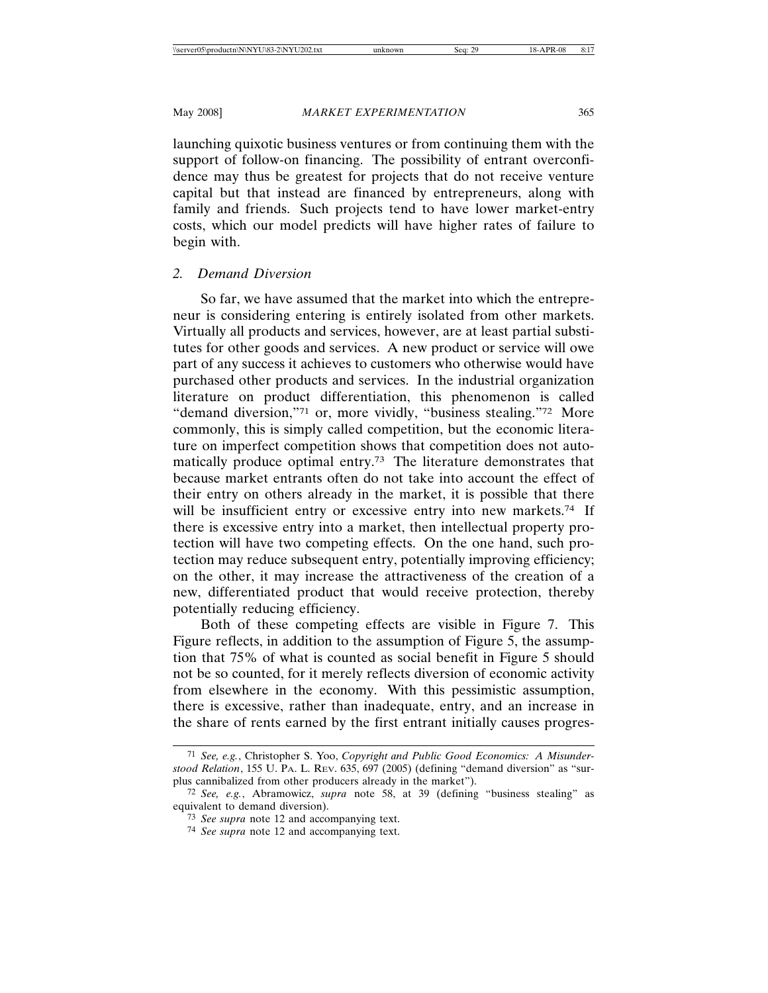launching quixotic business ventures or from continuing them with the support of follow-on financing. The possibility of entrant overconfidence may thus be greatest for projects that do not receive venture capital but that instead are financed by entrepreneurs, along with family and friends. Such projects tend to have lower market-entry costs, which our model predicts will have higher rates of failure to begin with.

## *2. Demand Diversion*

So far, we have assumed that the market into which the entrepreneur is considering entering is entirely isolated from other markets. Virtually all products and services, however, are at least partial substitutes for other goods and services. A new product or service will owe part of any success it achieves to customers who otherwise would have purchased other products and services. In the industrial organization literature on product differentiation, this phenomenon is called "demand diversion,"71 or, more vividly, "business stealing."72 More commonly, this is simply called competition, but the economic literature on imperfect competition shows that competition does not automatically produce optimal entry.73 The literature demonstrates that because market entrants often do not take into account the effect of their entry on others already in the market, it is possible that there will be insufficient entry or excessive entry into new markets.<sup>74</sup> If there is excessive entry into a market, then intellectual property protection will have two competing effects. On the one hand, such protection may reduce subsequent entry, potentially improving efficiency; on the other, it may increase the attractiveness of the creation of a new, differentiated product that would receive protection, thereby potentially reducing efficiency.

Both of these competing effects are visible in Figure 7. This Figure reflects, in addition to the assumption of Figure 5, the assumption that 75% of what is counted as social benefit in Figure 5 should not be so counted, for it merely reflects diversion of economic activity from elsewhere in the economy. With this pessimistic assumption, there is excessive, rather than inadequate, entry, and an increase in the share of rents earned by the first entrant initially causes progres-

<sup>71</sup> *See, e.g.*, Christopher S. Yoo, *Copyright and Public Good Economics: A Misunderstood Relation*, 155 U. PA. L. REV. 635, 697 (2005) (defining "demand diversion" as "surplus cannibalized from other producers already in the market").

<sup>72</sup> *See, e.g.*, Abramowicz, *supra* note 58, at 39 (defining "business stealing" as equivalent to demand diversion).

<sup>73</sup> *See supra* note 12 and accompanying text.

<sup>74</sup> *See supra* note 12 and accompanying text.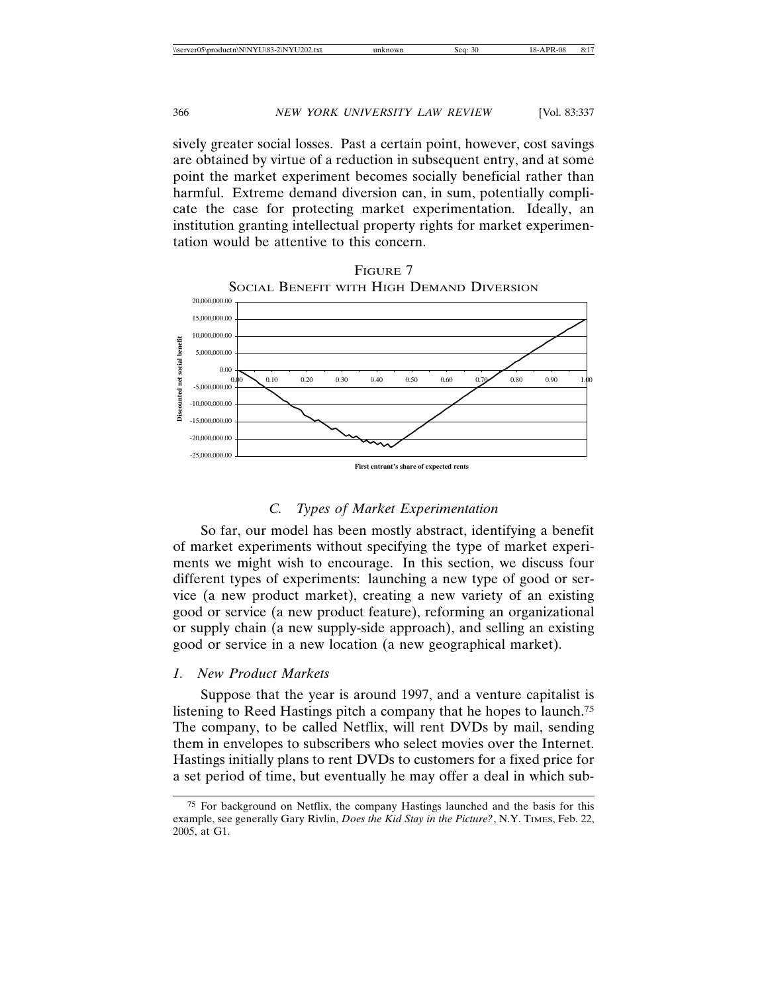sively greater social losses. Past a certain point, however, cost savings are obtained by virtue of a reduction in subsequent entry, and at some point the market experiment becomes socially beneficial rather than harmful. Extreme demand diversion can, in sum, potentially complicate the case for protecting market experimentation. Ideally, an institution granting intellectual property rights for market experimentation would be attentive to this concern.



# FIGURE 7 SOCIAL BENEFIT WITH HIGH DEMAND DIVERSION

# *C. Types of Market Experimentation*

So far, our model has been mostly abstract, identifying a benefit of market experiments without specifying the type of market experiments we might wish to encourage. In this section, we discuss four different types of experiments: launching a new type of good or service (a new product market), creating a new variety of an existing good or service (a new product feature), reforming an organizational or supply chain (a new supply-side approach), and selling an existing good or service in a new location (a new geographical market).

## *1. New Product Markets*

Suppose that the year is around 1997, and a venture capitalist is listening to Reed Hastings pitch a company that he hopes to launch.75 The company, to be called Netflix, will rent DVDs by mail, sending them in envelopes to subscribers who select movies over the Internet. Hastings initially plans to rent DVDs to customers for a fixed price for a set period of time, but eventually he may offer a deal in which sub-

<sup>75</sup> For background on Netflix, the company Hastings launched and the basis for this example, see generally Gary Rivlin, *Does the Kid Stay in the Picture?*, N.Y. TIMES, Feb. 22, 2005, at G1.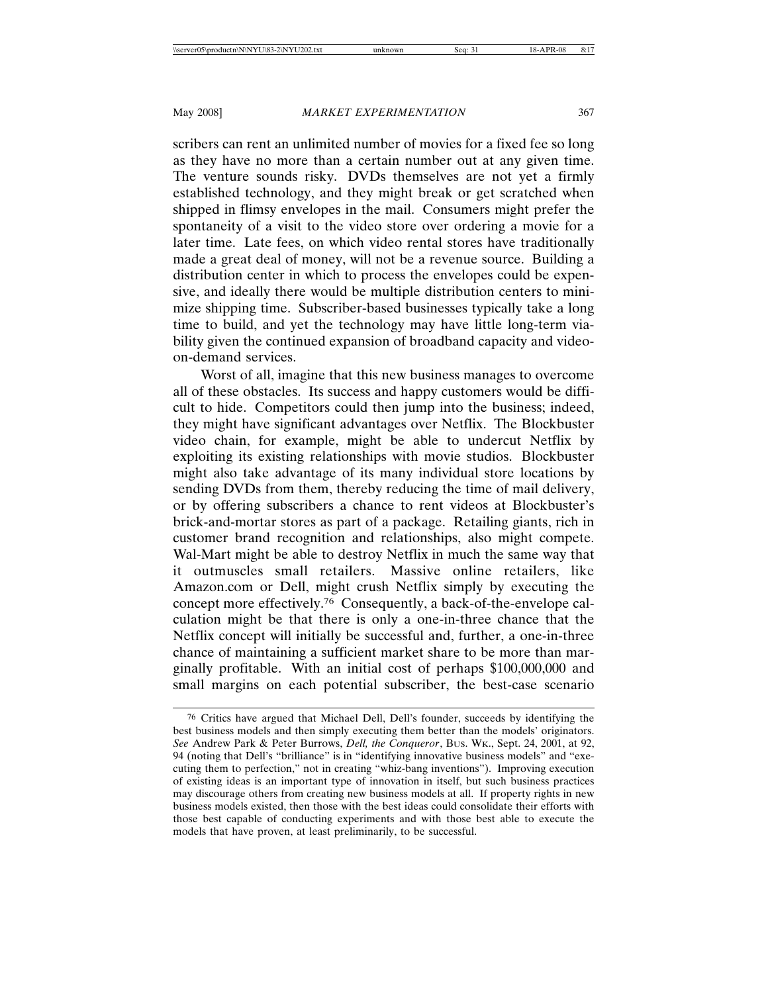scribers can rent an unlimited number of movies for a fixed fee so long as they have no more than a certain number out at any given time. The venture sounds risky. DVDs themselves are not yet a firmly established technology, and they might break or get scratched when shipped in flimsy envelopes in the mail. Consumers might prefer the spontaneity of a visit to the video store over ordering a movie for a later time. Late fees, on which video rental stores have traditionally made a great deal of money, will not be a revenue source. Building a distribution center in which to process the envelopes could be expensive, and ideally there would be multiple distribution centers to minimize shipping time. Subscriber-based businesses typically take a long time to build, and yet the technology may have little long-term viability given the continued expansion of broadband capacity and videoon-demand services.

Worst of all, imagine that this new business manages to overcome all of these obstacles. Its success and happy customers would be difficult to hide. Competitors could then jump into the business; indeed, they might have significant advantages over Netflix. The Blockbuster video chain, for example, might be able to undercut Netflix by exploiting its existing relationships with movie studios. Blockbuster might also take advantage of its many individual store locations by sending DVDs from them, thereby reducing the time of mail delivery, or by offering subscribers a chance to rent videos at Blockbuster's brick-and-mortar stores as part of a package. Retailing giants, rich in customer brand recognition and relationships, also might compete. Wal-Mart might be able to destroy Netflix in much the same way that it outmuscles small retailers. Massive online retailers, like Amazon.com or Dell, might crush Netflix simply by executing the concept more effectively.76 Consequently, a back-of-the-envelope calculation might be that there is only a one-in-three chance that the Netflix concept will initially be successful and, further, a one-in-three chance of maintaining a sufficient market share to be more than marginally profitable. With an initial cost of perhaps \$100,000,000 and small margins on each potential subscriber, the best-case scenario

<sup>76</sup> Critics have argued that Michael Dell, Dell's founder, succeeds by identifying the best business models and then simply executing them better than the models' originators. *See* Andrew Park & Peter Burrows, *Dell, the Conqueror*, BUS. WK., Sept. 24, 2001, at 92, 94 (noting that Dell's "brilliance" is in "identifying innovative business models" and "executing them to perfection," not in creating "whiz-bang inventions"). Improving execution of existing ideas is an important type of innovation in itself, but such business practices may discourage others from creating new business models at all. If property rights in new business models existed, then those with the best ideas could consolidate their efforts with those best capable of conducting experiments and with those best able to execute the models that have proven, at least preliminarily, to be successful.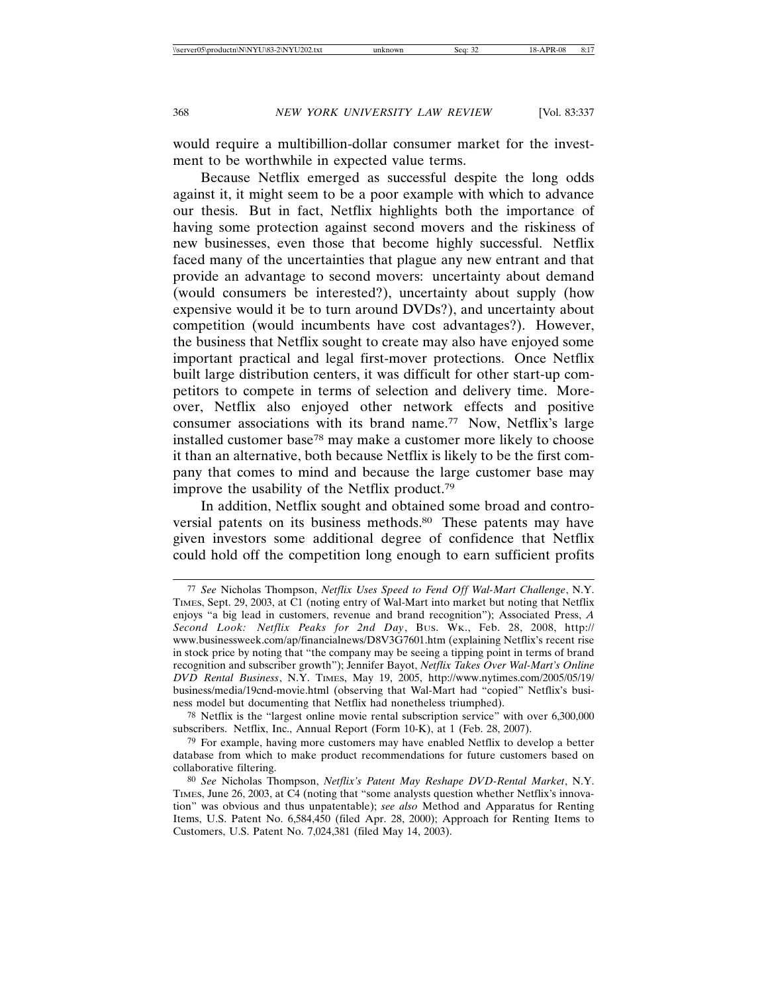would require a multibillion-dollar consumer market for the investment to be worthwhile in expected value terms.

Because Netflix emerged as successful despite the long odds against it, it might seem to be a poor example with which to advance our thesis. But in fact, Netflix highlights both the importance of having some protection against second movers and the riskiness of new businesses, even those that become highly successful. Netflix faced many of the uncertainties that plague any new entrant and that provide an advantage to second movers: uncertainty about demand (would consumers be interested?), uncertainty about supply (how expensive would it be to turn around DVDs?), and uncertainty about competition (would incumbents have cost advantages?). However, the business that Netflix sought to create may also have enjoyed some important practical and legal first-mover protections. Once Netflix built large distribution centers, it was difficult for other start-up competitors to compete in terms of selection and delivery time. Moreover, Netflix also enjoyed other network effects and positive consumer associations with its brand name.77 Now, Netflix's large installed customer base78 may make a customer more likely to choose it than an alternative, both because Netflix is likely to be the first company that comes to mind and because the large customer base may improve the usability of the Netflix product.79

In addition, Netflix sought and obtained some broad and controversial patents on its business methods.80 These patents may have given investors some additional degree of confidence that Netflix could hold off the competition long enough to earn sufficient profits

78 Netflix is the "largest online movie rental subscription service" with over 6,300,000 subscribers. Netflix, Inc., Annual Report (Form 10-K), at 1 (Feb. 28, 2007).

<sup>77</sup> *See* Nicholas Thompson, *Netflix Uses Speed to Fend Off Wal-Mart Challenge*, N.Y. TIMES, Sept. 29, 2003, at C1 (noting entry of Wal-Mart into market but noting that Netflix enjoys "a big lead in customers, revenue and brand recognition"); Associated Press, *A Second Look: Netflix Peaks for 2nd Day*, BUS. WK., Feb. 28, 2008, http:// www.businessweek.com/ap/financialnews/D8V3G7601.htm (explaining Netflix's recent rise in stock price by noting that "the company may be seeing a tipping point in terms of brand recognition and subscriber growth"); Jennifer Bayot, *Netflix Takes Over Wal-Mart's Online DVD Rental Business*, N.Y. TIMES, May 19, 2005, http://www.nytimes.com/2005/05/19/ business/media/19cnd-movie.html (observing that Wal-Mart had "copied" Netflix's business model but documenting that Netflix had nonetheless triumphed).

<sup>79</sup> For example, having more customers may have enabled Netflix to develop a better database from which to make product recommendations for future customers based on collaborative filtering.

<sup>80</sup> *See* Nicholas Thompson, *Netflix's Patent May Reshape DVD-Rental Market*, N.Y. TIMES, June 26, 2003, at C4 (noting that "some analysts question whether Netflix's innovation" was obvious and thus unpatentable); *see also* Method and Apparatus for Renting Items, U.S. Patent No. 6,584,450 (filed Apr. 28, 2000); Approach for Renting Items to Customers, U.S. Patent No. 7,024,381 (filed May 14, 2003).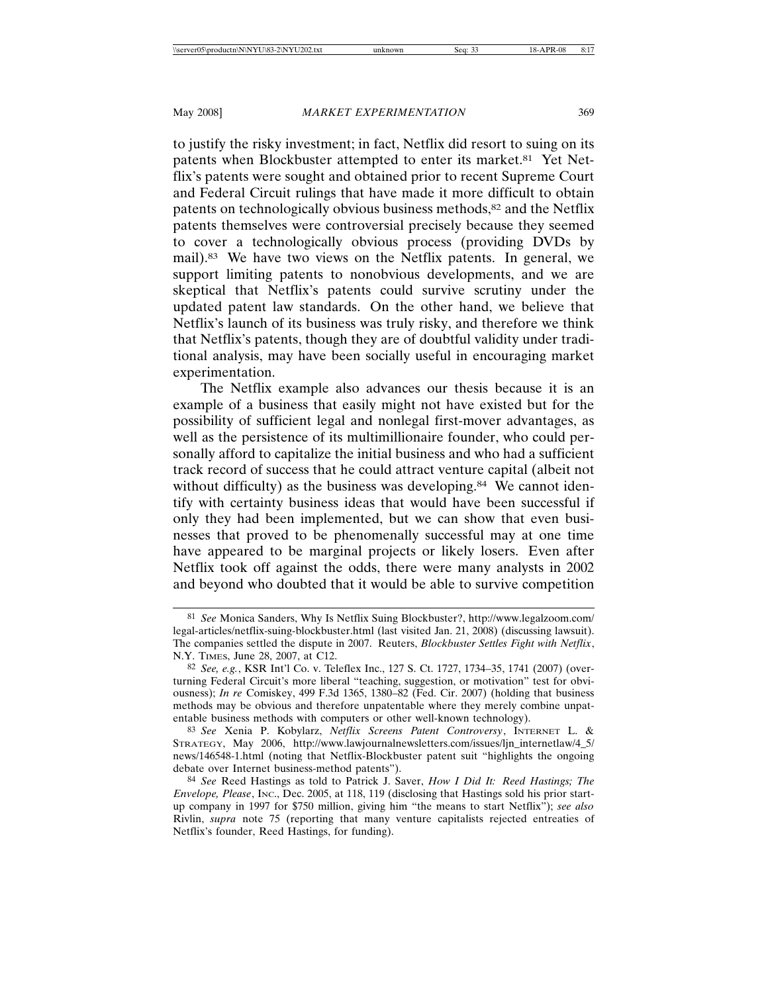to justify the risky investment; in fact, Netflix did resort to suing on its patents when Blockbuster attempted to enter its market.81 Yet Netflix's patents were sought and obtained prior to recent Supreme Court and Federal Circuit rulings that have made it more difficult to obtain patents on technologically obvious business methods,<sup>82</sup> and the Netflix patents themselves were controversial precisely because they seemed to cover a technologically obvious process (providing DVDs by mail).83 We have two views on the Netflix patents. In general, we support limiting patents to nonobvious developments, and we are skeptical that Netflix's patents could survive scrutiny under the updated patent law standards. On the other hand, we believe that Netflix's launch of its business was truly risky, and therefore we think that Netflix's patents, though they are of doubtful validity under traditional analysis, may have been socially useful in encouraging market experimentation.

The Netflix example also advances our thesis because it is an example of a business that easily might not have existed but for the possibility of sufficient legal and nonlegal first-mover advantages, as well as the persistence of its multimillionaire founder, who could personally afford to capitalize the initial business and who had a sufficient track record of success that he could attract venture capital (albeit not without difficulty) as the business was developing.<sup>84</sup> We cannot identify with certainty business ideas that would have been successful if only they had been implemented, but we can show that even businesses that proved to be phenomenally successful may at one time have appeared to be marginal projects or likely losers. Even after Netflix took off against the odds, there were many analysts in 2002 and beyond who doubted that it would be able to survive competition

<sup>81</sup> *See* Monica Sanders, Why Is Netflix Suing Blockbuster?, http://www.legalzoom.com/ legal-articles/netflix-suing-blockbuster.html (last visited Jan. 21, 2008) (discussing lawsuit). The companies settled the dispute in 2007. Reuters, *Blockbuster Settles Fight with Netflix*, N.Y. TIMES, June 28, 2007, at C12.

<sup>82</sup> *See, e.g.*, KSR Int'l Co. v. Teleflex Inc., 127 S. Ct. 1727, 1734–35, 1741 (2007) (overturning Federal Circuit's more liberal "teaching, suggestion, or motivation" test for obviousness); *In re* Comiskey, 499 F.3d 1365, 1380–82 (Fed. Cir. 2007) (holding that business methods may be obvious and therefore unpatentable where they merely combine unpatentable business methods with computers or other well-known technology).

<sup>83</sup> *See* Xenia P. Kobylarz, *Netflix Screens Patent Controversy*, INTERNET L. & STRATEGY, May 2006, http://www.lawjournalnewsletters.com/issues/ljn\_internetlaw/4\_5/ news/146548-1.html (noting that Netflix-Blockbuster patent suit "highlights the ongoing debate over Internet business-method patents").

<sup>84</sup> *See* Reed Hastings as told to Patrick J. Saver, *How I Did It: Reed Hastings; The Envelope, Please*, INC., Dec. 2005, at 118, 119 (disclosing that Hastings sold his prior startup company in 1997 for \$750 million, giving him "the means to start Netflix"); *see also* Rivlin, *supra* note 75 (reporting that many venture capitalists rejected entreaties of Netflix's founder, Reed Hastings, for funding).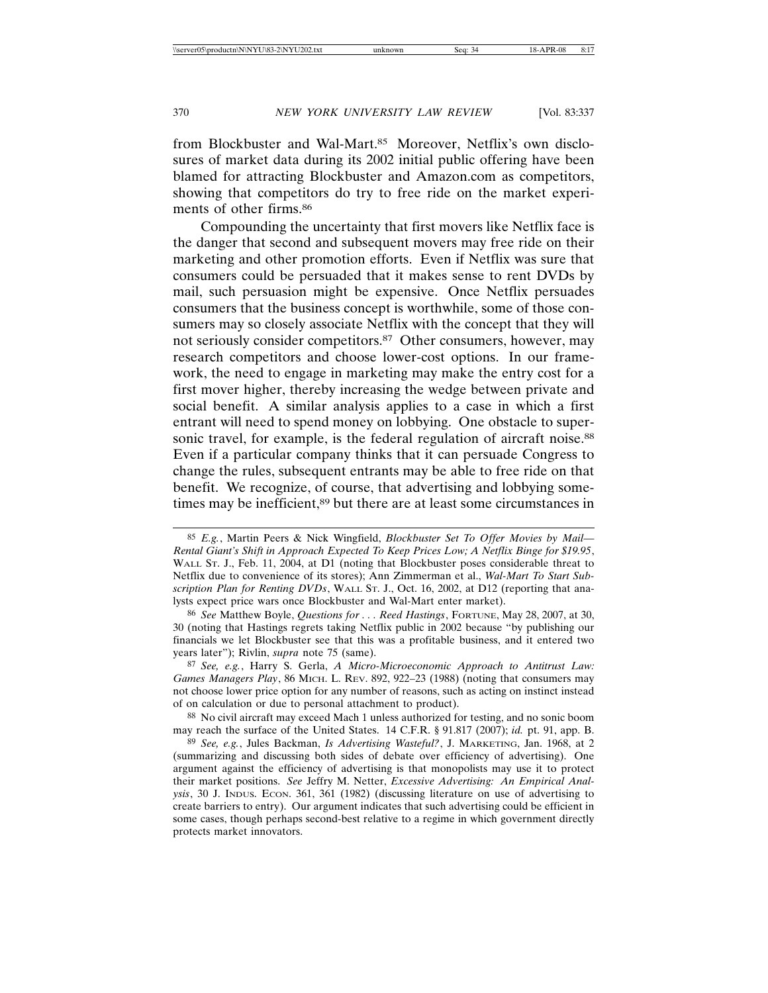from Blockbuster and Wal-Mart.85 Moreover, Netflix's own disclosures of market data during its 2002 initial public offering have been blamed for attracting Blockbuster and Amazon.com as competitors, showing that competitors do try to free ride on the market experiments of other firms.86

Compounding the uncertainty that first movers like Netflix face is the danger that second and subsequent movers may free ride on their marketing and other promotion efforts. Even if Netflix was sure that consumers could be persuaded that it makes sense to rent DVDs by mail, such persuasion might be expensive. Once Netflix persuades consumers that the business concept is worthwhile, some of those consumers may so closely associate Netflix with the concept that they will not seriously consider competitors.<sup>87</sup> Other consumers, however, may research competitors and choose lower-cost options. In our framework, the need to engage in marketing may make the entry cost for a first mover higher, thereby increasing the wedge between private and social benefit. A similar analysis applies to a case in which a first entrant will need to spend money on lobbying. One obstacle to supersonic travel, for example, is the federal regulation of aircraft noise.<sup>88</sup> Even if a particular company thinks that it can persuade Congress to change the rules, subsequent entrants may be able to free ride on that benefit. We recognize, of course, that advertising and lobbying sometimes may be inefficient,<sup>89</sup> but there are at least some circumstances in

87 *See, e.g.*, Harry S. Gerla, *A Micro-Microeconomic Approach to Antitrust Law: Games Managers Play*, 86 MICH. L. REV. 892, 922–23 (1988) (noting that consumers may not choose lower price option for any number of reasons, such as acting on instinct instead of on calculation or due to personal attachment to product).

88 No civil aircraft may exceed Mach 1 unless authorized for testing, and no sonic boom may reach the surface of the United States. 14 C.F.R. § 91.817 (2007); *id.* pt. 91, app. B.

89 *See, e.g.*, Jules Backman, *Is Advertising Wasteful?*, J. MARKETING, Jan. 1968, at 2 (summarizing and discussing both sides of debate over efficiency of advertising). One argument against the efficiency of advertising is that monopolists may use it to protect their market positions. *See* Jeffry M. Netter, *Excessive Advertising: An Empirical Analysis*, 30 J. INDUS. ECON. 361, 361 (1982) (discussing literature on use of advertising to create barriers to entry). Our argument indicates that such advertising could be efficient in some cases, though perhaps second-best relative to a regime in which government directly protects market innovators.

<sup>85</sup> *E.g.*, Martin Peers & Nick Wingfield, *Blockbuster Set To Offer Movies by Mail— Rental Giant's Shift in Approach Expected To Keep Prices Low; A Netflix Binge for \$19.95*, WALL ST. J., Feb. 11, 2004, at D1 (noting that Blockbuster poses considerable threat to Netflix due to convenience of its stores); Ann Zimmerman et al., *Wal-Mart To Start Subscription Plan for Renting DVDs*, WALL ST. J., Oct. 16, 2002, at D12 (reporting that analysts expect price wars once Blockbuster and Wal-Mart enter market).

<sup>86</sup> *See* Matthew Boyle, *Questions for . . . Reed Hastings*, FORTUNE, May 28, 2007, at 30, 30 (noting that Hastings regrets taking Netflix public in 2002 because "by publishing our financials we let Blockbuster see that this was a profitable business, and it entered two years later"); Rivlin, *supra* note 75 (same).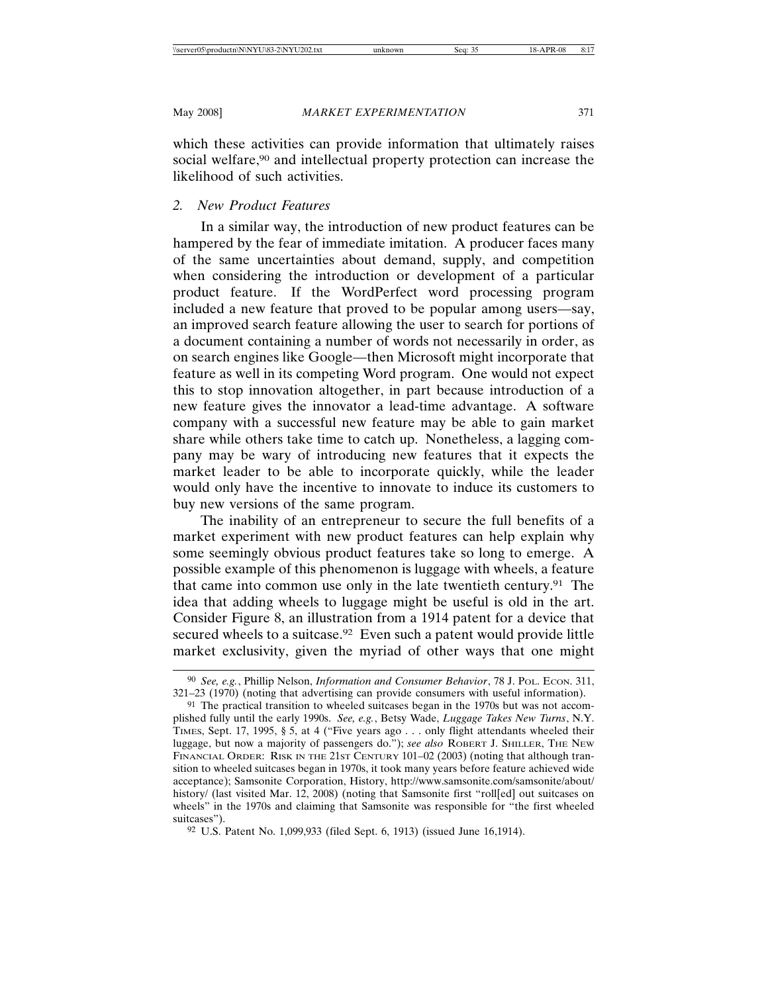which these activities can provide information that ultimately raises social welfare,<sup>90</sup> and intellectual property protection can increase the likelihood of such activities.

# *2. New Product Features*

In a similar way, the introduction of new product features can be hampered by the fear of immediate imitation. A producer faces many of the same uncertainties about demand, supply, and competition when considering the introduction or development of a particular product feature. If the WordPerfect word processing program included a new feature that proved to be popular among users—say, an improved search feature allowing the user to search for portions of a document containing a number of words not necessarily in order, as on search engines like Google—then Microsoft might incorporate that feature as well in its competing Word program. One would not expect this to stop innovation altogether, in part because introduction of a new feature gives the innovator a lead-time advantage. A software company with a successful new feature may be able to gain market share while others take time to catch up. Nonetheless, a lagging company may be wary of introducing new features that it expects the market leader to be able to incorporate quickly, while the leader would only have the incentive to innovate to induce its customers to buy new versions of the same program.

The inability of an entrepreneur to secure the full benefits of a market experiment with new product features can help explain why some seemingly obvious product features take so long to emerge. A possible example of this phenomenon is luggage with wheels, a feature that came into common use only in the late twentieth century.91 The idea that adding wheels to luggage might be useful is old in the art. Consider Figure 8, an illustration from a 1914 patent for a device that secured wheels to a suitcase.<sup>92</sup> Even such a patent would provide little market exclusivity, given the myriad of other ways that one might

<sup>90</sup> *See, e.g.*, Phillip Nelson, *Information and Consumer Behavior*, 78 J. POL. ECON. 311, 321–23 (1970) (noting that advertising can provide consumers with useful information).

<sup>91</sup> The practical transition to wheeled suitcases began in the 1970s but was not accomplished fully until the early 1990s. *See, e.g.*, Betsy Wade, *Luggage Takes New Turns*, N.Y. TIMES, Sept. 17, 1995, § 5, at 4 ("Five years ago . . . only flight attendants wheeled their luggage, but now a majority of passengers do."); *see also* ROBERT J. SHILLER, THE NEW FINANCIAL ORDER: RISK IN THE 21ST CENTURY 101–02 (2003) (noting that although transition to wheeled suitcases began in 1970s, it took many years before feature achieved wide acceptance); Samsonite Corporation, History, http://www.samsonite.com/samsonite/about/ history/ (last visited Mar. 12, 2008) (noting that Samsonite first "roll[ed] out suitcases on wheels" in the 1970s and claiming that Samsonite was responsible for "the first wheeled suitcases").

<sup>92</sup> U.S. Patent No. 1,099,933 (filed Sept. 6, 1913) (issued June 16,1914).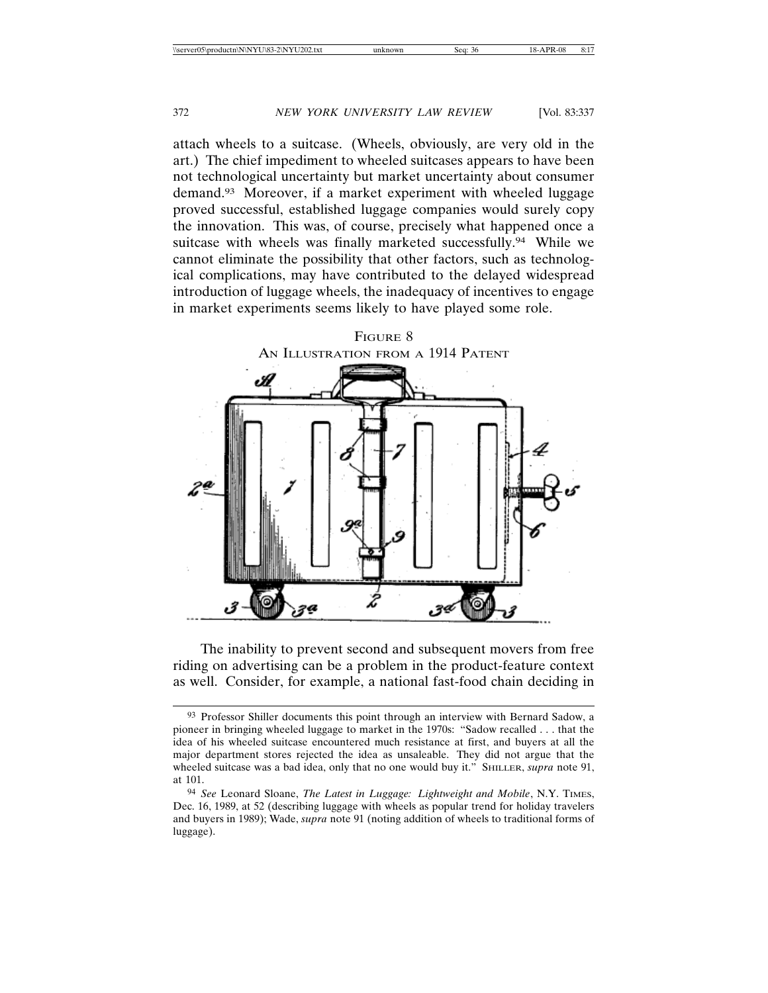attach wheels to a suitcase. (Wheels, obviously, are very old in the art.) The chief impediment to wheeled suitcases appears to have been not technological uncertainty but market uncertainty about consumer demand.93 Moreover, if a market experiment with wheeled luggage proved successful, established luggage companies would surely copy the innovation. This was, of course, precisely what happened once a suitcase with wheels was finally marketed successfully.<sup>94</sup> While we cannot eliminate the possibility that other factors, such as technological complications, may have contributed to the delayed widespread introduction of luggage wheels, the inadequacy of incentives to engage in market experiments seems likely to have played some role.



The inability to prevent second and subsequent movers from free riding on advertising can be a problem in the product-feature context as well. Consider, for example, a national fast-food chain deciding in

<sup>93</sup> Professor Shiller documents this point through an interview with Bernard Sadow, a pioneer in bringing wheeled luggage to market in the 1970s: "Sadow recalled . . . that the idea of his wheeled suitcase encountered much resistance at first, and buyers at all the major department stores rejected the idea as unsaleable. They did not argue that the wheeled suitcase was a bad idea, only that no one would buy it." SHILLER, *supra* note 91, at 101.

<sup>94</sup> *See* Leonard Sloane, *The Latest in Luggage: Lightweight and Mobile*, N.Y. TIMES, Dec. 16, 1989, at 52 (describing luggage with wheels as popular trend for holiday travelers and buyers in 1989); Wade, *supra* note 91 (noting addition of wheels to traditional forms of luggage).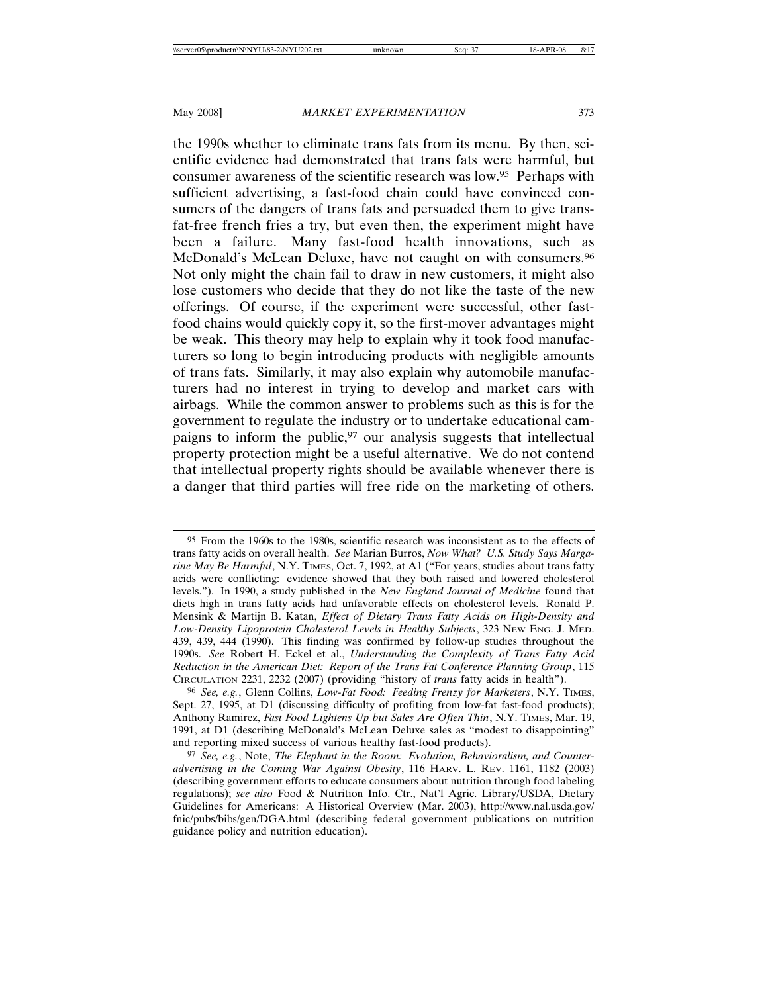the 1990s whether to eliminate trans fats from its menu. By then, scientific evidence had demonstrated that trans fats were harmful, but consumer awareness of the scientific research was low.95 Perhaps with sufficient advertising, a fast-food chain could have convinced consumers of the dangers of trans fats and persuaded them to give transfat-free french fries a try, but even then, the experiment might have been a failure. Many fast-food health innovations, such as McDonald's McLean Deluxe, have not caught on with consumers.<sup>96</sup> Not only might the chain fail to draw in new customers, it might also lose customers who decide that they do not like the taste of the new offerings. Of course, if the experiment were successful, other fastfood chains would quickly copy it, so the first-mover advantages might be weak. This theory may help to explain why it took food manufacturers so long to begin introducing products with negligible amounts of trans fats. Similarly, it may also explain why automobile manufacturers had no interest in trying to develop and market cars with airbags. While the common answer to problems such as this is for the government to regulate the industry or to undertake educational campaigns to inform the public,97 our analysis suggests that intellectual property protection might be a useful alternative. We do not contend that intellectual property rights should be available whenever there is a danger that third parties will free ride on the marketing of others.

<sup>95</sup> From the 1960s to the 1980s, scientific research was inconsistent as to the effects of trans fatty acids on overall health. *See* Marian Burros, *Now What? U.S. Study Says Margarine May Be Harmful*, N.Y. TIMES, Oct. 7, 1992, at A1 ("For years, studies about trans fatty acids were conflicting: evidence showed that they both raised and lowered cholesterol levels."). In 1990, a study published in the *New England Journal of Medicine* found that diets high in trans fatty acids had unfavorable effects on cholesterol levels. Ronald P. Mensink & Martijn B. Katan, *Effect of Dietary Trans Fatty Acids on High-Density and Low-Density Lipoprotein Cholesterol Levels in Healthy Subjects*, 323 NEW ENG. J. MED. 439, 439, 444 (1990). This finding was confirmed by follow-up studies throughout the 1990s. *See* Robert H. Eckel et al., *Understanding the Complexity of Trans Fatty Acid Reduction in the American Diet: Report of the Trans Fat Conference Planning Group*, 115 CIRCULATION 2231, 2232 (2007) (providing "history of *trans* fatty acids in health").

<sup>96</sup> *See, e.g.*, Glenn Collins, *Low-Fat Food: Feeding Frenzy for Marketers*, N.Y. TIMES, Sept. 27, 1995, at D1 (discussing difficulty of profiting from low-fat fast-food products); Anthony Ramirez, *Fast Food Lightens Up but Sales Are Often Thin*, N.Y. TIMES, Mar. 19, 1991, at D1 (describing McDonald's McLean Deluxe sales as "modest to disappointing" and reporting mixed success of various healthy fast-food products).

<sup>97</sup> *See, e.g.*, Note, *The Elephant in the Room: Evolution, Behavioralism, and Counteradvertising in the Coming War Against Obesity*, 116 HARV. L. REV. 1161, 1182 (2003) (describing government efforts to educate consumers about nutrition through food labeling regulations); *see also* Food & Nutrition Info. Ctr., Nat'l Agric. Library/USDA, Dietary Guidelines for Americans: A Historical Overview (Mar. 2003), http://www.nal.usda.gov/ fnic/pubs/bibs/gen/DGA.html (describing federal government publications on nutrition guidance policy and nutrition education).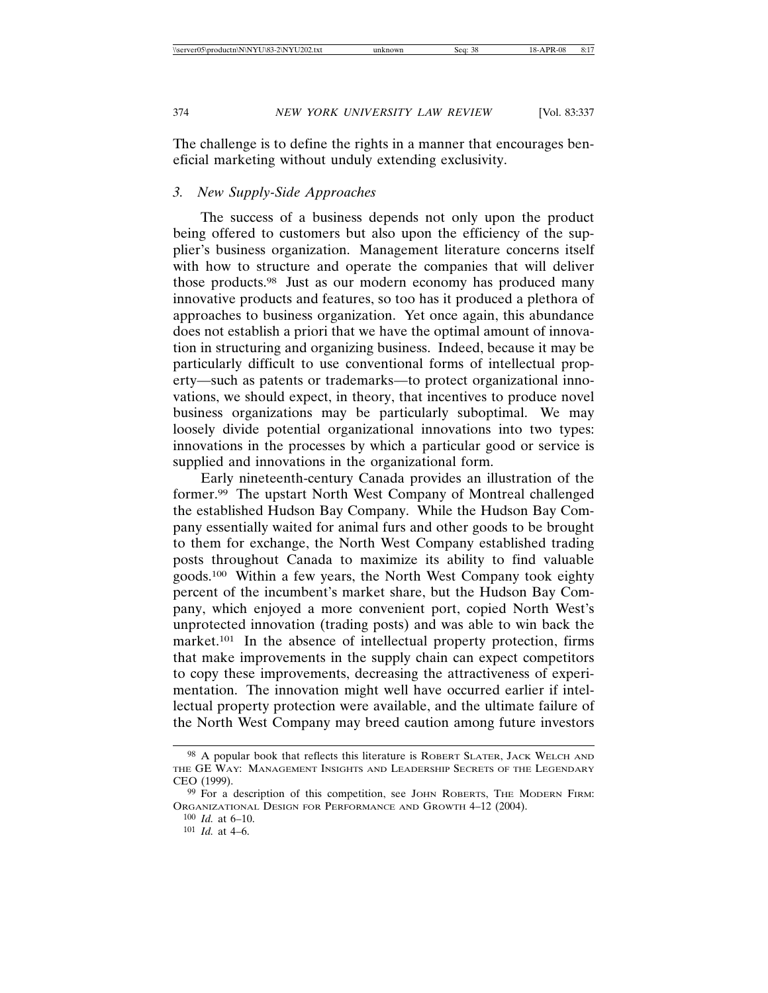The challenge is to define the rights in a manner that encourages beneficial marketing without unduly extending exclusivity.

# *3. New Supply-Side Approaches*

The success of a business depends not only upon the product being offered to customers but also upon the efficiency of the supplier's business organization. Management literature concerns itself with how to structure and operate the companies that will deliver those products.98 Just as our modern economy has produced many innovative products and features, so too has it produced a plethora of approaches to business organization. Yet once again, this abundance does not establish a priori that we have the optimal amount of innovation in structuring and organizing business. Indeed, because it may be particularly difficult to use conventional forms of intellectual property—such as patents or trademarks—to protect organizational innovations, we should expect, in theory, that incentives to produce novel business organizations may be particularly suboptimal. We may loosely divide potential organizational innovations into two types: innovations in the processes by which a particular good or service is supplied and innovations in the organizational form.

Early nineteenth-century Canada provides an illustration of the former.99 The upstart North West Company of Montreal challenged the established Hudson Bay Company. While the Hudson Bay Company essentially waited for animal furs and other goods to be brought to them for exchange, the North West Company established trading posts throughout Canada to maximize its ability to find valuable goods.100 Within a few years, the North West Company took eighty percent of the incumbent's market share, but the Hudson Bay Company, which enjoyed a more convenient port, copied North West's unprotected innovation (trading posts) and was able to win back the market.101 In the absence of intellectual property protection, firms that make improvements in the supply chain can expect competitors to copy these improvements, decreasing the attractiveness of experimentation. The innovation might well have occurred earlier if intellectual property protection were available, and the ultimate failure of the North West Company may breed caution among future investors

<sup>98</sup> A popular book that reflects this literature is ROBERT SLATER, JACK WELCH AND THE GE WAY: MANAGEMENT INSIGHTS AND LEADERSHIP SECRETS OF THE LEGENDARY CEO (1999).

<sup>99</sup> For a description of this competition, see JOHN ROBERTS, THE MODERN FIRM: ORGANIZATIONAL DESIGN FOR PERFORMANCE AND GROWTH 4–12 (2004).

<sup>100</sup> *Id.* at 6–10.

<sup>101</sup> *Id.* at 4–6.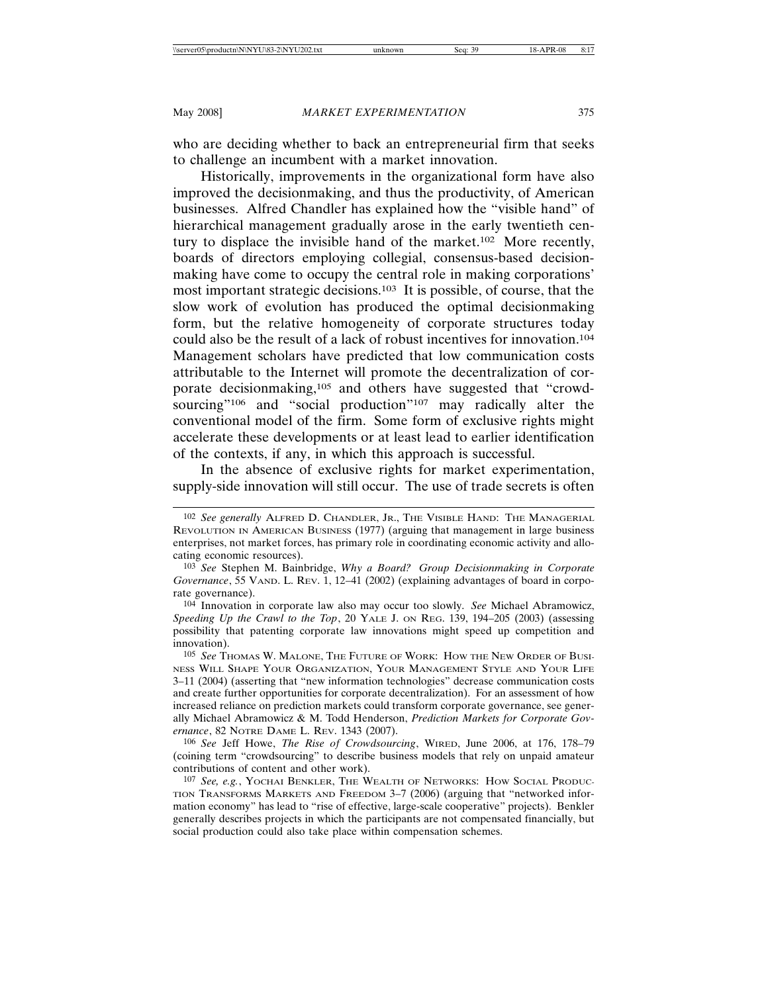who are deciding whether to back an entrepreneurial firm that seeks to challenge an incumbent with a market innovation.

Historically, improvements in the organizational form have also improved the decisionmaking, and thus the productivity, of American businesses. Alfred Chandler has explained how the "visible hand" of hierarchical management gradually arose in the early twentieth century to displace the invisible hand of the market.102 More recently, boards of directors employing collegial, consensus-based decisionmaking have come to occupy the central role in making corporations' most important strategic decisions.103 It is possible, of course, that the slow work of evolution has produced the optimal decisionmaking form, but the relative homogeneity of corporate structures today could also be the result of a lack of robust incentives for innovation.104 Management scholars have predicted that low communication costs attributable to the Internet will promote the decentralization of corporate decisionmaking,105 and others have suggested that "crowdsourcing"<sup>106</sup> and "social production"<sup>107</sup> may radically alter the conventional model of the firm. Some form of exclusive rights might accelerate these developments or at least lead to earlier identification of the contexts, if any, in which this approach is successful.

In the absence of exclusive rights for market experimentation, supply-side innovation will still occur. The use of trade secrets is often

106 *See* Jeff Howe, *The Rise of Crowdsourcing*, WIRED, June 2006, at 176, 178–79 (coining term "crowdsourcing" to describe business models that rely on unpaid amateur contributions of content and other work).

<sup>102</sup> *See generally* ALFRED D. CHANDLER, JR., THE VISIBLE HAND: THE MANAGERIAL REVOLUTION IN AMERICAN BUSINESS (1977) (arguing that management in large business enterprises, not market forces, has primary role in coordinating economic activity and allocating economic resources).

<sup>103</sup> *See* Stephen M. Bainbridge, *Why a Board? Group Decisionmaking in Corporate Governance*, 55 VAND. L. REV. 1, 12–41 (2002) (explaining advantages of board in corporate governance).

<sup>104</sup> Innovation in corporate law also may occur too slowly. *See* Michael Abramowicz, *Speeding Up the Crawl to the Top*, 20 YALE J. ON REG. 139, 194–205 (2003) (assessing possibility that patenting corporate law innovations might speed up competition and innovation).

<sup>105</sup> *See* THOMAS W. MALONE, THE FUTURE OF WORK: HOW THE NEW ORDER OF BUSI-NESS WILL SHAPE YOUR ORGANIZATION, YOUR MANAGEMENT STYLE AND YOUR LIFE 3–11 (2004) (asserting that "new information technologies" decrease communication costs and create further opportunities for corporate decentralization). For an assessment of how increased reliance on prediction markets could transform corporate governance, see generally Michael Abramowicz & M. Todd Henderson, *Prediction Markets for Corporate Governance*, 82 NOTRE DAME L. REV. 1343 (2007).

<sup>107</sup> *See, e.g.*, YOCHAI BENKLER, THE WEALTH OF NETWORKS: HOW SOCIAL PRODUC-TION TRANSFORMS MARKETS AND FREEDOM 3–7 (2006) (arguing that "networked information economy" has lead to "rise of effective, large-scale cooperative" projects). Benkler generally describes projects in which the participants are not compensated financially, but social production could also take place within compensation schemes.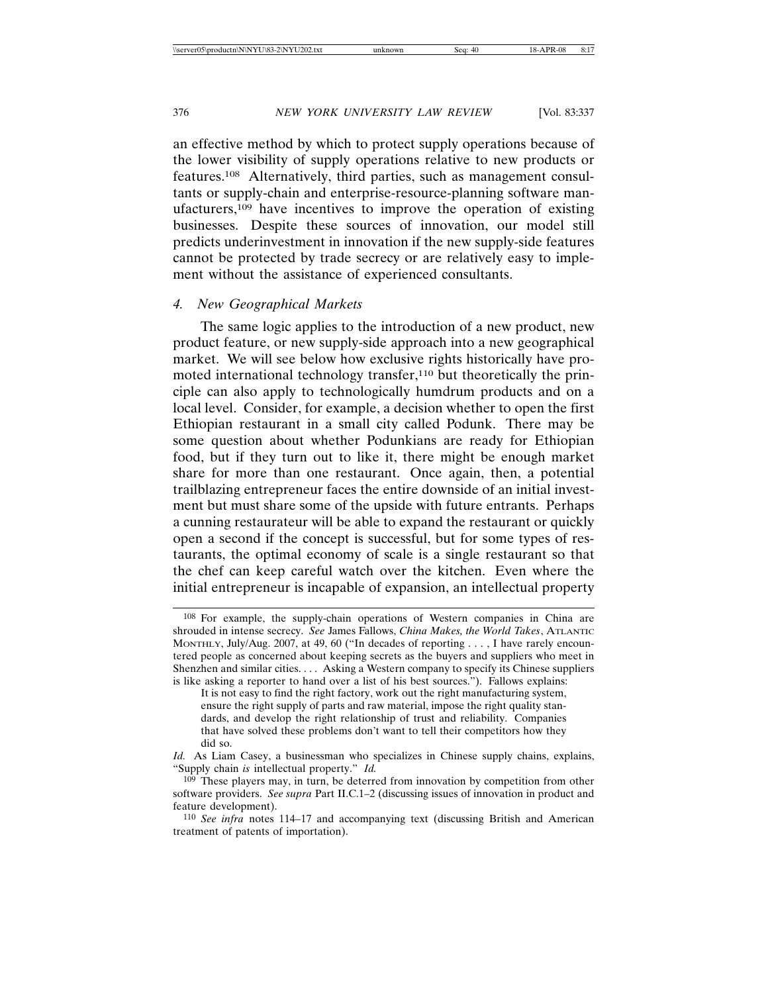an effective method by which to protect supply operations because of the lower visibility of supply operations relative to new products or features.108 Alternatively, third parties, such as management consultants or supply-chain and enterprise-resource-planning software manufacturers,109 have incentives to improve the operation of existing businesses. Despite these sources of innovation, our model still predicts underinvestment in innovation if the new supply-side features cannot be protected by trade secrecy or are relatively easy to implement without the assistance of experienced consultants.

## *4. New Geographical Markets*

The same logic applies to the introduction of a new product, new product feature, or new supply-side approach into a new geographical market. We will see below how exclusive rights historically have promoted international technology transfer,<sup>110</sup> but theoretically the principle can also apply to technologically humdrum products and on a local level. Consider, for example, a decision whether to open the first Ethiopian restaurant in a small city called Podunk. There may be some question about whether Podunkians are ready for Ethiopian food, but if they turn out to like it, there might be enough market share for more than one restaurant. Once again, then, a potential trailblazing entrepreneur faces the entire downside of an initial investment but must share some of the upside with future entrants. Perhaps a cunning restaurateur will be able to expand the restaurant or quickly open a second if the concept is successful, but for some types of restaurants, the optimal economy of scale is a single restaurant so that the chef can keep careful watch over the kitchen. Even where the initial entrepreneur is incapable of expansion, an intellectual property

<sup>108</sup> For example, the supply-chain operations of Western companies in China are shrouded in intense secrecy. *See* James Fallows, *China Makes, the World Takes*, ATLANTIC MONTHLY, July/Aug. 2007, at 49, 60 ("In decades of reporting . . . , I have rarely encountered people as concerned about keeping secrets as the buyers and suppliers who meet in Shenzhen and similar cities. . . . Asking a Western company to specify its Chinese suppliers is like asking a reporter to hand over a list of his best sources."). Fallows explains:

It is not easy to find the right factory, work out the right manufacturing system, ensure the right supply of parts and raw material, impose the right quality standards, and develop the right relationship of trust and reliability. Companies that have solved these problems don't want to tell their competitors how they did so.

*Id.* As Liam Casey, a businessman who specializes in Chinese supply chains, explains, "Supply chain *is* intellectual property." *Id.*

<sup>109</sup> These players may, in turn, be deterred from innovation by competition from other software providers. *See supra* Part II.C.1–2 (discussing issues of innovation in product and feature development).

<sup>110</sup> *See infra* notes 114–17 and accompanying text (discussing British and American treatment of patents of importation).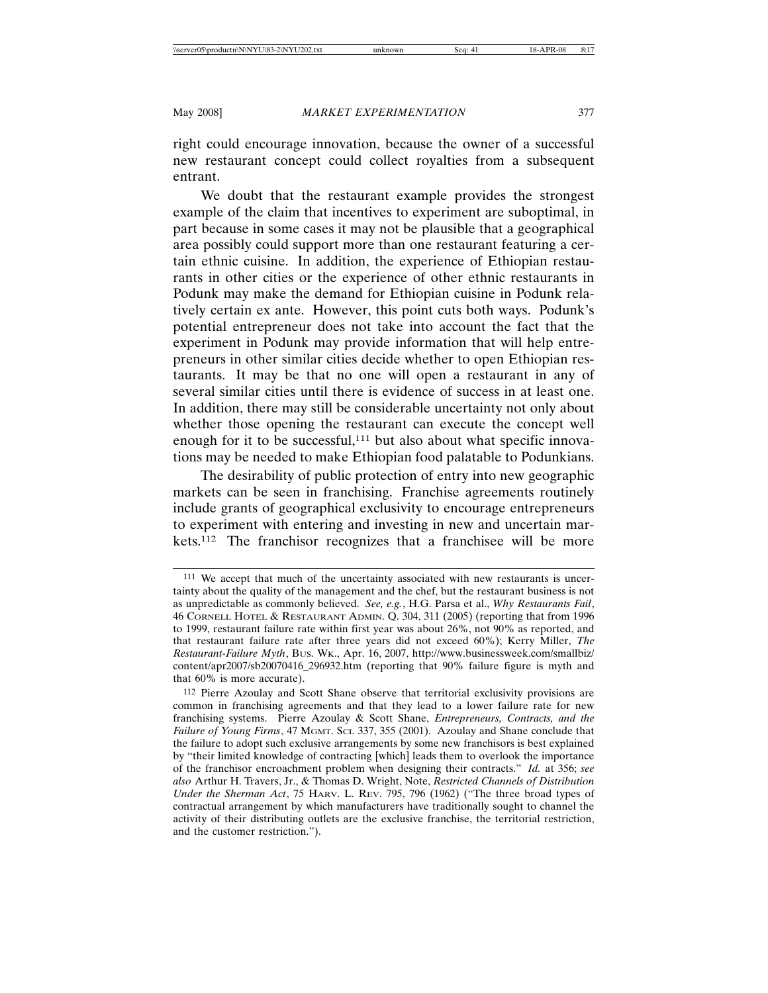right could encourage innovation, because the owner of a successful new restaurant concept could collect royalties from a subsequent entrant.

We doubt that the restaurant example provides the strongest example of the claim that incentives to experiment are suboptimal, in part because in some cases it may not be plausible that a geographical area possibly could support more than one restaurant featuring a certain ethnic cuisine. In addition, the experience of Ethiopian restaurants in other cities or the experience of other ethnic restaurants in Podunk may make the demand for Ethiopian cuisine in Podunk relatively certain ex ante. However, this point cuts both ways. Podunk's potential entrepreneur does not take into account the fact that the experiment in Podunk may provide information that will help entrepreneurs in other similar cities decide whether to open Ethiopian restaurants. It may be that no one will open a restaurant in any of several similar cities until there is evidence of success in at least one. In addition, there may still be considerable uncertainty not only about whether those opening the restaurant can execute the concept well enough for it to be successful, $111$  but also about what specific innovations may be needed to make Ethiopian food palatable to Podunkians.

The desirability of public protection of entry into new geographic markets can be seen in franchising. Franchise agreements routinely include grants of geographical exclusivity to encourage entrepreneurs to experiment with entering and investing in new and uncertain markets.112 The franchisor recognizes that a franchisee will be more

<sup>111</sup> We accept that much of the uncertainty associated with new restaurants is uncertainty about the quality of the management and the chef, but the restaurant business is not as unpredictable as commonly believed. *See, e.g.*, H.G. Parsa et al., *Why Restaurants Fail*, 46 CORNELL HOTEL & RESTAURANT ADMIN. Q. 304, 311 (2005) (reporting that from 1996 to 1999, restaurant failure rate within first year was about 26%, not 90% as reported, and that restaurant failure rate after three years did not exceed 60%); Kerry Miller, *The Restaurant-Failure Myth*, BUS. WK., Apr. 16, 2007, http://www.businessweek.com/smallbiz/ content/apr2007/sb20070416\_296932.htm (reporting that 90% failure figure is myth and that 60% is more accurate).

<sup>112</sup> Pierre Azoulay and Scott Shane observe that territorial exclusivity provisions are common in franchising agreements and that they lead to a lower failure rate for new franchising systems. Pierre Azoulay & Scott Shane, *Entrepreneurs, Contracts, and the Failure of Young Firms*, 47 MGMT. SCI. 337, 355 (2001). Azoulay and Shane conclude that the failure to adopt such exclusive arrangements by some new franchisors is best explained by "their limited knowledge of contracting [which] leads them to overlook the importance of the franchisor encroachment problem when designing their contracts." *Id.* at 356; *see also* Arthur H. Travers, Jr., & Thomas D. Wright, Note, *Restricted Channels of Distribution Under the Sherman Act*, 75 HARV. L. REV. 795, 796 (1962) ("The three broad types of contractual arrangement by which manufacturers have traditionally sought to channel the activity of their distributing outlets are the exclusive franchise, the territorial restriction, and the customer restriction.").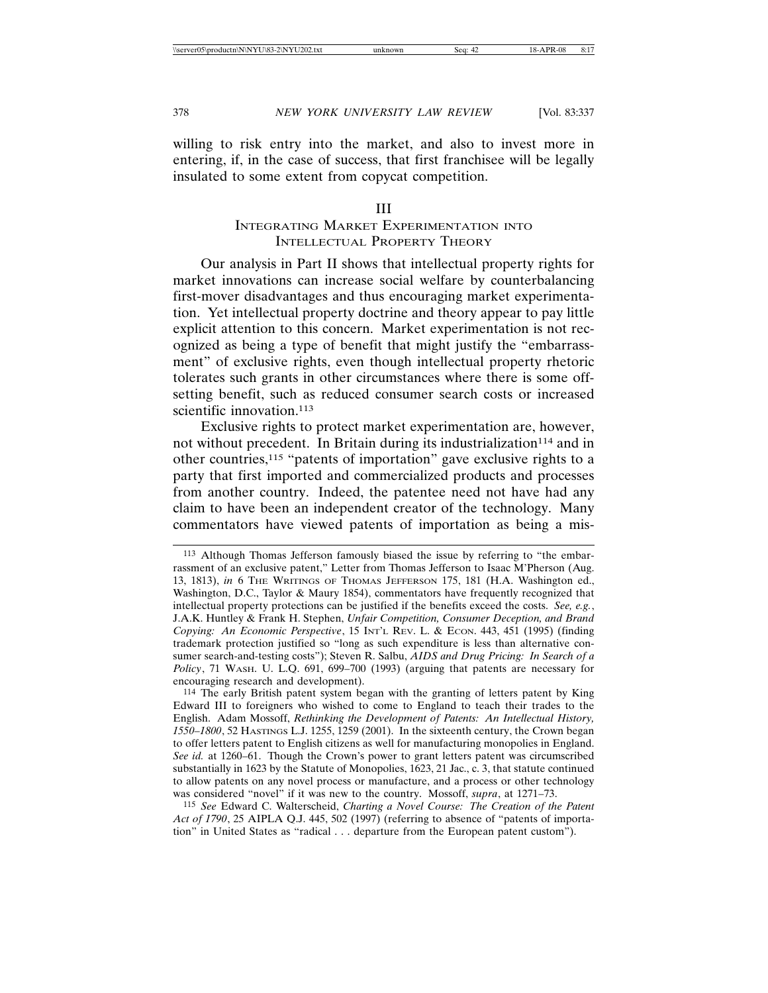willing to risk entry into the market, and also to invest more in entering, if, in the case of success, that first franchisee will be legally insulated to some extent from copycat competition.

## III

# INTEGRATING MARKET EXPERIMENTATION INTO INTELLECTUAL PROPERTY THEORY

Our analysis in Part II shows that intellectual property rights for market innovations can increase social welfare by counterbalancing first-mover disadvantages and thus encouraging market experimentation. Yet intellectual property doctrine and theory appear to pay little explicit attention to this concern. Market experimentation is not recognized as being a type of benefit that might justify the "embarrassment" of exclusive rights, even though intellectual property rhetoric tolerates such grants in other circumstances where there is some offsetting benefit, such as reduced consumer search costs or increased scientific innovation.<sup>113</sup>

Exclusive rights to protect market experimentation are, however, not without precedent. In Britain during its industrialization<sup>114</sup> and in other countries,115 "patents of importation" gave exclusive rights to a party that first imported and commercialized products and processes from another country. Indeed, the patentee need not have had any claim to have been an independent creator of the technology. Many commentators have viewed patents of importation as being a mis-

<sup>113</sup> Although Thomas Jefferson famously biased the issue by referring to "the embarrassment of an exclusive patent," Letter from Thomas Jefferson to Isaac M'Pherson (Aug. 13, 1813), *in* 6 THE WRITINGS OF THOMAS JEFFERSON 175, 181 (H.A. Washington ed., Washington, D.C., Taylor & Maury 1854), commentators have frequently recognized that intellectual property protections can be justified if the benefits exceed the costs. *See, e.g.*, J.A.K. Huntley & Frank H. Stephen, *Unfair Competition, Consumer Deception, and Brand Copying: An Economic Perspective*, 15 INT'L REV. L. & ECON. 443, 451 (1995) (finding trademark protection justified so "long as such expenditure is less than alternative consumer search-and-testing costs"); Steven R. Salbu, *AIDS and Drug Pricing: In Search of a Policy*, 71 WASH. U. L.Q. 691, 699–700 (1993) (arguing that patents are necessary for encouraging research and development).

<sup>114</sup> The early British patent system began with the granting of letters patent by King Edward III to foreigners who wished to come to England to teach their trades to the English. Adam Mossoff, *Rethinking the Development of Patents: An Intellectual History, 1550–1800*, 52 HASTINGS L.J. 1255, 1259 (2001). In the sixteenth century, the Crown began to offer letters patent to English citizens as well for manufacturing monopolies in England. *See id.* at 1260–61. Though the Crown's power to grant letters patent was circumscribed substantially in 1623 by the Statute of Monopolies, 1623, 21 Jac., c. 3, that statute continued to allow patents on any novel process or manufacture, and a process or other technology was considered "novel" if it was new to the country. Mossoff, *supra*, at 1271–73.

<sup>115</sup> *See* Edward C. Walterscheid, *Charting a Novel Course: The Creation of the Patent Act of 1790*, 25 AIPLA Q.J. 445, 502 (1997) (referring to absence of "patents of importation" in United States as "radical . . . departure from the European patent custom").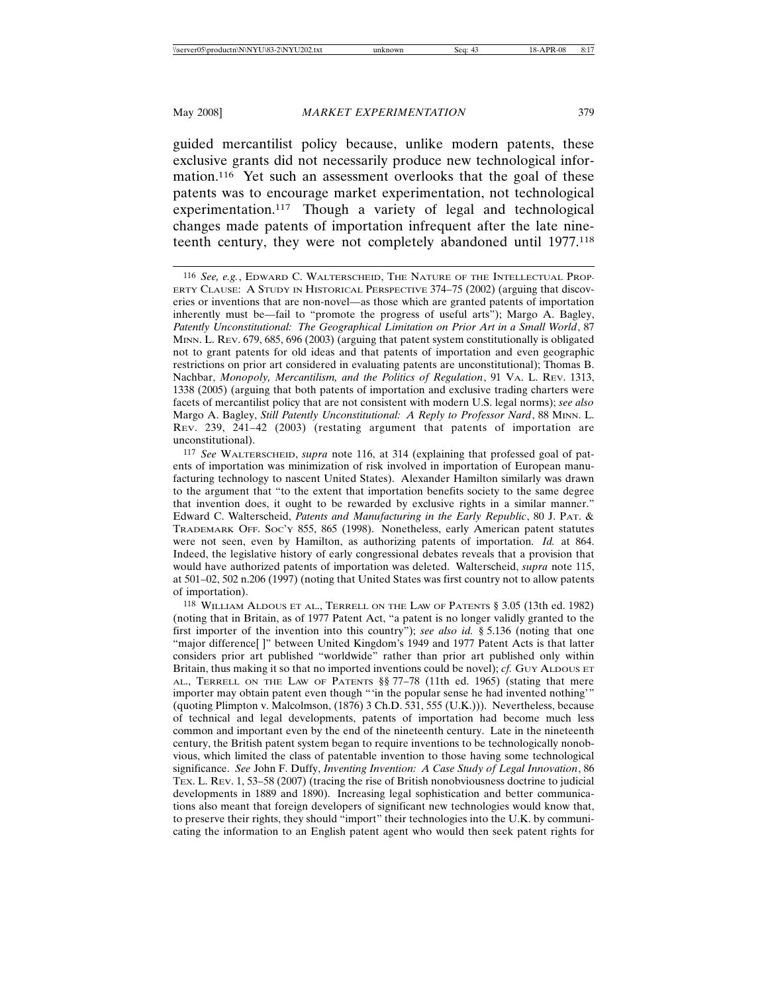guided mercantilist policy because, unlike modern patents, these exclusive grants did not necessarily produce new technological information.<sup>116</sup> Yet such an assessment overlooks that the goal of these patents was to encourage market experimentation, not technological experimentation.117 Though a variety of legal and technological changes made patents of importation infrequent after the late nineteenth century, they were not completely abandoned until 1977.118

<sup>116</sup> *See, e.g.*, EDWARD C. WALTERSCHEID, THE NATURE OF THE INTELLECTUAL PROP-ERTY CLAUSE: A STUDY IN HISTORICAL PERSPECTIVE 374–75 (2002) (arguing that discoveries or inventions that are non-novel—as those which are granted patents of importation inherently must be—fail to "promote the progress of useful arts"); Margo A. Bagley, Patently Unconstitutional: The Geographical Limitation on Prior Art in a Small World, 87 MINN. L. REV. 679, 685, 696 (2003) (arguing that patent system constitutionally is obligated not to grant patents for old ideas and that patents of importation and even geographic restrictions on prior art considered in evaluating patents are unconstitutional); Thomas B. Nachbar, *Monopoly, Mercantilism, and the Politics of Regulation*, 91 VA. L. REV. 1313, 1338 (2005) (arguing that both patents of importation and exclusive trading charters were facets of mercantilist policy that are not consistent with modern U.S. legal norms); *see also* Margo A. Bagley, *Still Patently Unconstitutional: A Reply to Professor Nard*, 88 MINN. L. REV. 239, 241–42 (2003) (restating argument that patents of importation are unconstitutional).

<sup>117</sup> *See* WALTERSCHEID, *supra* note 116, at 314 (explaining that professed goal of patents of importation was minimization of risk involved in importation of European manufacturing technology to nascent United States). Alexander Hamilton similarly was drawn to the argument that "to the extent that importation benefits society to the same degree that invention does, it ought to be rewarded by exclusive rights in a similar manner." Edward C. Walterscheid, *Patents and Manufacturing in the Early Republic*, 80 J. PAT. & TRADEMARK OFF. SOC'Y 855, 865 (1998). Nonetheless, early American patent statutes were not seen, even by Hamilton, as authorizing patents of importation. *Id.* at 864. Indeed, the legislative history of early congressional debates reveals that a provision that would have authorized patents of importation was deleted. Walterscheid, *supra* note 115, at 501–02, 502 n.206 (1997) (noting that United States was first country not to allow patents of importation).

<sup>118</sup> WILLIAM ALDOUS ET AL., TERRELL ON THE LAW OF PATENTS § 3.05 (13th ed. 1982) (noting that in Britain, as of 1977 Patent Act, "a patent is no longer validly granted to the first importer of the invention into this country"); *see also id.* § 5.136 (noting that one "major difference[ ]" between United Kingdom's 1949 and 1977 Patent Acts is that latter considers prior art published "worldwide" rather than prior art published only within Britain, thus making it so that no imported inventions could be novel); *cf.* Guy ALDOUS ET AL., TERRELL ON THE LAW OF PATENTS §§ 77–78 (11th ed. 1965) (stating that mere importer may obtain patent even though "'in the popular sense he had invented nothing'" (quoting Plimpton v. Malcolmson, (1876) 3 Ch.D. 531, 555 (U.K.))). Nevertheless, because of technical and legal developments, patents of importation had become much less common and important even by the end of the nineteenth century. Late in the nineteenth century, the British patent system began to require inventions to be technologically nonobvious, which limited the class of patentable invention to those having some technological significance. *See* John F. Duffy, *Inventing Invention: A Case Study of Legal Innovation*, 86 TEX. L. REV. 1, 53–58 (2007) (tracing the rise of British nonobviousness doctrine to judicial developments in 1889 and 1890). Increasing legal sophistication and better communications also meant that foreign developers of significant new technologies would know that, to preserve their rights, they should "import" their technologies into the U.K. by communicating the information to an English patent agent who would then seek patent rights for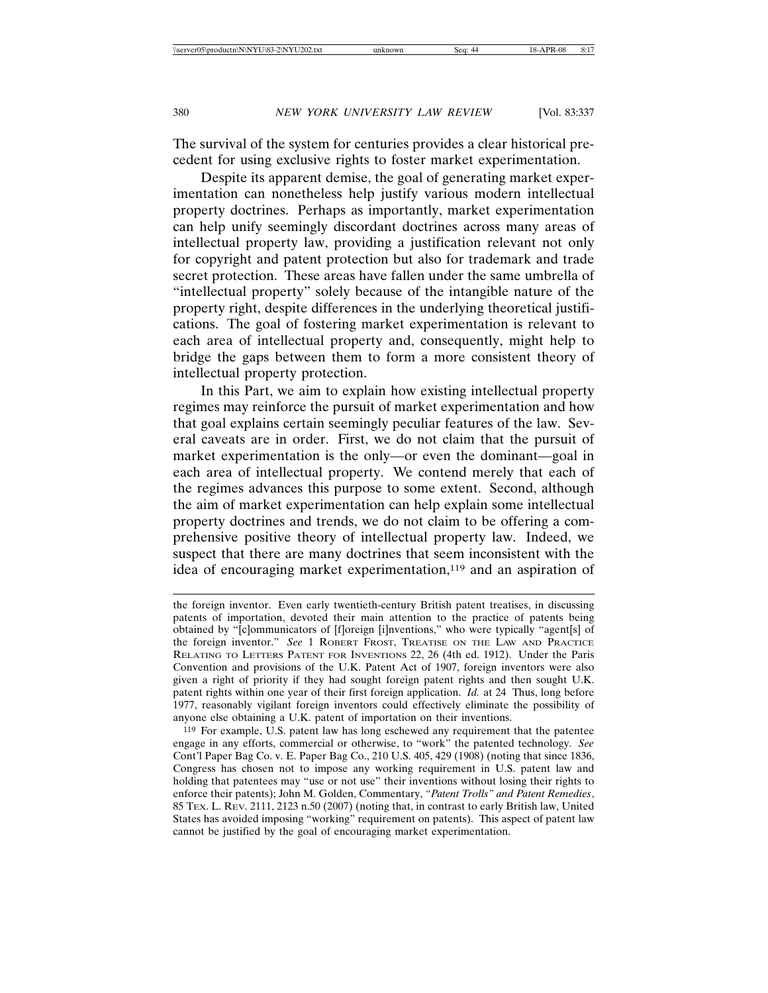The survival of the system for centuries provides a clear historical precedent for using exclusive rights to foster market experimentation.

Despite its apparent demise, the goal of generating market experimentation can nonetheless help justify various modern intellectual property doctrines. Perhaps as importantly, market experimentation can help unify seemingly discordant doctrines across many areas of intellectual property law, providing a justification relevant not only for copyright and patent protection but also for trademark and trade secret protection. These areas have fallen under the same umbrella of "intellectual property" solely because of the intangible nature of the property right, despite differences in the underlying theoretical justifications. The goal of fostering market experimentation is relevant to each area of intellectual property and, consequently, might help to bridge the gaps between them to form a more consistent theory of intellectual property protection.

In this Part, we aim to explain how existing intellectual property regimes may reinforce the pursuit of market experimentation and how that goal explains certain seemingly peculiar features of the law. Several caveats are in order. First, we do not claim that the pursuit of market experimentation is the only—or even the dominant—goal in each area of intellectual property. We contend merely that each of the regimes advances this purpose to some extent. Second, although the aim of market experimentation can help explain some intellectual property doctrines and trends, we do not claim to be offering a comprehensive positive theory of intellectual property law. Indeed, we suspect that there are many doctrines that seem inconsistent with the idea of encouraging market experimentation,<sup>119</sup> and an aspiration of

the foreign inventor. Even early twentieth-century British patent treatises, in discussing patents of importation, devoted their main attention to the practice of patents being obtained by "[c]ommunicators of [f]oreign [i]nventions," who were typically "agent[s] of the foreign inventor." *See* 1 ROBERT FROST, TREATISE ON THE LAW AND PRACTICE RELATING TO LETTERS PATENT FOR INVENTIONS 22, 26 (4th ed. 1912). Under the Paris Convention and provisions of the U.K. Patent Act of 1907, foreign inventors were also given a right of priority if they had sought foreign patent rights and then sought U.K. patent rights within one year of their first foreign application. *Id.* at 24 Thus, long before 1977, reasonably vigilant foreign inventors could effectively eliminate the possibility of anyone else obtaining a U.K. patent of importation on their inventions.

<sup>119</sup> For example, U.S. patent law has long eschewed any requirement that the patentee engage in any efforts, commercial or otherwise, to "work" the patented technology. *See* Cont'l Paper Bag Co. v. E. Paper Bag Co., 210 U.S. 405, 429 (1908) (noting that since 1836, Congress has chosen not to impose any working requirement in U.S. patent law and holding that patentees may "use or not use" their inventions without losing their rights to enforce their patents); John M. Golden, Commentary, *"Patent Trolls" and Patent Remedies*, 85 TEX. L. REV. 2111, 2123 n.50 (2007) (noting that, in contrast to early British law, United States has avoided imposing "working" requirement on patents). This aspect of patent law cannot be justified by the goal of encouraging market experimentation.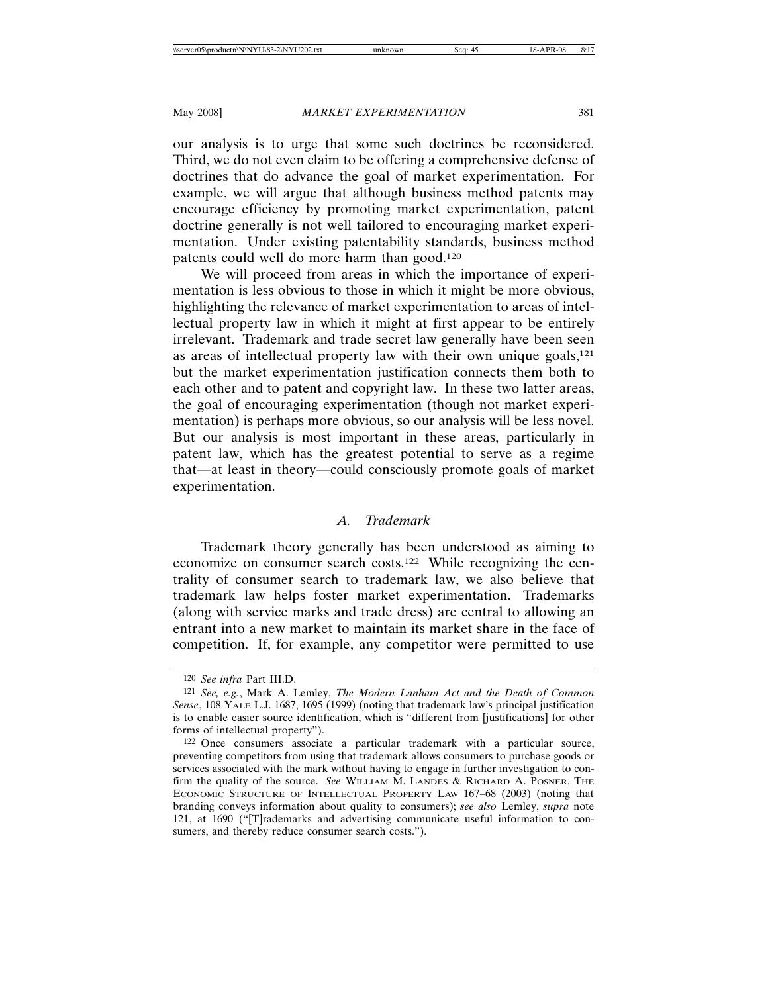our analysis is to urge that some such doctrines be reconsidered. Third, we do not even claim to be offering a comprehensive defense of doctrines that do advance the goal of market experimentation. For example, we will argue that although business method patents may encourage efficiency by promoting market experimentation, patent doctrine generally is not well tailored to encouraging market experimentation. Under existing patentability standards, business method patents could well do more harm than good.120

We will proceed from areas in which the importance of experimentation is less obvious to those in which it might be more obvious, highlighting the relevance of market experimentation to areas of intellectual property law in which it might at first appear to be entirely irrelevant. Trademark and trade secret law generally have been seen as areas of intellectual property law with their own unique goals,<sup>121</sup> but the market experimentation justification connects them both to each other and to patent and copyright law. In these two latter areas, the goal of encouraging experimentation (though not market experimentation) is perhaps more obvious, so our analysis will be less novel. But our analysis is most important in these areas, particularly in patent law, which has the greatest potential to serve as a regime that—at least in theory—could consciously promote goals of market experimentation.

## *A. Trademark*

Trademark theory generally has been understood as aiming to economize on consumer search costs.122 While recognizing the centrality of consumer search to trademark law, we also believe that trademark law helps foster market experimentation. Trademarks (along with service marks and trade dress) are central to allowing an entrant into a new market to maintain its market share in the face of competition. If, for example, any competitor were permitted to use

<sup>120</sup> *See infra* Part III.D.

<sup>121</sup> *See, e.g.*, Mark A. Lemley, *The Modern Lanham Act and the Death of Common Sense*, 108 YALE L.J. 1687, 1695 (1999) (noting that trademark law's principal justification is to enable easier source identification, which is "different from [justifications] for other forms of intellectual property").

<sup>122</sup> Once consumers associate a particular trademark with a particular source, preventing competitors from using that trademark allows consumers to purchase goods or services associated with the mark without having to engage in further investigation to confirm the quality of the source. *See* WILLIAM M. LANDES & RICHARD A. POSNER, THE ECONOMIC STRUCTURE OF INTELLECTUAL PROPERTY LAW 167–68 (2003) (noting that branding conveys information about quality to consumers); *see also* Lemley, *supra* note 121, at 1690 ("[T]rademarks and advertising communicate useful information to consumers, and thereby reduce consumer search costs.").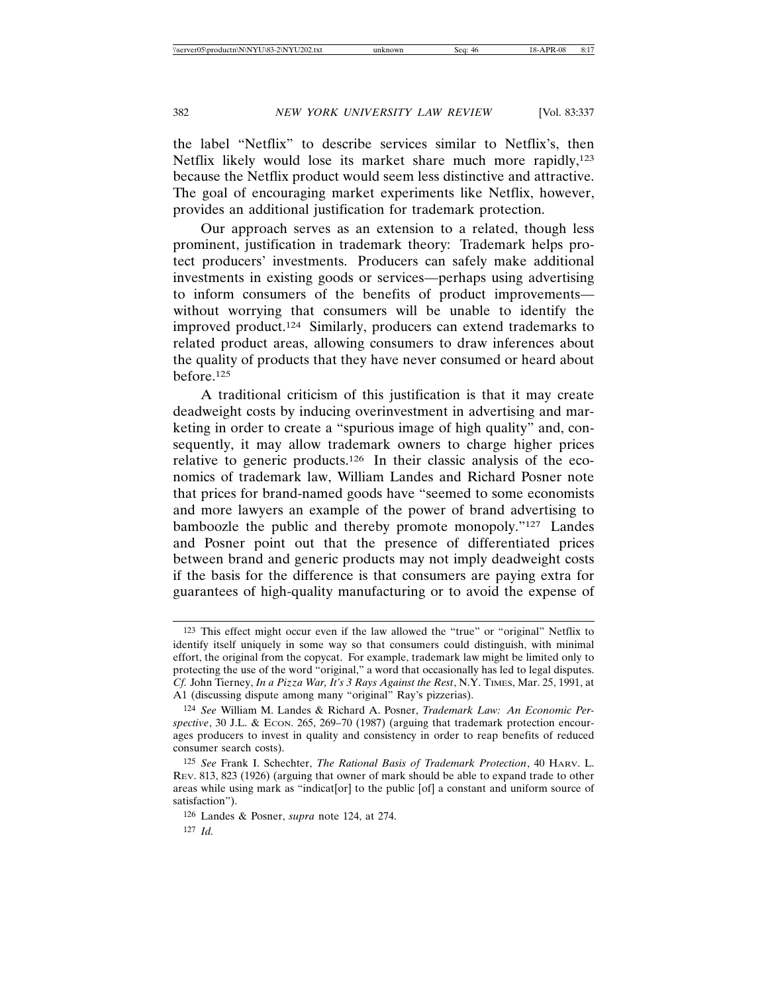the label "Netflix" to describe services similar to Netflix's, then Netflix likely would lose its market share much more rapidly,<sup>123</sup> because the Netflix product would seem less distinctive and attractive. The goal of encouraging market experiments like Netflix, however, provides an additional justification for trademark protection.

Our approach serves as an extension to a related, though less prominent, justification in trademark theory: Trademark helps protect producers' investments. Producers can safely make additional investments in existing goods or services—perhaps using advertising to inform consumers of the benefits of product improvements without worrying that consumers will be unable to identify the improved product.124 Similarly, producers can extend trademarks to related product areas, allowing consumers to draw inferences about the quality of products that they have never consumed or heard about before.125

A traditional criticism of this justification is that it may create deadweight costs by inducing overinvestment in advertising and marketing in order to create a "spurious image of high quality" and, consequently, it may allow trademark owners to charge higher prices relative to generic products.126 In their classic analysis of the economics of trademark law, William Landes and Richard Posner note that prices for brand-named goods have "seemed to some economists and more lawyers an example of the power of brand advertising to bamboozle the public and thereby promote monopoly."127 Landes and Posner point out that the presence of differentiated prices between brand and generic products may not imply deadweight costs if the basis for the difference is that consumers are paying extra for guarantees of high-quality manufacturing or to avoid the expense of

<sup>123</sup> This effect might occur even if the law allowed the "true" or "original" Netflix to identify itself uniquely in some way so that consumers could distinguish, with minimal effort, the original from the copycat. For example, trademark law might be limited only to protecting the use of the word "original," a word that occasionally has led to legal disputes. *Cf.* John Tierney, *In a Pizza War, It's 3 Rays Against the Rest*, N.Y. TIMES, Mar. 25, 1991, at A1 (discussing dispute among many "original" Ray's pizzerias).

<sup>124</sup> *See* William M. Landes & Richard A. Posner, *Trademark Law: An Economic Per*spective, 30 J.L. & Econ. 265, 269-70 (1987) (arguing that trademark protection encourages producers to invest in quality and consistency in order to reap benefits of reduced consumer search costs).

<sup>125</sup> *See* Frank I. Schechter, *The Rational Basis of Trademark Protection*, 40 HARV. L. REV. 813, 823 (1926) (arguing that owner of mark should be able to expand trade to other areas while using mark as "indicat[or] to the public [of] a constant and uniform source of satisfaction").

<sup>126</sup> Landes & Posner, *supra* note 124, at 274.

<sup>127</sup> *Id.*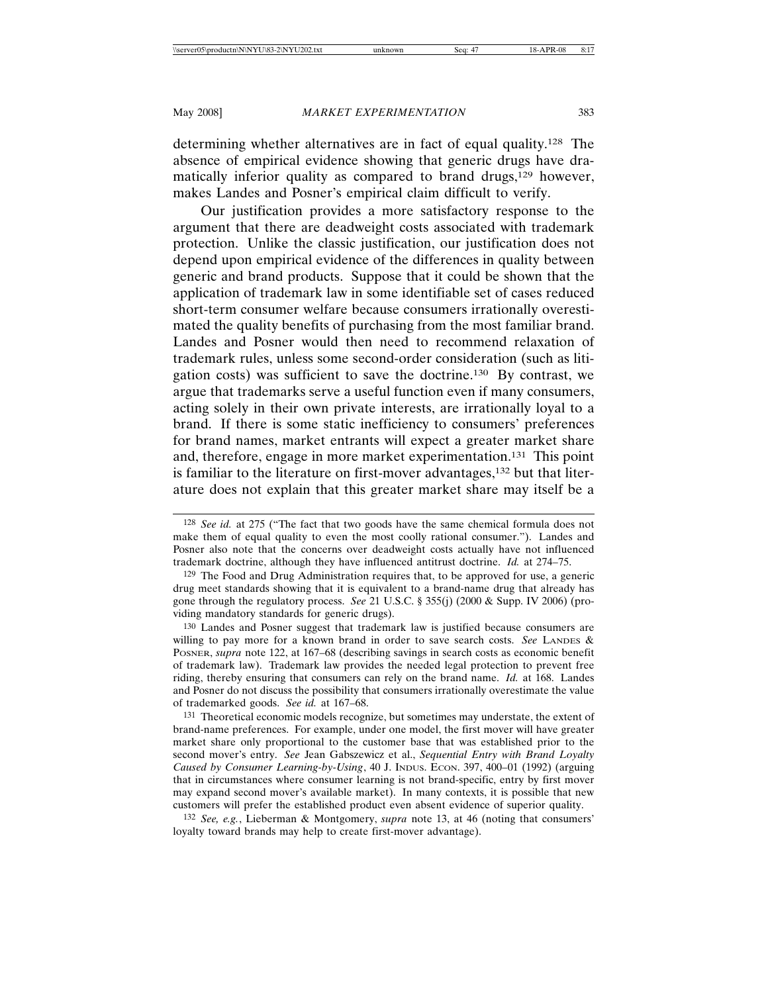determining whether alternatives are in fact of equal quality.128 The absence of empirical evidence showing that generic drugs have dramatically inferior quality as compared to brand drugs,<sup>129</sup> however, makes Landes and Posner's empirical claim difficult to verify.

Our justification provides a more satisfactory response to the argument that there are deadweight costs associated with trademark protection. Unlike the classic justification, our justification does not depend upon empirical evidence of the differences in quality between generic and brand products. Suppose that it could be shown that the application of trademark law in some identifiable set of cases reduced short-term consumer welfare because consumers irrationally overestimated the quality benefits of purchasing from the most familiar brand. Landes and Posner would then need to recommend relaxation of trademark rules, unless some second-order consideration (such as litigation costs) was sufficient to save the doctrine.130 By contrast, we argue that trademarks serve a useful function even if many consumers, acting solely in their own private interests, are irrationally loyal to a brand. If there is some static inefficiency to consumers' preferences for brand names, market entrants will expect a greater market share and, therefore, engage in more market experimentation.131 This point is familiar to the literature on first-mover advantages,132 but that literature does not explain that this greater market share may itself be a

130 Landes and Posner suggest that trademark law is justified because consumers are willing to pay more for a known brand in order to save search costs. See LANDES & POSNER, *supra* note 122, at 167–68 (describing savings in search costs as economic benefit of trademark law). Trademark law provides the needed legal protection to prevent free riding, thereby ensuring that consumers can rely on the brand name. *Id.* at 168. Landes and Posner do not discuss the possibility that consumers irrationally overestimate the value of trademarked goods. *See id.* at 167–68.

131 Theoretical economic models recognize, but sometimes may understate, the extent of brand-name preferences. For example, under one model, the first mover will have greater market share only proportional to the customer base that was established prior to the second mover's entry. *See* Jean Gabszewicz et al., *Sequential Entry with Brand Loyalty Caused by Consumer Learning-by-Using*, 40 J. INDUS. ECON. 397, 400–01 (1992) (arguing that in circumstances where consumer learning is not brand-specific, entry by first mover may expand second mover's available market). In many contexts, it is possible that new customers will prefer the established product even absent evidence of superior quality.

132 *See, e.g.*, Lieberman & Montgomery, *supra* note 13, at 46 (noting that consumers' loyalty toward brands may help to create first-mover advantage).

<sup>128</sup> *See id.* at 275 ("The fact that two goods have the same chemical formula does not make them of equal quality to even the most coolly rational consumer."). Landes and Posner also note that the concerns over deadweight costs actually have not influenced trademark doctrine, although they have influenced antitrust doctrine. *Id.* at 274–75.

<sup>129</sup> The Food and Drug Administration requires that, to be approved for use, a generic drug meet standards showing that it is equivalent to a brand-name drug that already has gone through the regulatory process. *See* 21 U.S.C. § 355(j) (2000 & Supp. IV 2006) (providing mandatory standards for generic drugs).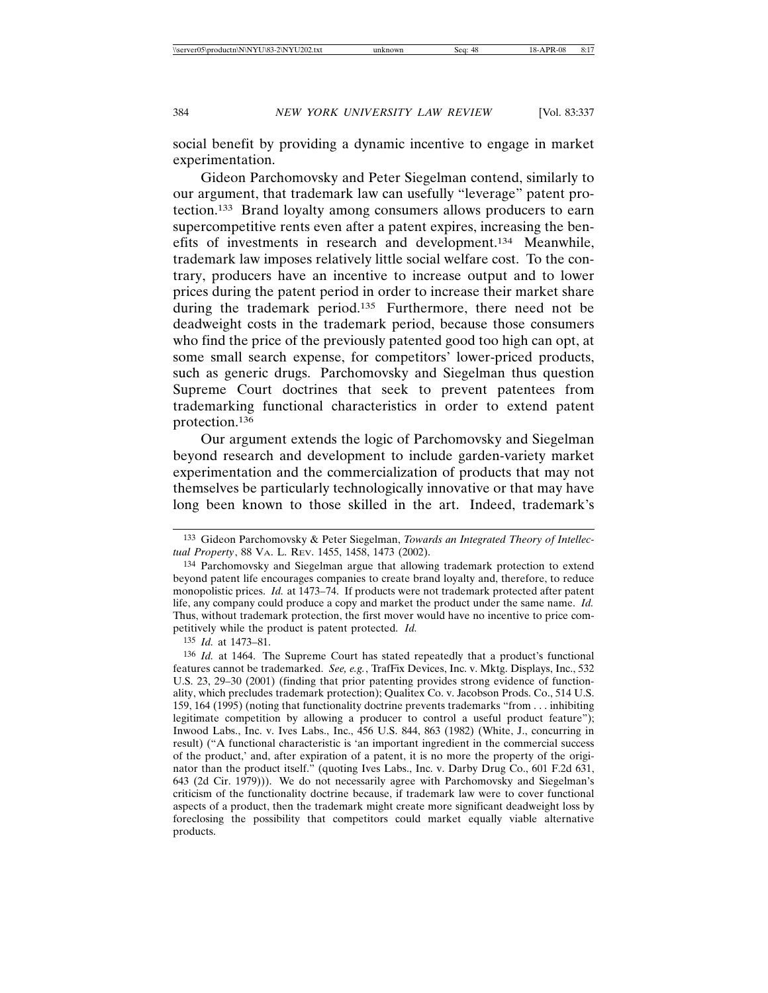social benefit by providing a dynamic incentive to engage in market experimentation.

Gideon Parchomovsky and Peter Siegelman contend, similarly to our argument, that trademark law can usefully "leverage" patent protection.133 Brand loyalty among consumers allows producers to earn supercompetitive rents even after a patent expires, increasing the benefits of investments in research and development.134 Meanwhile, trademark law imposes relatively little social welfare cost. To the contrary, producers have an incentive to increase output and to lower prices during the patent period in order to increase their market share during the trademark period.135 Furthermore, there need not be deadweight costs in the trademark period, because those consumers who find the price of the previously patented good too high can opt, at some small search expense, for competitors' lower-priced products, such as generic drugs. Parchomovsky and Siegelman thus question Supreme Court doctrines that seek to prevent patentees from trademarking functional characteristics in order to extend patent protection.136

Our argument extends the logic of Parchomovsky and Siegelman beyond research and development to include garden-variety market experimentation and the commercialization of products that may not themselves be particularly technologically innovative or that may have long been known to those skilled in the art. Indeed, trademark's

135 *Id.* at 1473–81.

<sup>133</sup> Gideon Parchomovsky & Peter Siegelman, *Towards an Integrated Theory of Intellectual Property*, 88 VA. L. REV. 1455, 1458, 1473 (2002).

<sup>134</sup> Parchomovsky and Siegelman argue that allowing trademark protection to extend beyond patent life encourages companies to create brand loyalty and, therefore, to reduce monopolistic prices. *Id.* at 1473–74. If products were not trademark protected after patent life, any company could produce a copy and market the product under the same name. *Id.* Thus, without trademark protection, the first mover would have no incentive to price competitively while the product is patent protected. *Id.*

<sup>136</sup> *Id.* at 1464. The Supreme Court has stated repeatedly that a product's functional features cannot be trademarked. *See, e.g.*, TrafFix Devices, Inc. v. Mktg. Displays, Inc., 532 U.S. 23, 29–30 (2001) (finding that prior patenting provides strong evidence of functionality, which precludes trademark protection); Qualitex Co. v. Jacobson Prods. Co., 514 U.S. 159, 164 (1995) (noting that functionality doctrine prevents trademarks "from . . . inhibiting legitimate competition by allowing a producer to control a useful product feature"); Inwood Labs., Inc. v. Ives Labs., Inc., 456 U.S. 844, 863 (1982) (White, J., concurring in result) ("A functional characteristic is 'an important ingredient in the commercial success of the product,' and, after expiration of a patent, it is no more the property of the originator than the product itself." (quoting Ives Labs., Inc. v. Darby Drug Co., 601 F.2d 631, 643 (2d Cir. 1979))). We do not necessarily agree with Parchomovsky and Siegelman's criticism of the functionality doctrine because, if trademark law were to cover functional aspects of a product, then the trademark might create more significant deadweight loss by foreclosing the possibility that competitors could market equally viable alternative products.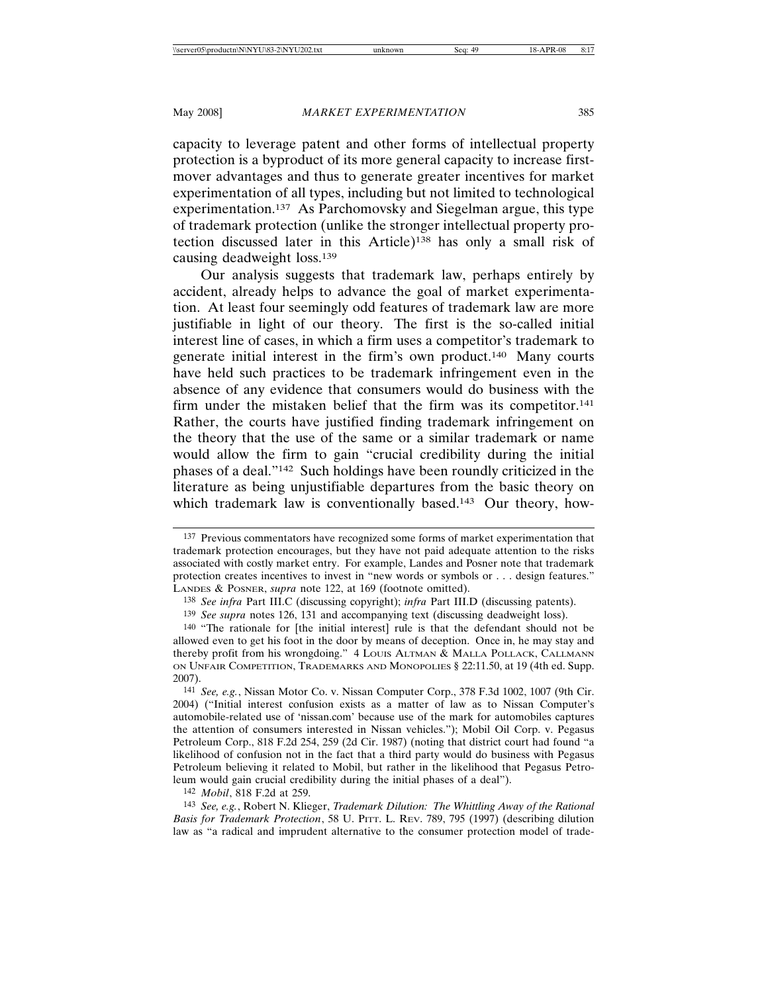capacity to leverage patent and other forms of intellectual property protection is a byproduct of its more general capacity to increase firstmover advantages and thus to generate greater incentives for market experimentation of all types, including but not limited to technological experimentation.137 As Parchomovsky and Siegelman argue, this type of trademark protection (unlike the stronger intellectual property protection discussed later in this Article)138 has only a small risk of causing deadweight loss.139

Our analysis suggests that trademark law, perhaps entirely by accident, already helps to advance the goal of market experimentation. At least four seemingly odd features of trademark law are more justifiable in light of our theory. The first is the so-called initial interest line of cases, in which a firm uses a competitor's trademark to generate initial interest in the firm's own product.140 Many courts have held such practices to be trademark infringement even in the absence of any evidence that consumers would do business with the firm under the mistaken belief that the firm was its competitor.<sup>141</sup> Rather, the courts have justified finding trademark infringement on the theory that the use of the same or a similar trademark or name would allow the firm to gain "crucial credibility during the initial phases of a deal."142 Such holdings have been roundly criticized in the literature as being unjustifiable departures from the basic theory on which trademark law is conventionally based.<sup>143</sup> Our theory, how-

142 *Mobil*, 818 F.2d at 259.

<sup>137</sup> Previous commentators have recognized some forms of market experimentation that trademark protection encourages, but they have not paid adequate attention to the risks associated with costly market entry. For example, Landes and Posner note that trademark protection creates incentives to invest in "new words or symbols or . . . design features." LANDES & POSNER, *supra* note 122, at 169 (footnote omitted).

<sup>138</sup> *See infra* Part III.C (discussing copyright); *infra* Part III.D (discussing patents).

<sup>139</sup> *See supra* notes 126, 131 and accompanying text (discussing deadweight loss).

<sup>140</sup> "The rationale for [the initial interest] rule is that the defendant should not be allowed even to get his foot in the door by means of deception. Once in, he may stay and thereby profit from his wrongdoing." 4 LOUIS ALTMAN & MALLA POLLACK, CALLMANN ON UNFAIR COMPETITION, TRADEMARKS AND MONOPOLIES § 22:11.50, at 19 (4th ed. Supp. 2007).

<sup>141</sup> *See, e.g.*, Nissan Motor Co. v. Nissan Computer Corp., 378 F.3d 1002, 1007 (9th Cir. 2004) ("Initial interest confusion exists as a matter of law as to Nissan Computer's automobile-related use of 'nissan.com' because use of the mark for automobiles captures the attention of consumers interested in Nissan vehicles."); Mobil Oil Corp. v. Pegasus Petroleum Corp., 818 F.2d 254, 259 (2d Cir. 1987) (noting that district court had found "a likelihood of confusion not in the fact that a third party would do business with Pegasus Petroleum believing it related to Mobil, but rather in the likelihood that Pegasus Petroleum would gain crucial credibility during the initial phases of a deal").

<sup>143</sup> *See, e.g.*, Robert N. Klieger, *Trademark Dilution: The Whittling Away of the Rational Basis for Trademark Protection*, 58 U. PITT. L. REV. 789, 795 (1997) (describing dilution law as "a radical and imprudent alternative to the consumer protection model of trade-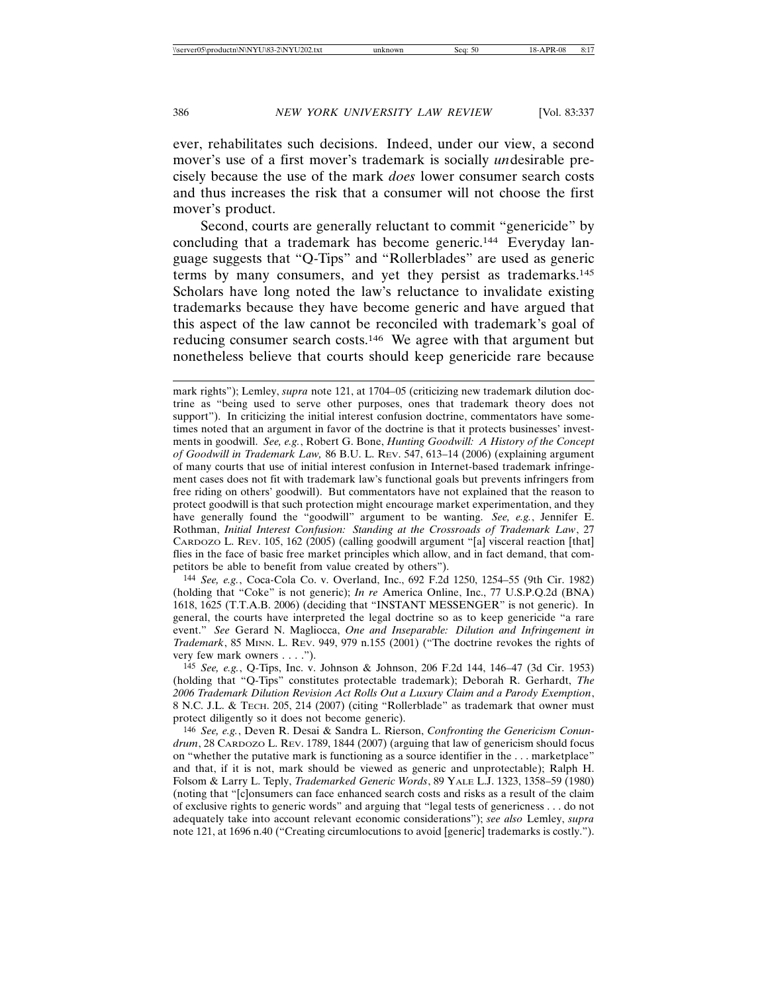ever, rehabilitates such decisions. Indeed, under our view, a second mover's use of a first mover's trademark is socially *un*desirable precisely because the use of the mark *does* lower consumer search costs and thus increases the risk that a consumer will not choose the first mover's product.

Second, courts are generally reluctant to commit "genericide" by concluding that a trademark has become generic.144 Everyday language suggests that "Q-Tips" and "Rollerblades" are used as generic terms by many consumers, and yet they persist as trademarks.145 Scholars have long noted the law's reluctance to invalidate existing trademarks because they have become generic and have argued that this aspect of the law cannot be reconciled with trademark's goal of reducing consumer search costs.146 We agree with that argument but nonetheless believe that courts should keep genericide rare because

144 *See, e.g.*, Coca-Cola Co. v. Overland, Inc., 692 F.2d 1250, 1254–55 (9th Cir. 1982) (holding that "Coke" is not generic); *In re* America Online, Inc., 77 U.S.P.Q.2d (BNA) 1618, 1625 (T.T.A.B. 2006) (deciding that "INSTANT MESSENGER" is not generic). In general, the courts have interpreted the legal doctrine so as to keep genericide "a rare event." *See* Gerard N. Magliocca, *One and Inseparable: Dilution and Infringement in Trademark*, 85 MINN. L. REV. 949, 979 n.155 (2001) ("The doctrine revokes the rights of very few mark owners . . . .").

146 *See, e.g.*, Deven R. Desai & Sandra L. Rierson, *Confronting the Genericism Conundrum*, 28 CARDOZO L. REV. 1789, 1844 (2007) (arguing that law of genericism should focus on "whether the putative mark is functioning as a source identifier in the . . . marketplace" and that, if it is not, mark should be viewed as generic and unprotectable); Ralph H. Folsom & Larry L. Teply, *Trademarked Generic Words*, 89 YALE L.J. 1323, 1358–59 (1980) (noting that "[c]onsumers can face enhanced search costs and risks as a result of the claim of exclusive rights to generic words" and arguing that "legal tests of genericness . . . do not adequately take into account relevant economic considerations"); *see also* Lemley, *supra* note 121, at 1696 n.40 ("Creating circumlocutions to avoid [generic] trademarks is costly.").

mark rights"); Lemley, *supra* note 121, at 1704–05 (criticizing new trademark dilution doctrine as "being used to serve other purposes, ones that trademark theory does not support"). In criticizing the initial interest confusion doctrine, commentators have sometimes noted that an argument in favor of the doctrine is that it protects businesses' investments in goodwill. *See, e.g.*, Robert G. Bone, *Hunting Goodwill: A History of the Concept of Goodwill in Trademark Law,* 86 B.U. L. REV. 547, 613–14 (2006) (explaining argument of many courts that use of initial interest confusion in Internet-based trademark infringement cases does not fit with trademark law's functional goals but prevents infringers from free riding on others' goodwill). But commentators have not explained that the reason to protect goodwill is that such protection might encourage market experimentation, and they have generally found the "goodwill" argument to be wanting. *See, e.g.*, Jennifer E. Rothman, *Initial Interest Confusion: Standing at the Crossroads of Trademark Law*, 27 CARDOZO L. REV. 105, 162 (2005) (calling goodwill argument "[a] visceral reaction [that] flies in the face of basic free market principles which allow, and in fact demand, that competitors be able to benefit from value created by others").

<sup>145</sup> *See, e.g.*, Q-Tips, Inc. v. Johnson & Johnson, 206 F.2d 144, 146–47 (3d Cir. 1953) (holding that "Q-Tips" constitutes protectable trademark); Deborah R. Gerhardt, *The 2006 Trademark Dilution Revision Act Rolls Out a Luxury Claim and a Parody Exemption*, 8 N.C. J.L. & TECH. 205, 214 (2007) (citing "Rollerblade" as trademark that owner must protect diligently so it does not become generic).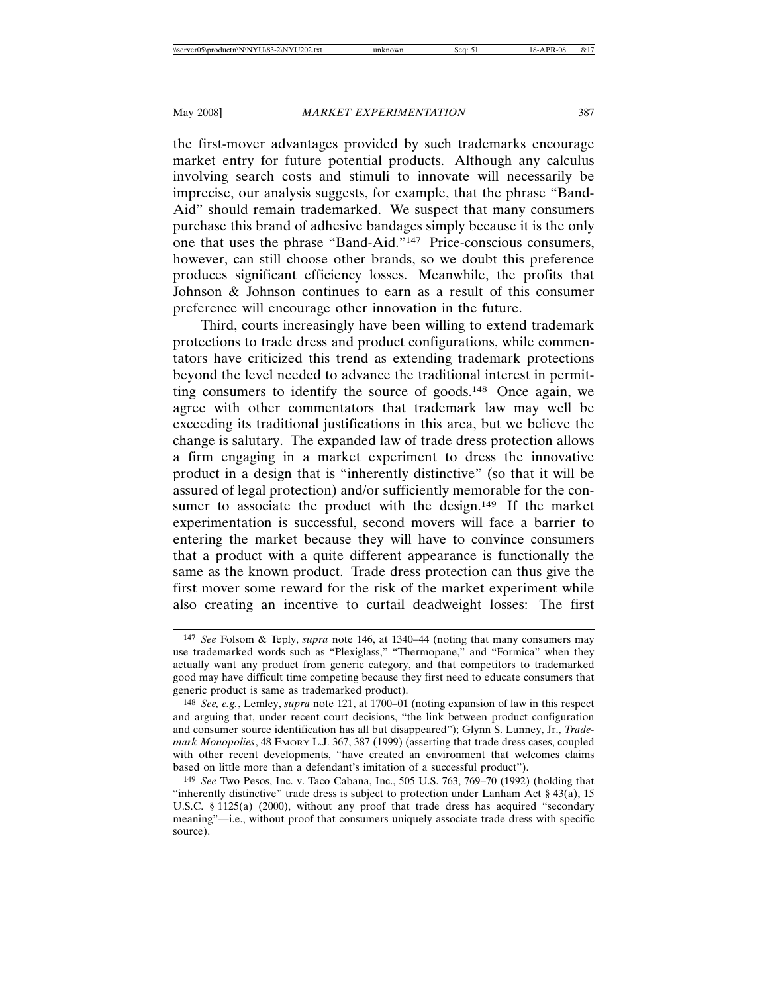the first-mover advantages provided by such trademarks encourage market entry for future potential products. Although any calculus involving search costs and stimuli to innovate will necessarily be imprecise, our analysis suggests, for example, that the phrase "Band-Aid" should remain trademarked. We suspect that many consumers purchase this brand of adhesive bandages simply because it is the only one that uses the phrase "Band-Aid."147 Price-conscious consumers, however, can still choose other brands, so we doubt this preference produces significant efficiency losses. Meanwhile, the profits that Johnson & Johnson continues to earn as a result of this consumer preference will encourage other innovation in the future.

Third, courts increasingly have been willing to extend trademark protections to trade dress and product configurations, while commentators have criticized this trend as extending trademark protections beyond the level needed to advance the traditional interest in permitting consumers to identify the source of goods.148 Once again, we agree with other commentators that trademark law may well be exceeding its traditional justifications in this area, but we believe the change is salutary. The expanded law of trade dress protection allows a firm engaging in a market experiment to dress the innovative product in a design that is "inherently distinctive" (so that it will be assured of legal protection) and/or sufficiently memorable for the consumer to associate the product with the design.<sup>149</sup> If the market experimentation is successful, second movers will face a barrier to entering the market because they will have to convince consumers that a product with a quite different appearance is functionally the same as the known product. Trade dress protection can thus give the first mover some reward for the risk of the market experiment while also creating an incentive to curtail deadweight losses: The first

<sup>147</sup> *See* Folsom & Teply, *supra* note 146, at 1340–44 (noting that many consumers may use trademarked words such as "Plexiglass," "Thermopane," and "Formica" when they actually want any product from generic category, and that competitors to trademarked good may have difficult time competing because they first need to educate consumers that generic product is same as trademarked product).

<sup>148</sup> *See, e.g.*, Lemley, *supra* note 121, at 1700–01 (noting expansion of law in this respect and arguing that, under recent court decisions, "the link between product configuration and consumer source identification has all but disappeared"); Glynn S. Lunney, Jr., *Trademark Monopolies*, 48 EMORY L.J. 367, 387 (1999) (asserting that trade dress cases, coupled with other recent developments, "have created an environment that welcomes claims based on little more than a defendant's imitation of a successful product").

<sup>149</sup> *See* Two Pesos, Inc. v. Taco Cabana, Inc., 505 U.S. 763, 769–70 (1992) (holding that "inherently distinctive" trade dress is subject to protection under Lanham Act  $\S 43(a)$ , 15 U.S.C. § 1125(a) (2000), without any proof that trade dress has acquired "secondary meaning"—i.e., without proof that consumers uniquely associate trade dress with specific source).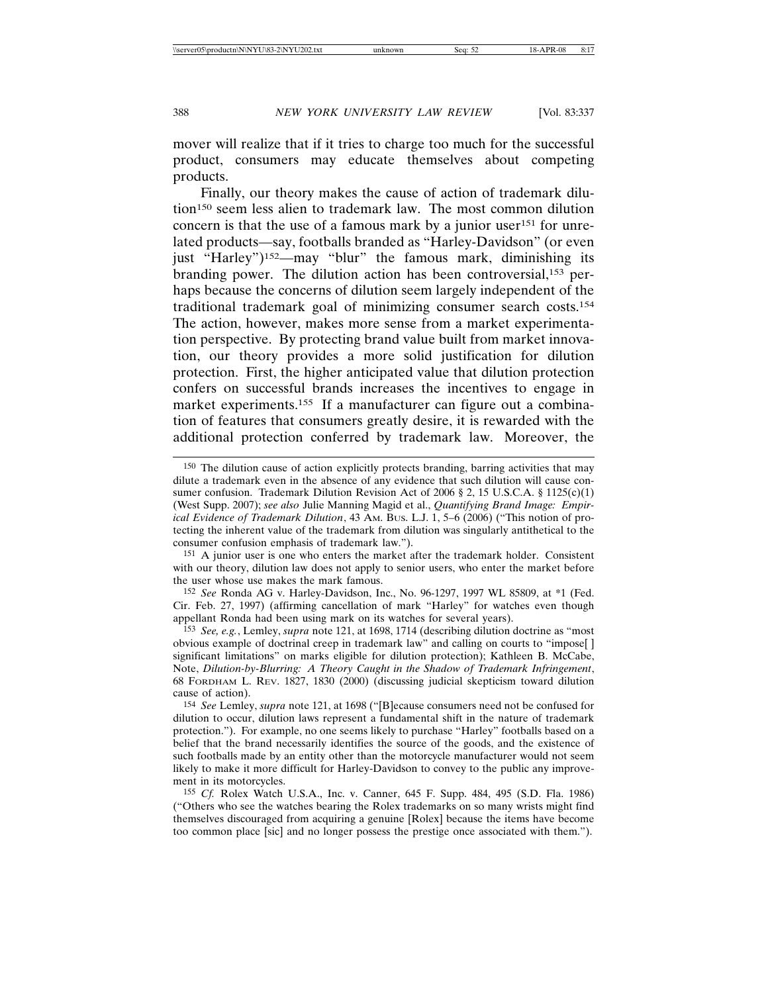mover will realize that if it tries to charge too much for the successful product, consumers may educate themselves about competing products.

Finally, our theory makes the cause of action of trademark dilution150 seem less alien to trademark law. The most common dilution concern is that the use of a famous mark by a junior user<sup>151</sup> for unrelated products—say, footballs branded as "Harley-Davidson" (or even just "Harley")<sup>152</sup>—may "blur" the famous mark, diminishing its branding power. The dilution action has been controversial,153 perhaps because the concerns of dilution seem largely independent of the traditional trademark goal of minimizing consumer search costs.154 The action, however, makes more sense from a market experimentation perspective. By protecting brand value built from market innovation, our theory provides a more solid justification for dilution protection. First, the higher anticipated value that dilution protection confers on successful brands increases the incentives to engage in market experiments.<sup>155</sup> If a manufacturer can figure out a combination of features that consumers greatly desire, it is rewarded with the additional protection conferred by trademark law. Moreover, the

<sup>150</sup> The dilution cause of action explicitly protects branding, barring activities that may dilute a trademark even in the absence of any evidence that such dilution will cause consumer confusion. Trademark Dilution Revision Act of 2006 § 2, 15 U.S.C.A. § 1125(c)(1) (West Supp. 2007); *see also* Julie Manning Magid et al., *Quantifying Brand Image: Empirical Evidence of Trademark Dilution*, 43 AM. BUS. L.J. 1, 5–6 (2006) ("This notion of protecting the inherent value of the trademark from dilution was singularly antithetical to the consumer confusion emphasis of trademark law.").

<sup>151</sup> A junior user is one who enters the market after the trademark holder. Consistent with our theory, dilution law does not apply to senior users, who enter the market before the user whose use makes the mark famous.

<sup>152</sup> *See* Ronda AG v. Harley-Davidson, Inc., No. 96-1297, 1997 WL 85809, at \*1 (Fed. Cir. Feb. 27, 1997) (affirming cancellation of mark "Harley" for watches even though appellant Ronda had been using mark on its watches for several years).

<sup>153</sup> *See, e.g.*, Lemley, *supra* note 121, at 1698, 1714 (describing dilution doctrine as "most obvious example of doctrinal creep in trademark law" and calling on courts to "impose[ ] significant limitations" on marks eligible for dilution protection); Kathleen B. McCabe, Note, *Dilution-by-Blurring: A Theory Caught in the Shadow of Trademark Infringement*, 68 FORDHAM L. REV. 1827, 1830 (2000) (discussing judicial skepticism toward dilution cause of action).

<sup>154</sup> *See* Lemley, *supra* note 121, at 1698 ("[B]ecause consumers need not be confused for dilution to occur, dilution laws represent a fundamental shift in the nature of trademark protection."). For example, no one seems likely to purchase "Harley" footballs based on a belief that the brand necessarily identifies the source of the goods, and the existence of such footballs made by an entity other than the motorcycle manufacturer would not seem likely to make it more difficult for Harley-Davidson to convey to the public any improvement in its motorcycles.

<sup>155</sup> *Cf.* Rolex Watch U.S.A., Inc. v. Canner, 645 F. Supp. 484, 495 (S.D. Fla. 1986) ("Others who see the watches bearing the Rolex trademarks on so many wrists might find themselves discouraged from acquiring a genuine [Rolex] because the items have become too common place [sic] and no longer possess the prestige once associated with them.").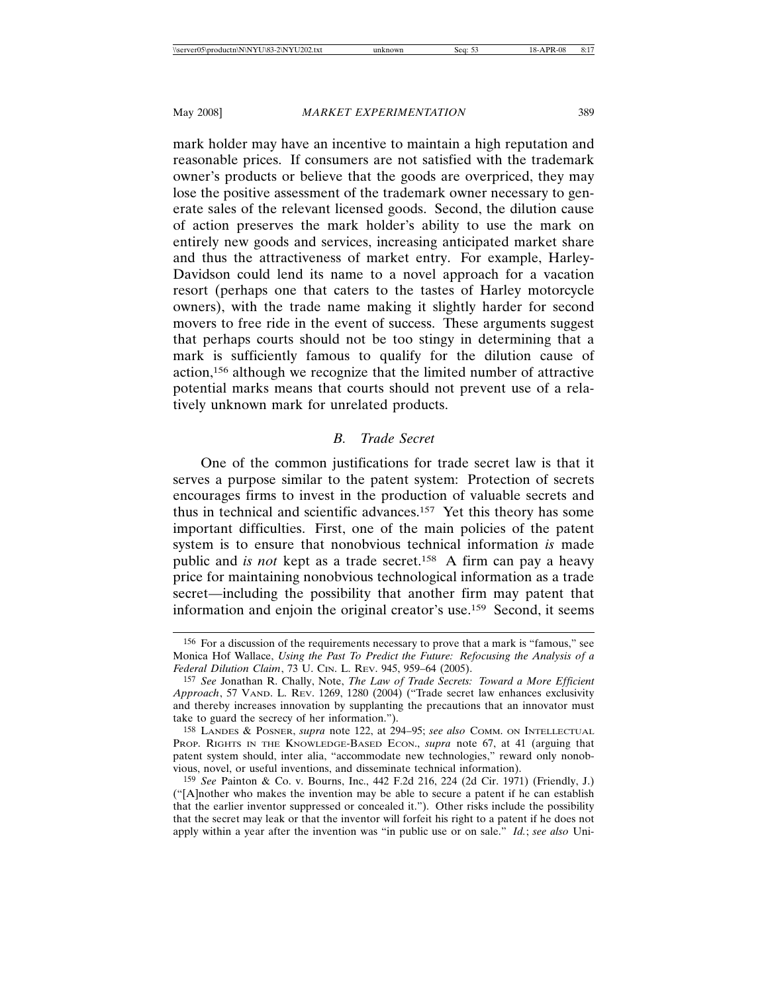mark holder may have an incentive to maintain a high reputation and reasonable prices. If consumers are not satisfied with the trademark owner's products or believe that the goods are overpriced, they may lose the positive assessment of the trademark owner necessary to generate sales of the relevant licensed goods. Second, the dilution cause of action preserves the mark holder's ability to use the mark on entirely new goods and services, increasing anticipated market share and thus the attractiveness of market entry. For example, Harley-Davidson could lend its name to a novel approach for a vacation resort (perhaps one that caters to the tastes of Harley motorcycle owners), with the trade name making it slightly harder for second movers to free ride in the event of success. These arguments suggest that perhaps courts should not be too stingy in determining that a mark is sufficiently famous to qualify for the dilution cause of action,156 although we recognize that the limited number of attractive potential marks means that courts should not prevent use of a relatively unknown mark for unrelated products.

## *B. Trade Secret*

One of the common justifications for trade secret law is that it serves a purpose similar to the patent system: Protection of secrets encourages firms to invest in the production of valuable secrets and thus in technical and scientific advances.157 Yet this theory has some important difficulties. First, one of the main policies of the patent system is to ensure that nonobvious technical information *is* made public and *is not* kept as a trade secret.158 A firm can pay a heavy price for maintaining nonobvious technological information as a trade secret—including the possibility that another firm may patent that information and enjoin the original creator's use.159 Second, it seems

<sup>156</sup> For a discussion of the requirements necessary to prove that a mark is "famous," see Monica Hof Wallace, *Using the Past To Predict the Future: Refocusing the Analysis of a Federal Dilution Claim*, 73 U. CIN. L. REV. 945, 959–64 (2005).

<sup>157</sup> *See* Jonathan R. Chally, Note, *The Law of Trade Secrets: Toward a More Efficient Approach*, 57 VAND. L. REV. 1269, 1280 (2004) ("Trade secret law enhances exclusivity and thereby increases innovation by supplanting the precautions that an innovator must take to guard the secrecy of her information.").

<sup>158</sup> LANDES & POSNER, *supra* note 122, at 294–95; *see also* COMM. ON INTELLECTUAL PROP. RIGHTS IN THE KNOWLEDGE-BASED ECON., *supra* note 67, at 41 (arguing that patent system should, inter alia, "accommodate new technologies," reward only nonobvious, novel, or useful inventions, and disseminate technical information).

<sup>159</sup> *See* Painton & Co. v. Bourns, Inc., 442 F.2d 216, 224 (2d Cir. 1971) (Friendly, J.) ("[A]nother who makes the invention may be able to secure a patent if he can establish that the earlier inventor suppressed or concealed it."). Other risks include the possibility that the secret may leak or that the inventor will forfeit his right to a patent if he does not apply within a year after the invention was "in public use or on sale." *Id.*; *see also* Uni-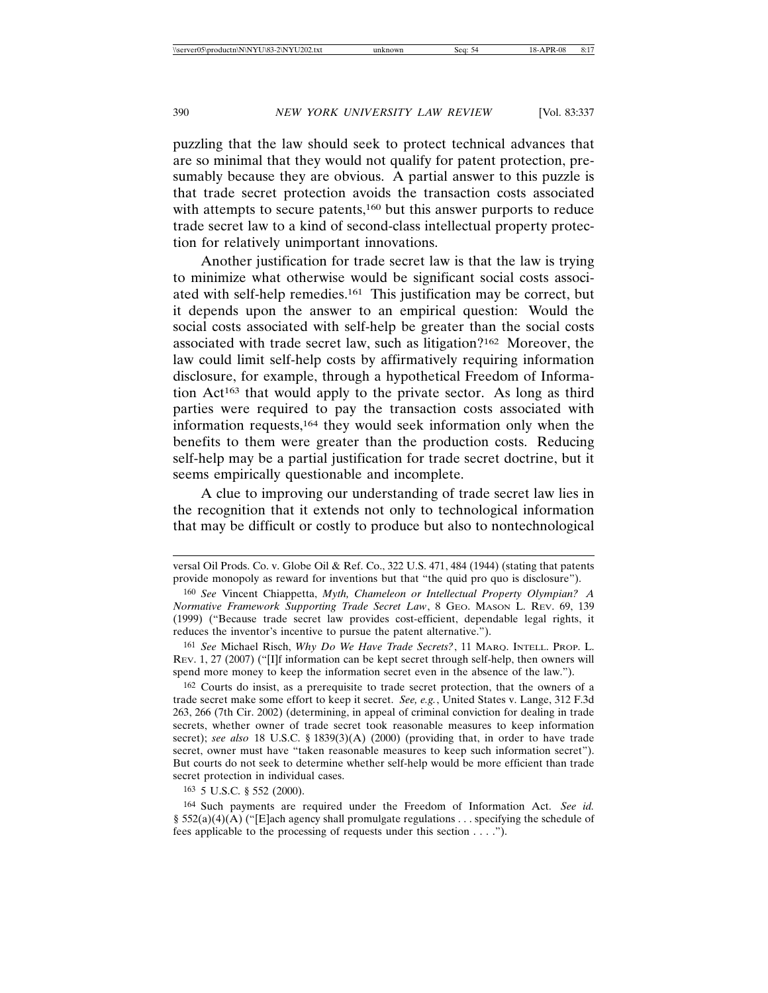puzzling that the law should seek to protect technical advances that are so minimal that they would not qualify for patent protection, presumably because they are obvious. A partial answer to this puzzle is that trade secret protection avoids the transaction costs associated with attempts to secure patents,<sup>160</sup> but this answer purports to reduce trade secret law to a kind of second-class intellectual property protection for relatively unimportant innovations.

Another justification for trade secret law is that the law is trying to minimize what otherwise would be significant social costs associated with self-help remedies.161 This justification may be correct, but it depends upon the answer to an empirical question: Would the social costs associated with self-help be greater than the social costs associated with trade secret law, such as litigation?162 Moreover, the law could limit self-help costs by affirmatively requiring information disclosure, for example, through a hypothetical Freedom of Information  $Act^{163}$  that would apply to the private sector. As long as third parties were required to pay the transaction costs associated with information requests,164 they would seek information only when the benefits to them were greater than the production costs. Reducing self-help may be a partial justification for trade secret doctrine, but it seems empirically questionable and incomplete.

A clue to improving our understanding of trade secret law lies in the recognition that it extends not only to technological information that may be difficult or costly to produce but also to nontechnological

163 5 U.S.C. § 552 (2000).

versal Oil Prods. Co. v. Globe Oil & Ref. Co., 322 U.S. 471, 484 (1944) (stating that patents provide monopoly as reward for inventions but that "the quid pro quo is disclosure").

<sup>160</sup> *See* Vincent Chiappetta, *Myth, Chameleon or Intellectual Property Olympian? A Normative Framework Supporting Trade Secret Law*, 8 GEO. MASON L. REV. 69, 139 (1999) ("Because trade secret law provides cost-efficient, dependable legal rights, it reduces the inventor's incentive to pursue the patent alternative.").

<sup>161</sup> *See* Michael Risch, *Why Do We Have Trade Secrets?*, 11 MARQ. INTELL. PROP. L. REV. 1, 27 (2007) ("[I]f information can be kept secret through self-help, then owners will spend more money to keep the information secret even in the absence of the law.").

<sup>162</sup> Courts do insist, as a prerequisite to trade secret protection, that the owners of a trade secret make some effort to keep it secret. *See, e.g.*, United States v. Lange, 312 F.3d 263, 266 (7th Cir. 2002) (determining, in appeal of criminal conviction for dealing in trade secrets, whether owner of trade secret took reasonable measures to keep information secret); *see also* 18 U.S.C. § 1839(3)(A) (2000) (providing that, in order to have trade secret, owner must have "taken reasonable measures to keep such information secret"). But courts do not seek to determine whether self-help would be more efficient than trade secret protection in individual cases.

<sup>164</sup> Such payments are required under the Freedom of Information Act. *See id.* § 552(a)(4)(A) ("[E]ach agency shall promulgate regulations . . . specifying the schedule of fees applicable to the processing of requests under this section . . . .").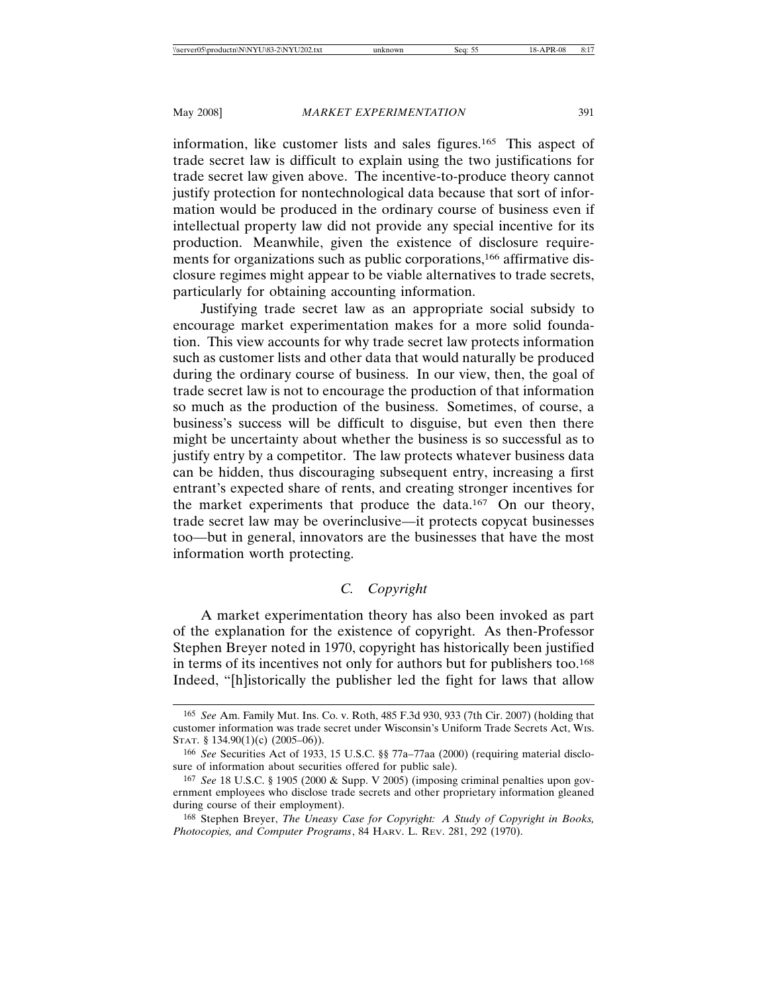information, like customer lists and sales figures.165 This aspect of trade secret law is difficult to explain using the two justifications for trade secret law given above. The incentive-to-produce theory cannot justify protection for nontechnological data because that sort of information would be produced in the ordinary course of business even if intellectual property law did not provide any special incentive for its production. Meanwhile, given the existence of disclosure requirements for organizations such as public corporations,<sup>166</sup> affirmative disclosure regimes might appear to be viable alternatives to trade secrets, particularly for obtaining accounting information.

Justifying trade secret law as an appropriate social subsidy to encourage market experimentation makes for a more solid foundation. This view accounts for why trade secret law protects information such as customer lists and other data that would naturally be produced during the ordinary course of business. In our view, then, the goal of trade secret law is not to encourage the production of that information so much as the production of the business. Sometimes, of course, a business's success will be difficult to disguise, but even then there might be uncertainty about whether the business is so successful as to justify entry by a competitor. The law protects whatever business data can be hidden, thus discouraging subsequent entry, increasing a first entrant's expected share of rents, and creating stronger incentives for the market experiments that produce the data.167 On our theory, trade secret law may be overinclusive—it protects copycat businesses too—but in general, innovators are the businesses that have the most information worth protecting.

# *C. Copyright*

A market experimentation theory has also been invoked as part of the explanation for the existence of copyright. As then-Professor Stephen Breyer noted in 1970, copyright has historically been justified in terms of its incentives not only for authors but for publishers too.168 Indeed, "[h]istorically the publisher led the fight for laws that allow

<sup>165</sup> *See* Am. Family Mut. Ins. Co. v. Roth, 485 F.3d 930, 933 (7th Cir. 2007) (holding that customer information was trade secret under Wisconsin's Uniform Trade Secrets Act, WIS. STAT. § 134.90(1)(c) (2005–06)).

<sup>166</sup> *See* Securities Act of 1933, 15 U.S.C. §§ 77a–77aa (2000) (requiring material disclosure of information about securities offered for public sale).

<sup>167</sup> *See* 18 U.S.C. § 1905 (2000 & Supp. V 2005) (imposing criminal penalties upon government employees who disclose trade secrets and other proprietary information gleaned during course of their employment).

<sup>168</sup> Stephen Breyer, *The Uneasy Case for Copyright: A Study of Copyright in Books, Photocopies, and Computer Programs*, 84 HARV. L. REV. 281, 292 (1970).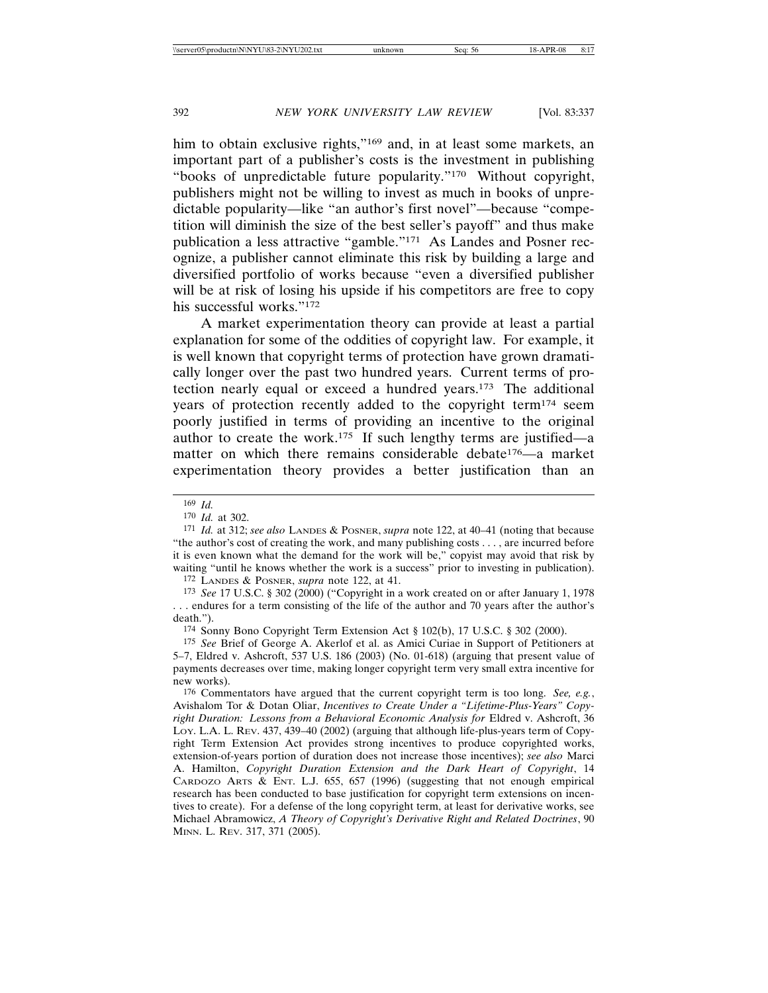him to obtain exclusive rights,"<sup>169</sup> and, in at least some markets, an important part of a publisher's costs is the investment in publishing "books of unpredictable future popularity."170 Without copyright, publishers might not be willing to invest as much in books of unpredictable popularity—like "an author's first novel"—because "competition will diminish the size of the best seller's payoff" and thus make publication a less attractive "gamble."171 As Landes and Posner recognize, a publisher cannot eliminate this risk by building a large and diversified portfolio of works because "even a diversified publisher will be at risk of losing his upside if his competitors are free to copy his successful works."172

A market experimentation theory can provide at least a partial explanation for some of the oddities of copyright law. For example, it is well known that copyright terms of protection have grown dramatically longer over the past two hundred years. Current terms of protection nearly equal or exceed a hundred years.173 The additional years of protection recently added to the copyright term174 seem poorly justified in terms of providing an incentive to the original author to create the work.175 If such lengthy terms are justified—a matter on which there remains considerable debate176—a market experimentation theory provides a better justification than an

172 LANDES & POSNER, *supra* note 122, at 41.

173 *See* 17 U.S.C. § 302 (2000) ("Copyright in a work created on or after January 1, 1978 . . . endures for a term consisting of the life of the author and 70 years after the author's death.").

174 Sonny Bono Copyright Term Extension Act § 102(b), 17 U.S.C. § 302 (2000).

175 *See* Brief of George A. Akerlof et al. as Amici Curiae in Support of Petitioners at 5–7, Eldred v. Ashcroft, 537 U.S. 186 (2003) (No. 01-618) (arguing that present value of payments decreases over time, making longer copyright term very small extra incentive for new works).

176 Commentators have argued that the current copyright term is too long. *See, e.g.*, Avishalom Tor & Dotan Oliar, *Incentives to Create Under a "Lifetime-Plus-Years" Copyright Duration: Lessons from a Behavioral Economic Analysis for* Eldred v. Ashcroft, 36 LOY. L.A. L. REV. 437, 439–40 (2002) (arguing that although life-plus-years term of Copyright Term Extension Act provides strong incentives to produce copyrighted works, extension-of-years portion of duration does not increase those incentives); *see also* Marci A. Hamilton, *Copyright Duration Extension and the Dark Heart of Copyright*, 14 CARDOZO ARTS & ENT. L.J.  $655$ ,  $657$  (1996) (suggesting that not enough empirical research has been conducted to base justification for copyright term extensions on incentives to create). For a defense of the long copyright term, at least for derivative works, see Michael Abramowicz, *A Theory of Copyright's Derivative Right and Related Doctrines*, 90 MINN. L. REV. 317, 371 (2005).

<sup>169</sup> *Id.*

<sup>170</sup> *Id.* at 302.

<sup>171</sup> *Id.* at 312; *see also* LANDES & POSNER, *supra* note 122, at 40–41 (noting that because "the author's cost of creating the work, and many publishing costs . . . , are incurred before it is even known what the demand for the work will be," copyist may avoid that risk by waiting "until he knows whether the work is a success" prior to investing in publication).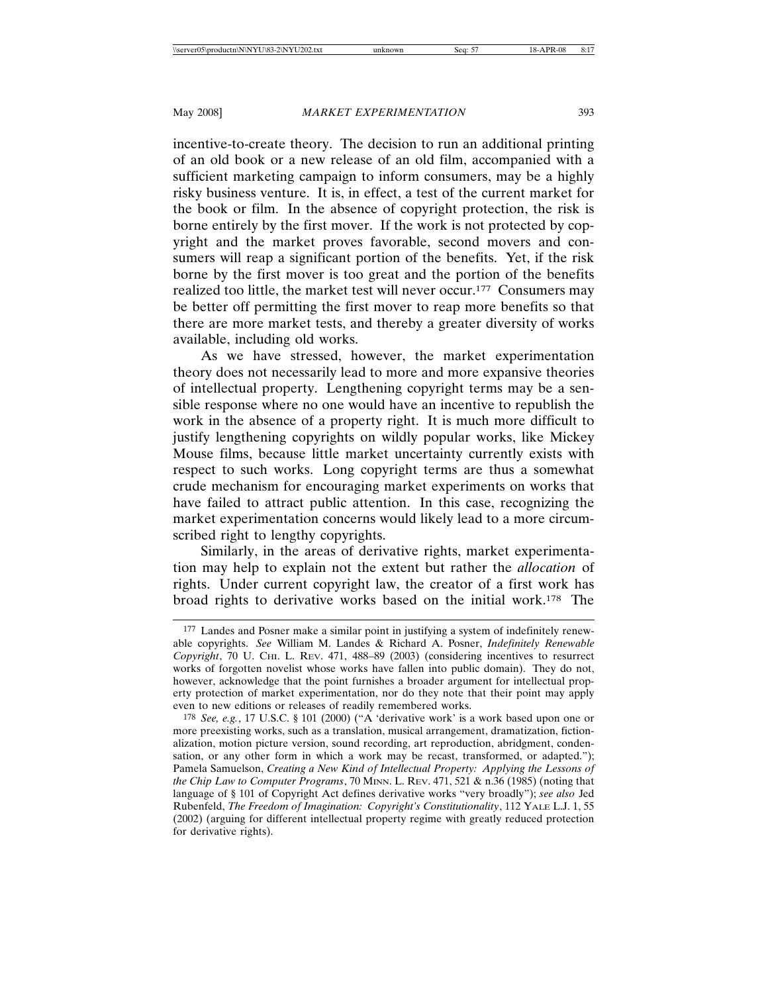incentive-to-create theory. The decision to run an additional printing of an old book or a new release of an old film, accompanied with a sufficient marketing campaign to inform consumers, may be a highly risky business venture. It is, in effect, a test of the current market for the book or film. In the absence of copyright protection, the risk is borne entirely by the first mover. If the work is not protected by copyright and the market proves favorable, second movers and consumers will reap a significant portion of the benefits. Yet, if the risk borne by the first mover is too great and the portion of the benefits realized too little, the market test will never occur.177 Consumers may be better off permitting the first mover to reap more benefits so that there are more market tests, and thereby a greater diversity of works available, including old works.

As we have stressed, however, the market experimentation theory does not necessarily lead to more and more expansive theories of intellectual property. Lengthening copyright terms may be a sensible response where no one would have an incentive to republish the work in the absence of a property right. It is much more difficult to justify lengthening copyrights on wildly popular works, like Mickey Mouse films, because little market uncertainty currently exists with respect to such works. Long copyright terms are thus a somewhat crude mechanism for encouraging market experiments on works that have failed to attract public attention. In this case, recognizing the market experimentation concerns would likely lead to a more circumscribed right to lengthy copyrights.

Similarly, in the areas of derivative rights, market experimentation may help to explain not the extent but rather the *allocation* of rights. Under current copyright law, the creator of a first work has broad rights to derivative works based on the initial work.178 The

<sup>177</sup> Landes and Posner make a similar point in justifying a system of indefinitely renewable copyrights. *See* William M. Landes & Richard A. Posner, *Indefinitely Renewable Copyright*, 70 U. CHI. L. REV. 471, 488–89 (2003) (considering incentives to resurrect works of forgotten novelist whose works have fallen into public domain). They do not, however, acknowledge that the point furnishes a broader argument for intellectual property protection of market experimentation, nor do they note that their point may apply even to new editions or releases of readily remembered works.

<sup>178</sup> *See, e.g.*, 17 U.S.C. § 101 (2000) ("A 'derivative work' is a work based upon one or more preexisting works, such as a translation, musical arrangement, dramatization, fictionalization, motion picture version, sound recording, art reproduction, abridgment, condensation, or any other form in which a work may be recast, transformed, or adapted."); Pamela Samuelson, *Creating a New Kind of Intellectual Property: Applying the Lessons of the Chip Law to Computer Programs*, 70 MINN. L. REV. 471, 521 & n.36 (1985) (noting that language of § 101 of Copyright Act defines derivative works "very broadly"); *see also* Jed Rubenfeld, *The Freedom of Imagination: Copyright's Constitutionality*, 112 YALE L.J. 1, 55 (2002) (arguing for different intellectual property regime with greatly reduced protection for derivative rights).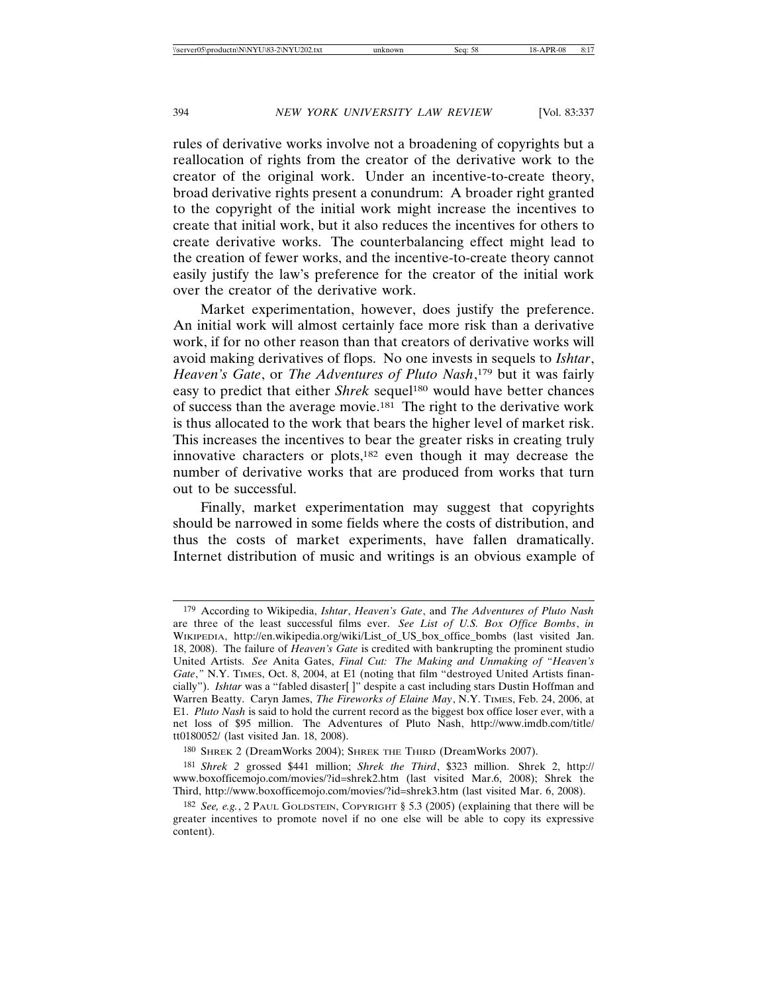rules of derivative works involve not a broadening of copyrights but a reallocation of rights from the creator of the derivative work to the creator of the original work. Under an incentive-to-create theory, broad derivative rights present a conundrum: A broader right granted to the copyright of the initial work might increase the incentives to create that initial work, but it also reduces the incentives for others to create derivative works. The counterbalancing effect might lead to the creation of fewer works, and the incentive-to-create theory cannot easily justify the law's preference for the creator of the initial work over the creator of the derivative work.

Market experimentation, however, does justify the preference. An initial work will almost certainly face more risk than a derivative work, if for no other reason than that creators of derivative works will avoid making derivatives of flops. No one invests in sequels to *Ishtar*, *Heaven's Gate*, or *The Adventures of Pluto Nash*, 179 but it was fairly easy to predict that either *Shrek* sequel<sup>180</sup> would have better chances of success than the average movie.181 The right to the derivative work is thus allocated to the work that bears the higher level of market risk. This increases the incentives to bear the greater risks in creating truly innovative characters or plots,182 even though it may decrease the number of derivative works that are produced from works that turn out to be successful.

Finally, market experimentation may suggest that copyrights should be narrowed in some fields where the costs of distribution, and thus the costs of market experiments, have fallen dramatically. Internet distribution of music and writings is an obvious example of

<sup>179</sup> According to Wikipedia, *Ishtar*, *Heaven's Gate*, and *The Adventures of Pluto Nash* are three of the least successful films ever. *See List of U.S. Box Office Bombs*, *in* WIKIPEDIA, http://en.wikipedia.org/wiki/List\_of\_US\_box\_office\_bombs (last visited Jan. 18, 2008). The failure of *Heaven's Gate* is credited with bankrupting the prominent studio United Artists. *See* Anita Gates, *Final Cut: The Making and Unmaking of "Heaven's Gate*,*"* N.Y. TIMES, Oct. 8, 2004, at E1 (noting that film "destroyed United Artists financially"). *Ishtar* was a "fabled disaster[ ]" despite a cast including stars Dustin Hoffman and Warren Beatty. Caryn James, *The Fireworks of Elaine May*, N.Y. TIMES, Feb. 24, 2006, at E1. *Pluto Nash* is said to hold the current record as the biggest box office loser ever, with a net loss of \$95 million. The Adventures of Pluto Nash, http://www.imdb.com/title/ tt0180052/ (last visited Jan. 18, 2008).

<sup>180</sup> SHREK 2 (DreamWorks 2004); SHREK THE THIRD (DreamWorks 2007).

<sup>181</sup> *Shrek 2* grossed \$441 million; *Shrek the Third*, \$323 million. Shrek 2, http:// www.boxofficemojo.com/movies/?id=shrek2.htm (last visited Mar.6, 2008); Shrek the Third, http://www.boxofficemojo.com/movies/?id=shrek3.htm (last visited Mar. 6, 2008).

<sup>182</sup> *See, e.g.*, 2 PAUL GOLDSTEIN, COPYRIGHT § 5.3 (2005) (explaining that there will be greater incentives to promote novel if no one else will be able to copy its expressive content).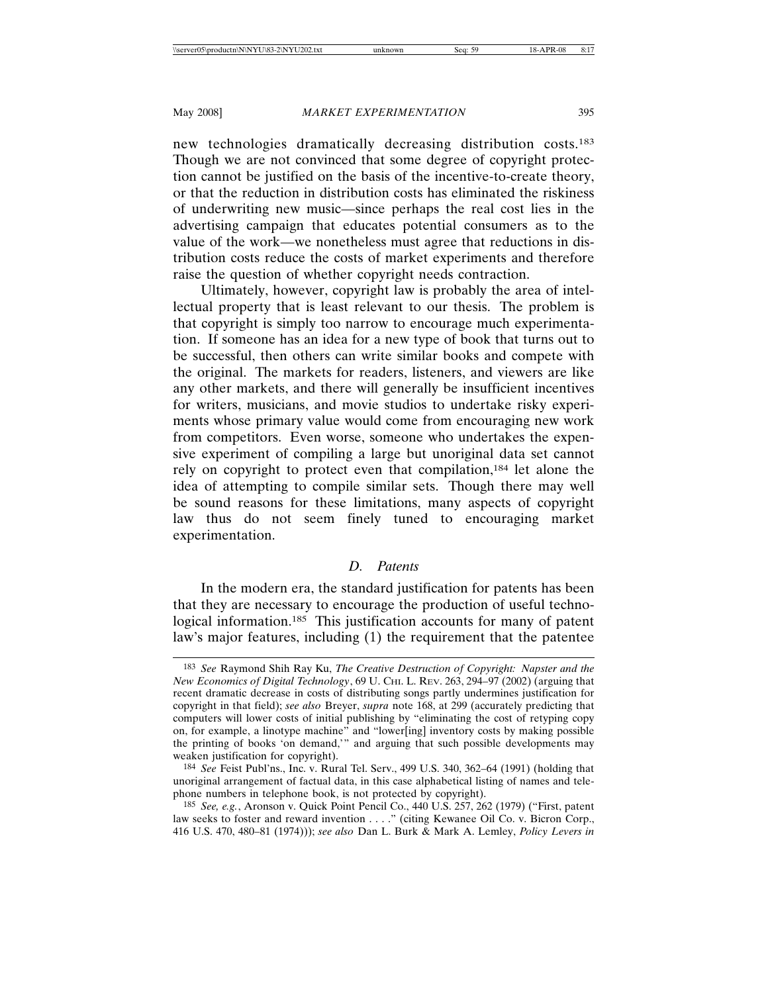new technologies dramatically decreasing distribution costs.183 Though we are not convinced that some degree of copyright protection cannot be justified on the basis of the incentive-to-create theory, or that the reduction in distribution costs has eliminated the riskiness of underwriting new music—since perhaps the real cost lies in the advertising campaign that educates potential consumers as to the value of the work—we nonetheless must agree that reductions in distribution costs reduce the costs of market experiments and therefore raise the question of whether copyright needs contraction.

Ultimately, however, copyright law is probably the area of intellectual property that is least relevant to our thesis. The problem is that copyright is simply too narrow to encourage much experimentation. If someone has an idea for a new type of book that turns out to be successful, then others can write similar books and compete with the original. The markets for readers, listeners, and viewers are like any other markets, and there will generally be insufficient incentives for writers, musicians, and movie studios to undertake risky experiments whose primary value would come from encouraging new work from competitors. Even worse, someone who undertakes the expensive experiment of compiling a large but unoriginal data set cannot rely on copyright to protect even that compilation,<sup>184</sup> let alone the idea of attempting to compile similar sets. Though there may well be sound reasons for these limitations, many aspects of copyright law thus do not seem finely tuned to encouraging market experimentation.

## *D. Patents*

In the modern era, the standard justification for patents has been that they are necessary to encourage the production of useful technological information.<sup>185</sup> This justification accounts for many of patent law's major features, including (1) the requirement that the patentee

<sup>183</sup> *See* Raymond Shih Ray Ku, *The Creative Destruction of Copyright: Napster and the New Economics of Digital Technology*, 69 U. CHI. L. REV. 263, 294–97 (2002) (arguing that recent dramatic decrease in costs of distributing songs partly undermines justification for copyright in that field); *see also* Breyer, *supra* note 168, at 299 (accurately predicting that computers will lower costs of initial publishing by "eliminating the cost of retyping copy on, for example, a linotype machine" and "lower[ing] inventory costs by making possible the printing of books 'on demand,'" and arguing that such possible developments may weaken justification for copyright).

<sup>184</sup> *See* Feist Publ'ns., Inc. v. Rural Tel. Serv., 499 U.S. 340, 362–64 (1991) (holding that unoriginal arrangement of factual data, in this case alphabetical listing of names and telephone numbers in telephone book, is not protected by copyright).

<sup>185</sup> *See, e.g.*, Aronson v. Quick Point Pencil Co., 440 U.S. 257, 262 (1979) ("First, patent law seeks to foster and reward invention . . . ." (citing Kewanee Oil Co. v. Bicron Corp., 416 U.S. 470, 480–81 (1974))); *see also* Dan L. Burk & Mark A. Lemley, *Policy Levers in*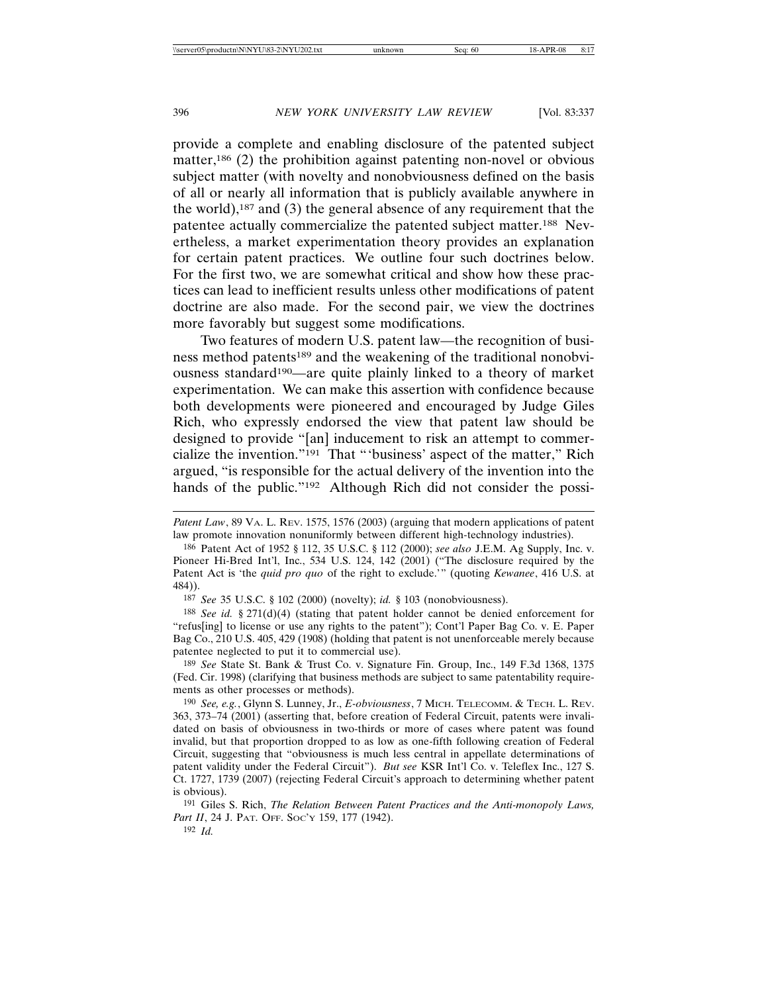provide a complete and enabling disclosure of the patented subject matter,<sup>186</sup> (2) the prohibition against patenting non-novel or obvious subject matter (with novelty and nonobviousness defined on the basis of all or nearly all information that is publicly available anywhere in the world),<sup>187</sup> and (3) the general absence of any requirement that the patentee actually commercialize the patented subject matter.188 Nevertheless, a market experimentation theory provides an explanation for certain patent practices. We outline four such doctrines below. For the first two, we are somewhat critical and show how these practices can lead to inefficient results unless other modifications of patent doctrine are also made. For the second pair, we view the doctrines more favorably but suggest some modifications.

Two features of modern U.S. patent law—the recognition of business method patents<sup>189</sup> and the weakening of the traditional nonobviousness standard190—are quite plainly linked to a theory of market experimentation. We can make this assertion with confidence because both developments were pioneered and encouraged by Judge Giles Rich, who expressly endorsed the view that patent law should be designed to provide "[an] inducement to risk an attempt to commercialize the invention."191 That "'business' aspect of the matter," Rich argued, "is responsible for the actual delivery of the invention into the hands of the public."<sup>192</sup> Although Rich did not consider the possi-

187 *See* 35 U.S.C. § 102 (2000) (novelty); *id.* § 103 (nonobviousness).

188 *See id.* § 271(d)(4) (stating that patent holder cannot be denied enforcement for "refus[ing] to license or use any rights to the patent"); Cont'l Paper Bag Co. v. E. Paper Bag Co., 210 U.S. 405, 429 (1908) (holding that patent is not unenforceable merely because patentee neglected to put it to commercial use).

189 *See* State St. Bank & Trust Co. v. Signature Fin. Group, Inc., 149 F.3d 1368, 1375 (Fed. Cir. 1998) (clarifying that business methods are subject to same patentability requirements as other processes or methods).

191 Giles S. Rich, *The Relation Between Patent Practices and the Anti-monopoly Laws,* Part II, 24 J. PAT. OFF. Soc'y 159, 177 (1942).

192 *Id.*

*Patent Law*, 89 VA. L. REV. 1575, 1576 (2003) (arguing that modern applications of patent law promote innovation nonuniformly between different high-technology industries).

<sup>186</sup> Patent Act of 1952 § 112, 35 U.S.C. § 112 (2000); *see also* J.E.M. Ag Supply, Inc. v. Pioneer Hi-Bred Int'l, Inc., 534 U.S. 124, 142 (2001) ("The disclosure required by the Patent Act is 'the *quid pro quo* of the right to exclude.'" (quoting *Kewanee*, 416 U.S. at 484)).

<sup>190</sup> *See, e.g.*, Glynn S. Lunney, Jr., *E-obviousness*, 7 MICH. TELECOMM. & TECH. L. REV. 363, 373–74 (2001) (asserting that, before creation of Federal Circuit, patents were invalidated on basis of obviousness in two-thirds or more of cases where patent was found invalid, but that proportion dropped to as low as one-fifth following creation of Federal Circuit, suggesting that "obviousness is much less central in appellate determinations of patent validity under the Federal Circuit"). *But see* KSR Int'l Co. v. Teleflex Inc., 127 S. Ct. 1727, 1739 (2007) (rejecting Federal Circuit's approach to determining whether patent is obvious).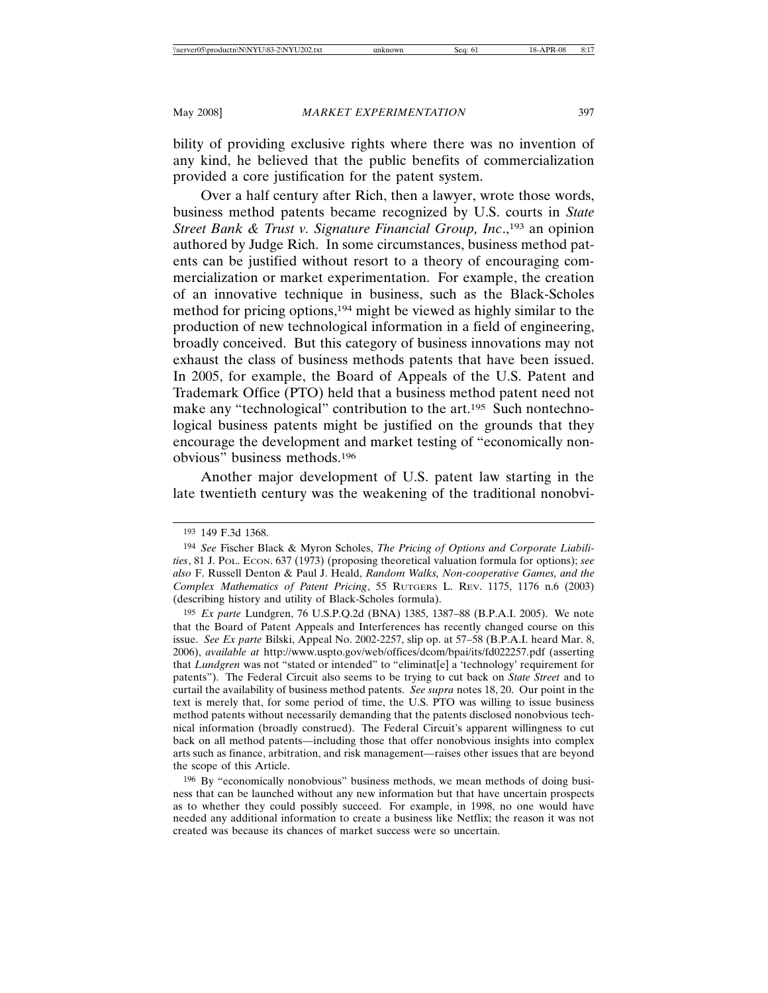bility of providing exclusive rights where there was no invention of any kind, he believed that the public benefits of commercialization provided a core justification for the patent system.

Over a half century after Rich, then a lawyer, wrote those words, business method patents became recognized by U.S. courts in *State Street Bank & Trust v. Signature Financial Group, Inc.*,<sup>193</sup> an opinion authored by Judge Rich. In some circumstances, business method patents can be justified without resort to a theory of encouraging commercialization or market experimentation. For example, the creation of an innovative technique in business, such as the Black-Scholes method for pricing options,<sup>194</sup> might be viewed as highly similar to the production of new technological information in a field of engineering, broadly conceived. But this category of business innovations may not exhaust the class of business methods patents that have been issued. In 2005, for example, the Board of Appeals of the U.S. Patent and Trademark Office (PTO) held that a business method patent need not make any "technological" contribution to the art.<sup>195</sup> Such nontechnological business patents might be justified on the grounds that they encourage the development and market testing of "economically nonobvious" business methods.196

Another major development of U.S. patent law starting in the late twentieth century was the weakening of the traditional nonobvi-

<sup>193</sup> 149 F.3d 1368.

<sup>194</sup> *See* Fischer Black & Myron Scholes, *The Pricing of Options and Corporate Liabilities*, 81 J. POL. ECON. 637 (1973) (proposing theoretical valuation formula for options); *see also* F. Russell Denton & Paul J. Heald, *Random Walks, Non-cooperative Games, and the Complex Mathematics of Patent Pricing*, 55 RUTGERS L. REV. 1175, 1176 n.6 (2003) (describing history and utility of Black-Scholes formula).

<sup>195</sup> *Ex parte* Lundgren, 76 U.S.P.Q.2d (BNA) 1385, 1387–88 (B.P.A.I. 2005). We note that the Board of Patent Appeals and Interferences has recently changed course on this issue. *See Ex parte* Bilski, Appeal No. 2002-2257, slip op. at 57–58 (B.P.A.I. heard Mar. 8, 2006), *available at* http://www.uspto.gov/web/offices/dcom/bpai/its/fd022257.pdf (asserting that *Lundgren* was not "stated or intended" to "eliminat[e] a 'technology' requirement for patents"). The Federal Circuit also seems to be trying to cut back on *State Street* and to curtail the availability of business method patents. *See supra* notes 18, 20. Our point in the text is merely that, for some period of time, the U.S. PTO was willing to issue business method patents without necessarily demanding that the patents disclosed nonobvious technical information (broadly construed). The Federal Circuit's apparent willingness to cut back on all method patents—including those that offer nonobvious insights into complex arts such as finance, arbitration, and risk management—raises other issues that are beyond the scope of this Article.

<sup>196</sup> By "economically nonobvious" business methods, we mean methods of doing business that can be launched without any new information but that have uncertain prospects as to whether they could possibly succeed. For example, in 1998, no one would have needed any additional information to create a business like Netflix; the reason it was not created was because its chances of market success were so uncertain.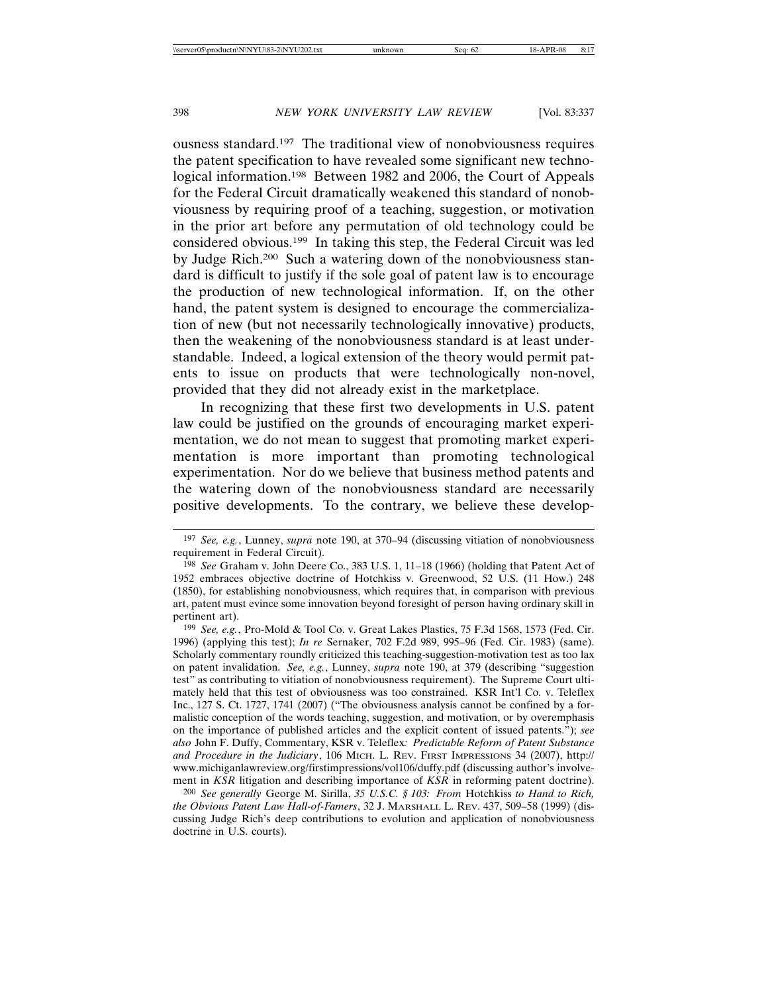ousness standard.197 The traditional view of nonobviousness requires the patent specification to have revealed some significant new technological information.198 Between 1982 and 2006, the Court of Appeals for the Federal Circuit dramatically weakened this standard of nonobviousness by requiring proof of a teaching, suggestion, or motivation in the prior art before any permutation of old technology could be considered obvious.199 In taking this step, the Federal Circuit was led by Judge Rich.200 Such a watering down of the nonobviousness standard is difficult to justify if the sole goal of patent law is to encourage the production of new technological information. If, on the other hand, the patent system is designed to encourage the commercialization of new (but not necessarily technologically innovative) products, then the weakening of the nonobviousness standard is at least understandable. Indeed, a logical extension of the theory would permit patents to issue on products that were technologically non-novel, provided that they did not already exist in the marketplace.

In recognizing that these first two developments in U.S. patent law could be justified on the grounds of encouraging market experimentation, we do not mean to suggest that promoting market experimentation is more important than promoting technological experimentation. Nor do we believe that business method patents and the watering down of the nonobviousness standard are necessarily positive developments. To the contrary, we believe these develop-

200 *See generally* George M. Sirilla, *35 U.S.C. § 103: From* Hotchkiss *to Hand to Rich, the Obvious Patent Law Hall-of-Famers*, 32 J. MARSHALL L. REV. 437, 509–58 (1999) (discussing Judge Rich's deep contributions to evolution and application of nonobviousness doctrine in U.S. courts).

<sup>197</sup> *See, e.g.*, Lunney, *supra* note 190, at 370–94 (discussing vitiation of nonobviousness requirement in Federal Circuit).

<sup>198</sup> *See* Graham v. John Deere Co., 383 U.S. 1, 11–18 (1966) (holding that Patent Act of 1952 embraces objective doctrine of Hotchkiss v. Greenwood, 52 U.S. (11 How.) 248 (1850), for establishing nonobviousness, which requires that, in comparison with previous art, patent must evince some innovation beyond foresight of person having ordinary skill in pertinent art).

<sup>199</sup> *See, e.g.*, Pro-Mold & Tool Co. v. Great Lakes Plastics, 75 F.3d 1568, 1573 (Fed. Cir. 1996) (applying this test); *In re* Sernaker, 702 F.2d 989, 995–96 (Fed. Cir. 1983) (same). Scholarly commentary roundly criticized this teaching-suggestion-motivation test as too lax on patent invalidation. *See, e.g.*, Lunney, *supra* note 190, at 379 (describing "suggestion test" as contributing to vitiation of nonobviousness requirement). The Supreme Court ultimately held that this test of obviousness was too constrained. KSR Int'l Co. v. Teleflex Inc., 127 S. Ct. 1727, 1741 (2007) ("The obviousness analysis cannot be confined by a formalistic conception of the words teaching, suggestion, and motivation, or by overemphasis on the importance of published articles and the explicit content of issued patents."); *see also* John F. Duffy, Commentary, KSR v. Teleflex*: Predictable Reform of Patent Substance and Procedure in the Judiciary*, 106 MICH. L. REV. FIRST IMPRESSIONS 34 (2007), http:// www.michiganlawreview.org/firstimpressions/vol106/duffy.pdf (discussing author's involvement in *KSR* litigation and describing importance of *KSR* in reforming patent doctrine).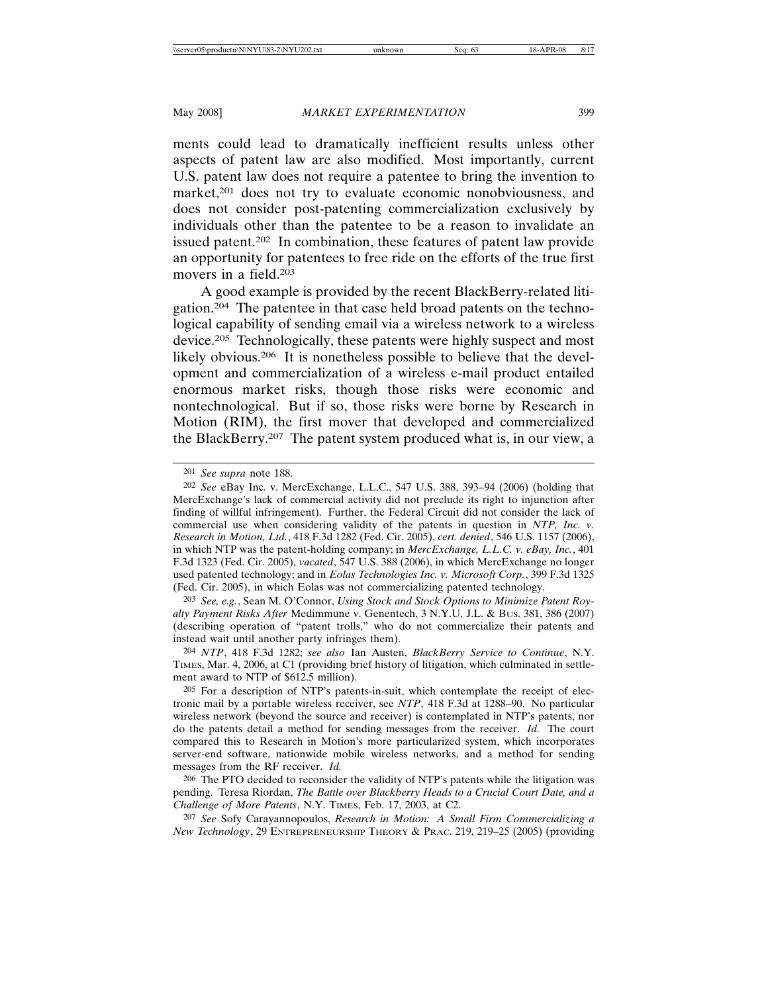ments could lead to dramatically inefficient results unless other aspects of patent law are also modified. Most importantly, current U.S. patent law does not require a patentee to bring the invention to market,<sup>201</sup> does not try to evaluate economic nonobviousness, and does not consider post-patenting commercialization exclusively by individuals other than the patentee to be a reason to invalidate an issued patent.202 In combination, these features of patent law provide an opportunity for patentees to free ride on the efforts of the true first movers in a field.203

A good example is provided by the recent BlackBerry-related litigation.204 The patentee in that case held broad patents on the technological capability of sending email via a wireless network to a wireless device.205 Technologically, these patents were highly suspect and most likely obvious.206 It is nonetheless possible to believe that the development and commercialization of a wireless e-mail product entailed enormous market risks, though those risks were economic and nontechnological. But if so, those risks were borne by Research in Motion (RIM), the first mover that developed and commercialized the BlackBerry.207 The patent system produced what is, in our view, a

207 *See* Sofy Carayannopoulos, *Research in Motion: A Small Firm Commercializing a New Technology*, 29 ENTREPRENEURSHIP THEORY & PRAC. 219, 219–25 (2005) (providing

<sup>201</sup> *See supra* note 188.

<sup>202</sup> *See* eBay Inc. v. MercExchange, L.L.C., 547 U.S. 388, 393–94 (2006) (holding that MercExchange's lack of commercial activity did not preclude its right to injunction after finding of willful infringement). Further, the Federal Circuit did not consider the lack of commercial use when considering validity of the patents in question in *NTP, Inc. v. Research in Motion, Ltd.*, 418 F.3d 1282 (Fed. Cir. 2005), *cert. denied*, 546 U.S. 1157 (2006), in which NTP was the patent-holding company; in *MercExchange, L.L.C. v. eBay, Inc.*, 401 F.3d 1323 (Fed. Cir. 2005), *vacated*, 547 U.S. 388 (2006), in which MercExchange no longer used patented technology; and in *Eolas Technologies Inc. v. Microsoft Corp.*, 399 F.3d 1325 (Fed. Cir. 2005), in which Eolas was not commercializing patented technology.

<sup>203</sup> *See, e.g.*, Sean M. O'Connor, *Using Stock and Stock Options to Minimize Patent Royalty Payment Risks After* Medimmune v. Genentech, 3 N.Y.U. J.L. & BUS. 381, 386 (2007) (describing operation of "patent trolls," who do not commercialize their patents and instead wait until another party infringes them).

<sup>204</sup> *NTP*, 418 F.3d 1282; *see also* Ian Austen, *BlackBerry Service to Continue*, N.Y. TIMES, Mar. 4, 2006, at C1 (providing brief history of litigation, which culminated in settlement award to NTP of \$612.5 million).

<sup>205</sup> For a description of NTP's patents-in-suit, which contemplate the receipt of electronic mail by a portable wireless receiver, see *NTP*, 418 F.3d at 1288–90. No particular wireless network (beyond the source and receiver) is contemplated in NTP's patents, nor do the patents detail a method for sending messages from the receiver. *Id.* The court compared this to Research in Motion's more particularized system, which incorporates server-end software, nationwide mobile wireless networks, and a method for sending messages from the RF receiver. *Id.*

<sup>206</sup> The PTO decided to reconsider the validity of NTP's patents while the litigation was pending. Teresa Riordan, *The Battle over Blackberry Heads to a Crucial Court Date, and a Challenge of More Patents*, N.Y. TIMES, Feb. 17, 2003, at C2.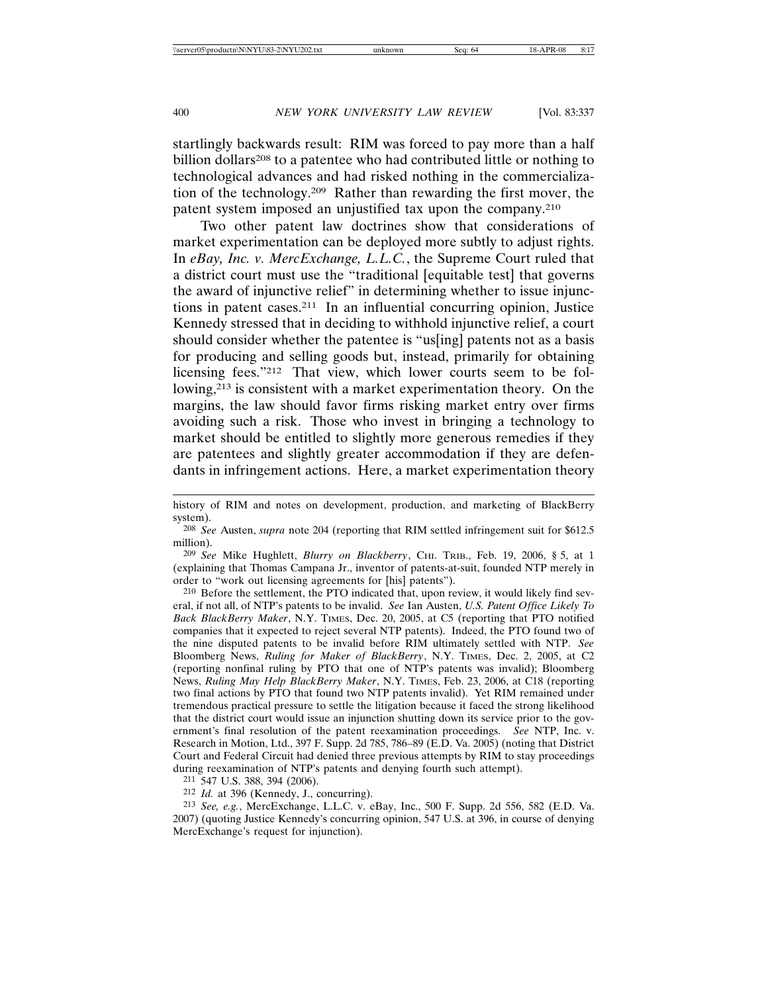startlingly backwards result: RIM was forced to pay more than a half billion dollars<sup>208</sup> to a patentee who had contributed little or nothing to technological advances and had risked nothing in the commercialization of the technology.209 Rather than rewarding the first mover, the patent system imposed an unjustified tax upon the company.210

Two other patent law doctrines show that considerations of market experimentation can be deployed more subtly to adjust rights. In *eBay, Inc. v. MercExchange, L.L.C.*, the Supreme Court ruled that a district court must use the "traditional [equitable test] that governs the award of injunctive relief" in determining whether to issue injunctions in patent cases.211 In an influential concurring opinion, Justice Kennedy stressed that in deciding to withhold injunctive relief, a court should consider whether the patentee is "us[ing] patents not as a basis for producing and selling goods but, instead, primarily for obtaining licensing fees."212 That view, which lower courts seem to be following,213 is consistent with a market experimentation theory. On the margins, the law should favor firms risking market entry over firms avoiding such a risk. Those who invest in bringing a technology to market should be entitled to slightly more generous remedies if they are patentees and slightly greater accommodation if they are defendants in infringement actions. Here, a market experimentation theory

209 *See* Mike Hughlett, *Blurry on Blackberry*, CHI. TRIB., Feb. 19, 2006, § 5, at 1 (explaining that Thomas Campana Jr., inventor of patents-at-suit, founded NTP merely in order to "work out licensing agreements for [his] patents").

210 Before the settlement, the PTO indicated that, upon review, it would likely find several, if not all, of NTP's patents to be invalid. *See* Ian Austen, *U.S. Patent Office Likely To Back BlackBerry Maker*, N.Y. TIMES, Dec. 20, 2005, at C5 (reporting that PTO notified companies that it expected to reject several NTP patents). Indeed, the PTO found two of the nine disputed patents to be invalid before RIM ultimately settled with NTP. *See* Bloomberg News, *Ruling for Maker of BlackBerry*, N.Y. TIMES, Dec. 2, 2005, at C2 (reporting nonfinal ruling by PTO that one of NTP's patents was invalid); Bloomberg News, *Ruling May Help BlackBerry Maker*, N.Y. TIMES, Feb. 23, 2006, at C18 (reporting two final actions by PTO that found two NTP patents invalid). Yet RIM remained under tremendous practical pressure to settle the litigation because it faced the strong likelihood that the district court would issue an injunction shutting down its service prior to the government's final resolution of the patent reexamination proceedings. *See* NTP, Inc. v. Research in Motion, Ltd., 397 F. Supp. 2d 785, 786–89 (E.D. Va. 2005) (noting that District Court and Federal Circuit had denied three previous attempts by RIM to stay proceedings during reexamination of NTP's patents and denying fourth such attempt).

212 *Id.* at 396 (Kennedy, J., concurring).

213 *See, e.g.*, MercExchange, L.L.C. v. eBay, Inc., 500 F. Supp. 2d 556, 582 (E.D. Va. 2007) (quoting Justice Kennedy's concurring opinion, 547 U.S. at 396, in course of denying MercExchange's request for injunction).

history of RIM and notes on development, production, and marketing of BlackBerry system).

<sup>208</sup> *See* Austen, *supra* note 204 (reporting that RIM settled infringement suit for \$612.5 million).

<sup>211</sup> 547 U.S. 388, 394 (2006).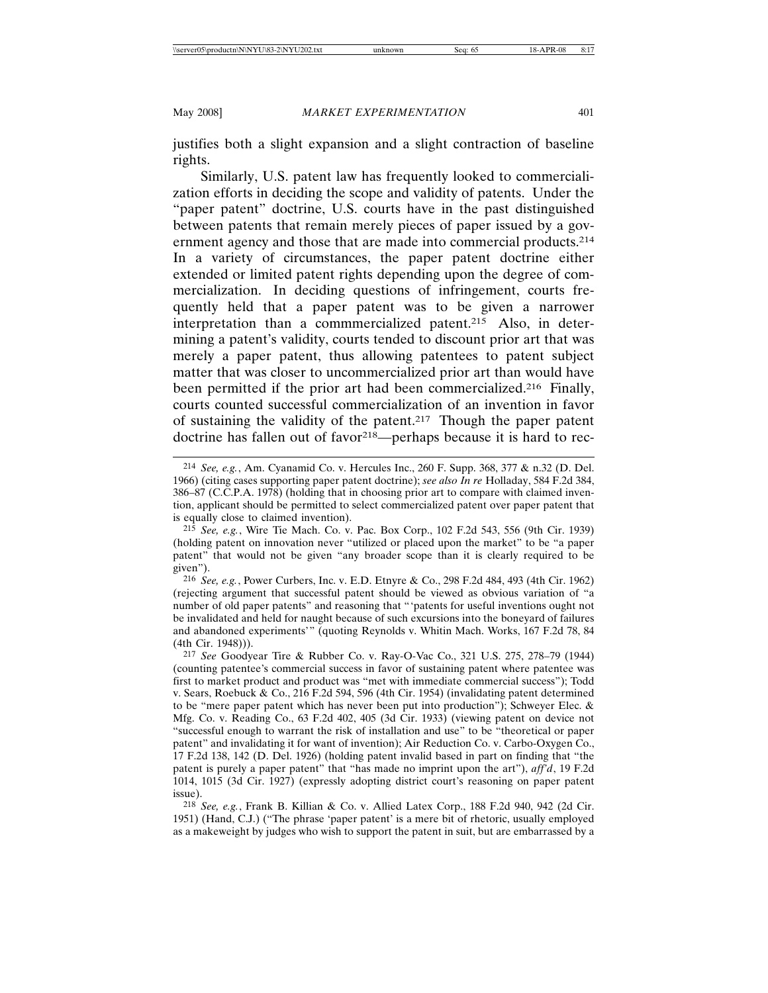justifies both a slight expansion and a slight contraction of baseline rights.

Similarly, U.S. patent law has frequently looked to commercialization efforts in deciding the scope and validity of patents. Under the "paper patent" doctrine, U.S. courts have in the past distinguished between patents that remain merely pieces of paper issued by a government agency and those that are made into commercial products.214 In a variety of circumstances, the paper patent doctrine either extended or limited patent rights depending upon the degree of commercialization. In deciding questions of infringement, courts frequently held that a paper patent was to be given a narrower interpretation than a commmercialized patent.215 Also, in determining a patent's validity, courts tended to discount prior art that was merely a paper patent, thus allowing patentees to patent subject matter that was closer to uncommercialized prior art than would have been permitted if the prior art had been commercialized.<sup>216</sup> Finally, courts counted successful commercialization of an invention in favor of sustaining the validity of the patent.217 Though the paper patent doctrine has fallen out of favor<sup>218</sup>—perhaps because it is hard to rec-

<sup>214</sup> *See, e.g.*, Am. Cyanamid Co. v. Hercules Inc., 260 F. Supp. 368, 377 & n.32 (D. Del. 1966) (citing cases supporting paper patent doctrine); *see also In re* Holladay, 584 F.2d 384, 386–87 (C.C.P.A. 1978) (holding that in choosing prior art to compare with claimed invention, applicant should be permitted to select commercialized patent over paper patent that is equally close to claimed invention).

<sup>215</sup> *See, e.g.*, Wire Tie Mach. Co. v. Pac. Box Corp., 102 F.2d 543, 556 (9th Cir. 1939) (holding patent on innovation never "utilized or placed upon the market" to be "a paper patent" that would not be given "any broader scope than it is clearly required to be given").

<sup>216</sup> *See, e.g.*, Power Curbers, Inc. v. E.D. Etnyre & Co., 298 F.2d 484, 493 (4th Cir. 1962) (rejecting argument that successful patent should be viewed as obvious variation of "a number of old paper patents" and reasoning that "'patents for useful inventions ought not be invalidated and held for naught because of such excursions into the boneyard of failures and abandoned experiments'" (quoting Reynolds v. Whitin Mach. Works, 167 F.2d 78, 84 (4th Cir. 1948))).

<sup>217</sup> *See* Goodyear Tire & Rubber Co. v. Ray-O-Vac Co., 321 U.S. 275, 278–79 (1944) (counting patentee's commercial success in favor of sustaining patent where patentee was first to market product and product was "met with immediate commercial success"); Todd v. Sears, Roebuck & Co., 216 F.2d 594, 596 (4th Cir. 1954) (invalidating patent determined to be "mere paper patent which has never been put into production"); Schweyer Elec. & Mfg. Co. v. Reading Co., 63 F.2d 402, 405 (3d Cir. 1933) (viewing patent on device not "successful enough to warrant the risk of installation and use" to be "theoretical or paper patent" and invalidating it for want of invention); Air Reduction Co. v. Carbo-Oxygen Co., 17 F.2d 138, 142 (D. Del. 1926) (holding patent invalid based in part on finding that "the patent is purely a paper patent" that "has made no imprint upon the art"), *aff'd*, 19 F.2d 1014, 1015 (3d Cir. 1927) (expressly adopting district court's reasoning on paper patent issue).

<sup>218</sup> *See, e.g.*, Frank B. Killian & Co. v. Allied Latex Corp., 188 F.2d 940, 942 (2d Cir. 1951) (Hand, C.J.) ("The phrase 'paper patent' is a mere bit of rhetoric, usually employed as a makeweight by judges who wish to support the patent in suit, but are embarrassed by a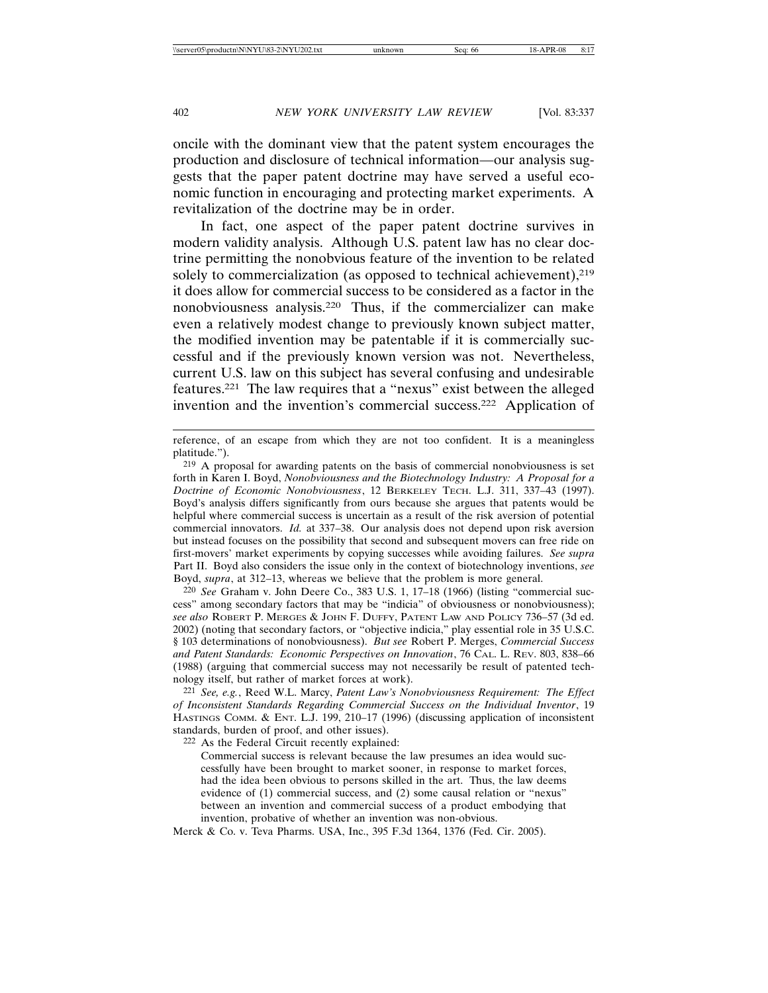oncile with the dominant view that the patent system encourages the production and disclosure of technical information—our analysis suggests that the paper patent doctrine may have served a useful economic function in encouraging and protecting market experiments. A revitalization of the doctrine may be in order.

In fact, one aspect of the paper patent doctrine survives in modern validity analysis. Although U.S. patent law has no clear doctrine permitting the nonobvious feature of the invention to be related solely to commercialization (as opposed to technical achievement),  $219$ it does allow for commercial success to be considered as a factor in the nonobviousness analysis.220 Thus, if the commercializer can make even a relatively modest change to previously known subject matter, the modified invention may be patentable if it is commercially successful and if the previously known version was not. Nevertheless, current U.S. law on this subject has several confusing and undesirable features.221 The law requires that a "nexus" exist between the alleged invention and the invention's commercial success.222 Application of

220 *See* Graham v. John Deere Co., 383 U.S. 1, 17–18 (1966) (listing "commercial success" among secondary factors that may be "indicia" of obviousness or nonobviousness); *see also* ROBERT P. MERGES & JOHN F. DUFFY, PATENT LAW AND POLICY 736–57 (3d ed. 2002) (noting that secondary factors, or "objective indicia," play essential role in 35 U.S.C. § 103 determinations of nonobviousness). *But see* Robert P. Merges, *Commercial Success and Patent Standards: Economic Perspectives on Innovation*, 76 CAL. L. REV. 803, 838–66 (1988) (arguing that commercial success may not necessarily be result of patented technology itself, but rather of market forces at work).

221 *See, e.g.*, Reed W.L. Marcy, *Patent Law's Nonobviousness Requirement: The Effect of Inconsistent Standards Regarding Commercial Success on the Individual Inventor*, 19 HASTINGS COMM. & ENT. L.J. 199, 210–17 (1996) (discussing application of inconsistent standards, burden of proof, and other issues).

222 As the Federal Circuit recently explained:

Commercial success is relevant because the law presumes an idea would successfully have been brought to market sooner, in response to market forces, had the idea been obvious to persons skilled in the art. Thus, the law deems evidence of (1) commercial success, and (2) some causal relation or "nexus" between an invention and commercial success of a product embodying that invention, probative of whether an invention was non-obvious.

Merck & Co. v. Teva Pharms. USA, Inc., 395 F.3d 1364, 1376 (Fed. Cir. 2005).

reference, of an escape from which they are not too confident. It is a meaningless platitude.").

<sup>219</sup> A proposal for awarding patents on the basis of commercial nonobviousness is set forth in Karen I. Boyd, *Nonobviousness and the Biotechnology Industry: A Proposal for a Doctrine of Economic Nonobviousness*, 12 BERKELEY TECH. L.J. 311, 337–43 (1997). Boyd's analysis differs significantly from ours because she argues that patents would be helpful where commercial success is uncertain as a result of the risk aversion of potential commercial innovators. *Id.* at 337–38. Our analysis does not depend upon risk aversion but instead focuses on the possibility that second and subsequent movers can free ride on first-movers' market experiments by copying successes while avoiding failures. *See supra* Part II. Boyd also considers the issue only in the context of biotechnology inventions, *see* Boyd, *supra*, at 312–13, whereas we believe that the problem is more general.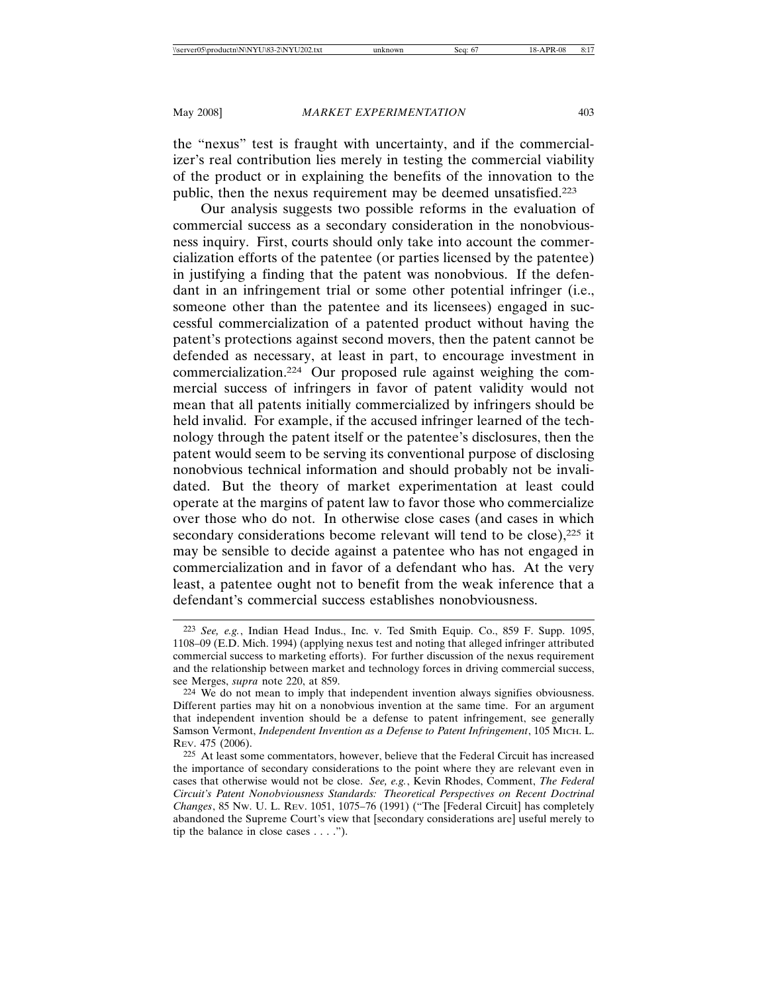the "nexus" test is fraught with uncertainty, and if the commercializer's real contribution lies merely in testing the commercial viability of the product or in explaining the benefits of the innovation to the public, then the nexus requirement may be deemed unsatisfied.223

Our analysis suggests two possible reforms in the evaluation of commercial success as a secondary consideration in the nonobviousness inquiry. First, courts should only take into account the commercialization efforts of the patentee (or parties licensed by the patentee) in justifying a finding that the patent was nonobvious. If the defendant in an infringement trial or some other potential infringer (i.e., someone other than the patentee and its licensees) engaged in successful commercialization of a patented product without having the patent's protections against second movers, then the patent cannot be defended as necessary, at least in part, to encourage investment in commercialization.224 Our proposed rule against weighing the commercial success of infringers in favor of patent validity would not mean that all patents initially commercialized by infringers should be held invalid. For example, if the accused infringer learned of the technology through the patent itself or the patentee's disclosures, then the patent would seem to be serving its conventional purpose of disclosing nonobvious technical information and should probably not be invalidated. But the theory of market experimentation at least could operate at the margins of patent law to favor those who commercialize over those who do not. In otherwise close cases (and cases in which secondary considerations become relevant will tend to be close),<sup>225</sup> it may be sensible to decide against a patentee who has not engaged in commercialization and in favor of a defendant who has. At the very least, a patentee ought not to benefit from the weak inference that a defendant's commercial success establishes nonobviousness.

<sup>223</sup> *See, e.g.*, Indian Head Indus., Inc. v. Ted Smith Equip. Co., 859 F. Supp. 1095, 1108–09 (E.D. Mich. 1994) (applying nexus test and noting that alleged infringer attributed commercial success to marketing efforts). For further discussion of the nexus requirement and the relationship between market and technology forces in driving commercial success, see Merges, *supra* note 220, at 859.

<sup>224</sup> We do not mean to imply that independent invention always signifies obviousness. Different parties may hit on a nonobvious invention at the same time. For an argument that independent invention should be a defense to patent infringement, see generally Samson Vermont, *Independent Invention as a Defense to Patent Infringement*, 105 MICH. L. REV. 475 (2006).

<sup>225</sup> At least some commentators, however, believe that the Federal Circuit has increased the importance of secondary considerations to the point where they are relevant even in cases that otherwise would not be close. *See, e.g.*, Kevin Rhodes, Comment, *The Federal Circuit's Patent Nonobviousness Standards: Theoretical Perspectives on Recent Doctrinal Changes*, 85 NW. U. L. REV. 1051, 1075–76 (1991) ("The [Federal Circuit] has completely abandoned the Supreme Court's view that [secondary considerations are] useful merely to tip the balance in close cases  $\dots$ .").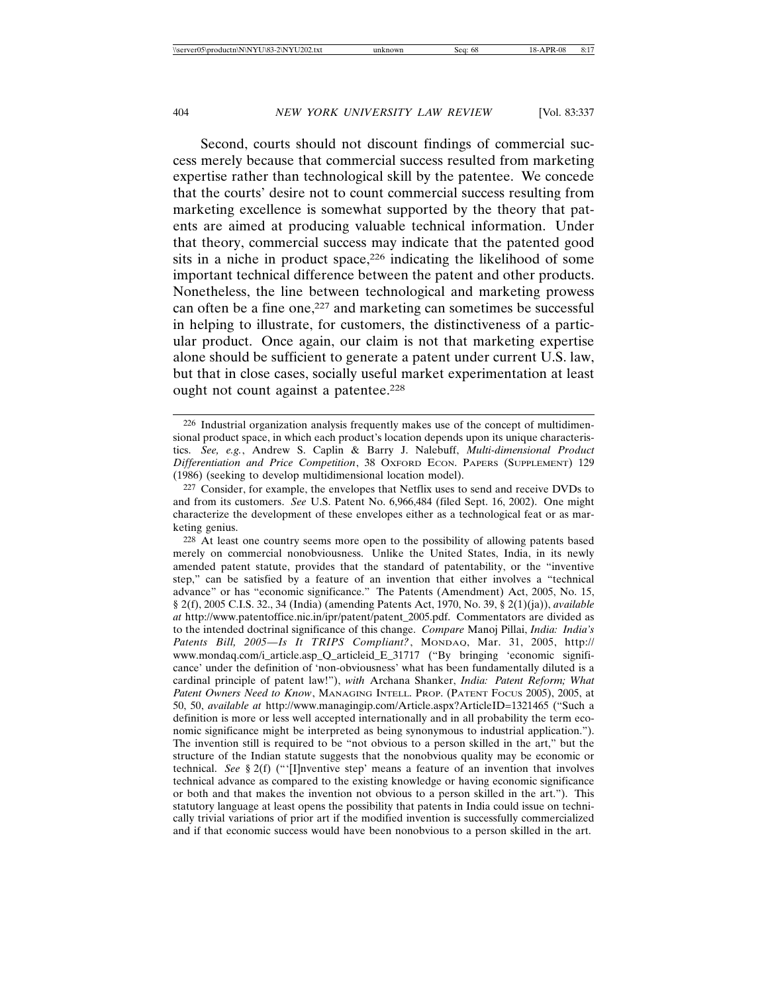Second, courts should not discount findings of commercial success merely because that commercial success resulted from marketing expertise rather than technological skill by the patentee. We concede that the courts' desire not to count commercial success resulting from marketing excellence is somewhat supported by the theory that patents are aimed at producing valuable technical information. Under that theory, commercial success may indicate that the patented good sits in a niche in product space,<sup>226</sup> indicating the likelihood of some important technical difference between the patent and other products. Nonetheless, the line between technological and marketing prowess can often be a fine one,<sup>227</sup> and marketing can sometimes be successful in helping to illustrate, for customers, the distinctiveness of a particular product. Once again, our claim is not that marketing expertise alone should be sufficient to generate a patent under current U.S. law, but that in close cases, socially useful market experimentation at least ought not count against a patentee.<sup>228</sup>

<sup>226</sup> Industrial organization analysis frequently makes use of the concept of multidimensional product space, in which each product's location depends upon its unique characteristics. *See, e.g.*, Andrew S. Caplin & Barry J. Nalebuff, *Multi-dimensional Product Differentiation and Price Competition*, 38 OXFORD ECON. PAPERS (SUPPLEMENT) 129 (1986) (seeking to develop multidimensional location model).

<sup>227</sup> Consider, for example, the envelopes that Netflix uses to send and receive DVDs to and from its customers. *See* U.S. Patent No. 6,966,484 (filed Sept. 16, 2002). One might characterize the development of these envelopes either as a technological feat or as marketing genius.

<sup>228</sup> At least one country seems more open to the possibility of allowing patents based merely on commercial nonobviousness. Unlike the United States, India, in its newly amended patent statute, provides that the standard of patentability, or the "inventive step," can be satisfied by a feature of an invention that either involves a "technical advance" or has "economic significance." The Patents (Amendment) Act, 2005, No. 15, § 2(f), 2005 C.I.S. 32., 34 (India) (amending Patents Act, 1970, No. 39, § 2(1)(ja)), *available at* http://www.patentoffice.nic.in/ipr/patent/patent\_2005.pdf. Commentators are divided as to the intended doctrinal significance of this change. *Compare* Manoj Pillai, *India: India's Patents Bill, 2005—Is It TRIPS Compliant?*, MONDAQ, Mar. 31, 2005, http:// www.mondaq.com/i\_article.asp\_Q\_articleid\_E\_31717 ("By bringing 'economic significance' under the definition of 'non-obviousness' what has been fundamentally diluted is a cardinal principle of patent law!"), *with* Archana Shanker, *India: Patent Reform; What Patent Owners Need to Know*, MANAGING INTELL. PROP. (PATENT FOCUS 2005), 2005, at 50, 50, *available at* http://www.managingip.com/Article.aspx?ArticleID=1321465 ("Such a definition is more or less well accepted internationally and in all probability the term economic significance might be interpreted as being synonymous to industrial application."). The invention still is required to be "not obvious to a person skilled in the art," but the structure of the Indian statute suggests that the nonobvious quality may be economic or technical. *See* § 2(f) ("'[I]nventive step' means a feature of an invention that involves technical advance as compared to the existing knowledge or having economic significance or both and that makes the invention not obvious to a person skilled in the art."). This statutory language at least opens the possibility that patents in India could issue on technically trivial variations of prior art if the modified invention is successfully commercialized and if that economic success would have been nonobvious to a person skilled in the art.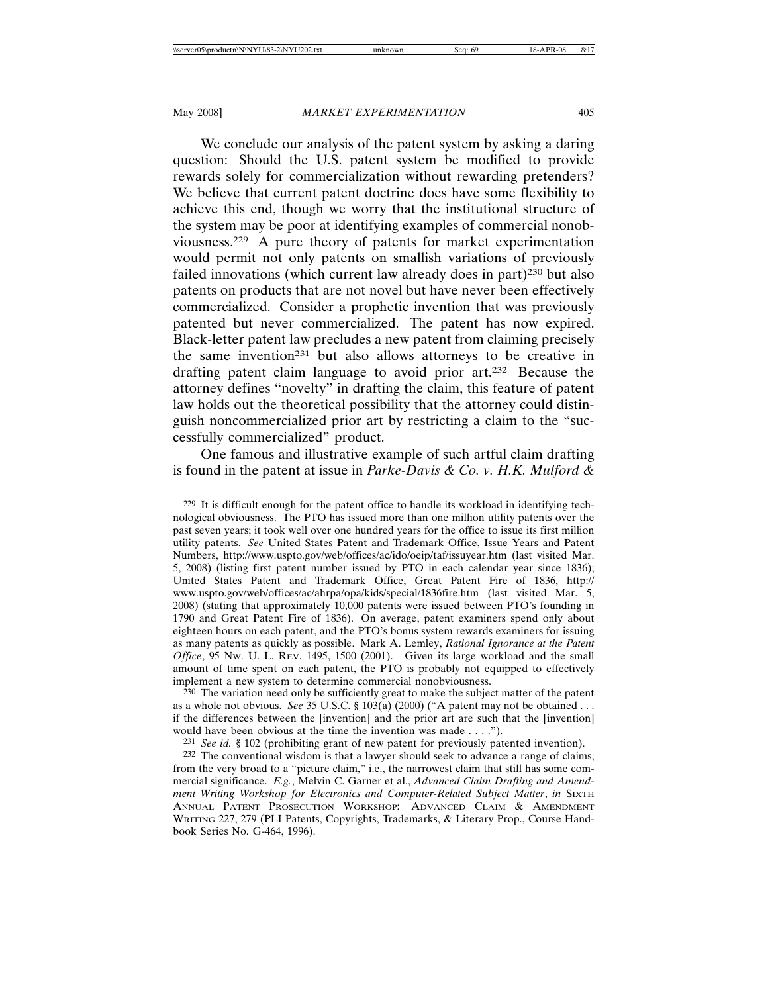We conclude our analysis of the patent system by asking a daring question: Should the U.S. patent system be modified to provide rewards solely for commercialization without rewarding pretenders? We believe that current patent doctrine does have some flexibility to achieve this end, though we worry that the institutional structure of the system may be poor at identifying examples of commercial nonobviousness.229 A pure theory of patents for market experimentation would permit not only patents on smallish variations of previously failed innovations (which current law already does in part)<sup>230</sup> but also patents on products that are not novel but have never been effectively commercialized. Consider a prophetic invention that was previously patented but never commercialized. The patent has now expired. Black-letter patent law precludes a new patent from claiming precisely the same invention231 but also allows attorneys to be creative in drafting patent claim language to avoid prior art.232 Because the attorney defines "novelty" in drafting the claim, this feature of patent law holds out the theoretical possibility that the attorney could distinguish noncommercialized prior art by restricting a claim to the "successfully commercialized" product.

One famous and illustrative example of such artful claim drafting is found in the patent at issue in *Parke-Davis & Co. v. H.K. Mulford &*

230 The variation need only be sufficiently great to make the subject matter of the patent as a whole not obvious. *See* 35 U.S.C. § 103(a) (2000) ("A patent may not be obtained . . . if the differences between the [invention] and the prior art are such that the [invention] would have been obvious at the time the invention was made . . . .").

231 *See id.* § 102 (prohibiting grant of new patent for previously patented invention).

<sup>229</sup> It is difficult enough for the patent office to handle its workload in identifying technological obviousness. The PTO has issued more than one million utility patents over the past seven years; it took well over one hundred years for the office to issue its first million utility patents. *See* United States Patent and Trademark Office, Issue Years and Patent Numbers, http://www.uspto.gov/web/offices/ac/ido/oeip/taf/issuyear.htm (last visited Mar. 5, 2008) (listing first patent number issued by PTO in each calendar year since 1836); United States Patent and Trademark Office, Great Patent Fire of 1836, http:// www.uspto.gov/web/offices/ac/ahrpa/opa/kids/special/1836fire.htm (last visited Mar. 5, 2008) (stating that approximately 10,000 patents were issued between PTO's founding in 1790 and Great Patent Fire of 1836). On average, patent examiners spend only about eighteen hours on each patent, and the PTO's bonus system rewards examiners for issuing as many patents as quickly as possible. Mark A. Lemley, *Rational Ignorance at the Patent Office*, 95 NW. U. L. REV. 1495, 1500 (2001). Given its large workload and the small amount of time spent on each patent, the PTO is probably not equipped to effectively implement a new system to determine commercial nonobviousness.

<sup>232</sup> The conventional wisdom is that a lawyer should seek to advance a range of claims, from the very broad to a "picture claim," i.e., the narrowest claim that still has some commercial significance. *E.g.*, Melvin C. Garner et al., *Advanced Claim Drafting and Amendment Writing Workshop for Electronics and Computer-Related Subject Matter, in SIXTH* ANNUAL PATENT PROSECUTION WORKSHOP: ADVANCED CLAIM & AMENDMENT WRITING 227, 279 (PLI Patents, Copyrights, Trademarks, & Literary Prop., Course Handbook Series No. G-464, 1996).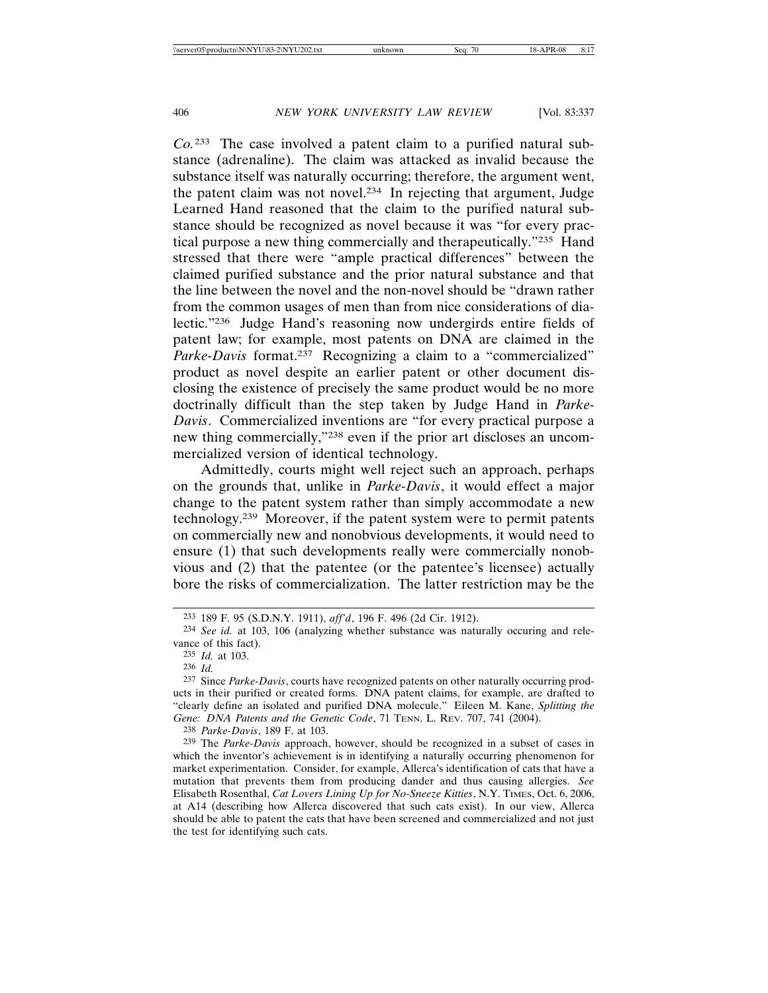*Co.*233 The case involved a patent claim to a purified natural substance (adrenaline). The claim was attacked as invalid because the substance itself was naturally occurring; therefore, the argument went, the patent claim was not novel.234 In rejecting that argument, Judge Learned Hand reasoned that the claim to the purified natural substance should be recognized as novel because it was "for every practical purpose a new thing commercially and therapeutically."235 Hand stressed that there were "ample practical differences" between the claimed purified substance and the prior natural substance and that the line between the novel and the non-novel should be "drawn rather from the common usages of men than from nice considerations of dialectic."236 Judge Hand's reasoning now undergirds entire fields of patent law; for example, most patents on DNA are claimed in the *Parke-Davis* format.<sup>237</sup> Recognizing a claim to a "commercialized" product as novel despite an earlier patent or other document disclosing the existence of precisely the same product would be no more doctrinally difficult than the step taken by Judge Hand in *Parke-Davis*. Commercialized inventions are "for every practical purpose a new thing commercially,"238 even if the prior art discloses an uncommercialized version of identical technology.

Admittedly, courts might well reject such an approach, perhaps on the grounds that, unlike in *Parke-Davis*, it would effect a major change to the patent system rather than simply accommodate a new technology.239 Moreover, if the patent system were to permit patents on commercially new and nonobvious developments, it would need to ensure (1) that such developments really were commercially nonobvious and (2) that the patentee (or the patentee's licensee) actually bore the risks of commercialization. The latter restriction may be the

238 *Parke-Davis*, 189 F. at 103.

<sup>233</sup> 189 F. 95 (S.D.N.Y. 1911), *aff'd*, 196 F. 496 (2d Cir. 1912).

<sup>234</sup> *See id.* at 103, 106 (analyzing whether substance was naturally occuring and relevance of this fact).

<sup>235</sup> *Id.* at 103.

<sup>236</sup> *Id.*

<sup>237</sup> Since *Parke-Davis*, courts have recognized patents on other naturally occurring products in their purified or created forms. DNA patent claims, for example, are drafted to "clearly define an isolated and purified DNA molecule." Eileen M. Kane, *Splitting the Gene: DNA Patents and the Genetic Code*, 71 TENN. L. REV. 707, 741 (2004).

<sup>239</sup> The *Parke-Davis* approach, however, should be recognized in a subset of cases in which the inventor's achievement is in identifying a naturally occurring phenomenon for market experimentation. Consider, for example, Allerca's identification of cats that have a mutation that prevents them from producing dander and thus causing allergies. *See* Elisabeth Rosenthal, *Cat Lovers Lining Up for No-Sneeze Kitties*, N.Y. TIMES, Oct. 6, 2006, at A14 (describing how Allerca discovered that such cats exist). In our view, Allerca should be able to patent the cats that have been screened and commercialized and not just the test for identifying such cats.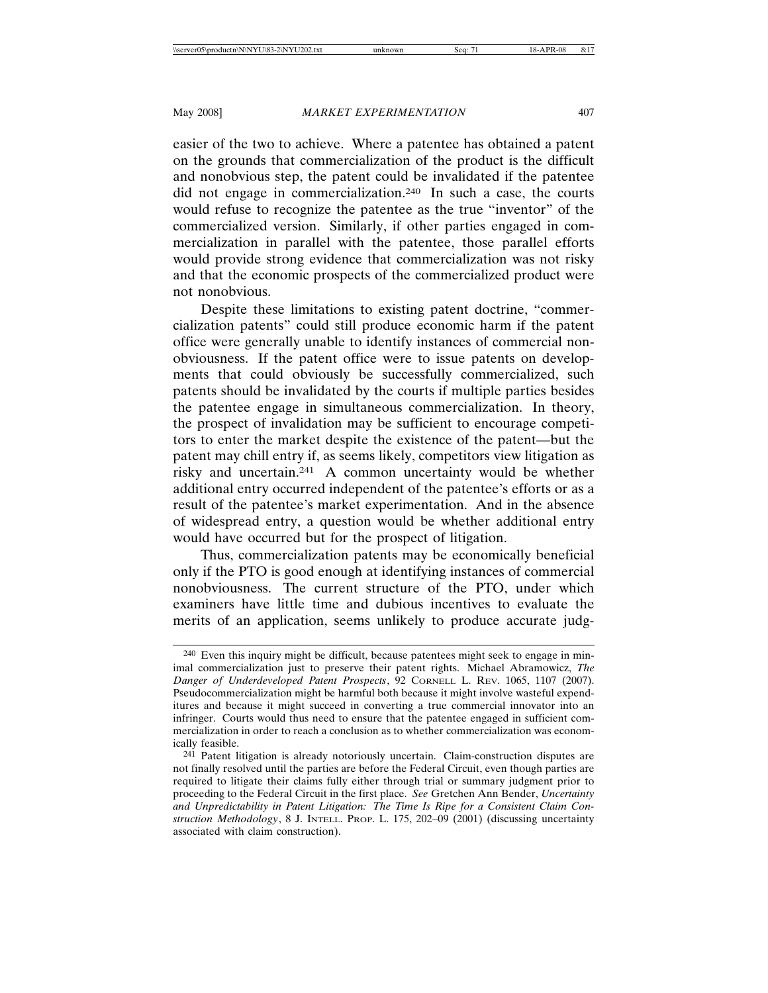easier of the two to achieve. Where a patentee has obtained a patent on the grounds that commercialization of the product is the difficult and nonobvious step, the patent could be invalidated if the patentee did not engage in commercialization.240 In such a case, the courts would refuse to recognize the patentee as the true "inventor" of the commercialized version. Similarly, if other parties engaged in commercialization in parallel with the patentee, those parallel efforts would provide strong evidence that commercialization was not risky and that the economic prospects of the commercialized product were not nonobvious.

Despite these limitations to existing patent doctrine, "commercialization patents" could still produce economic harm if the patent office were generally unable to identify instances of commercial nonobviousness. If the patent office were to issue patents on developments that could obviously be successfully commercialized, such patents should be invalidated by the courts if multiple parties besides the patentee engage in simultaneous commercialization. In theory, the prospect of invalidation may be sufficient to encourage competitors to enter the market despite the existence of the patent—but the patent may chill entry if, as seems likely, competitors view litigation as risky and uncertain.241 A common uncertainty would be whether additional entry occurred independent of the patentee's efforts or as a result of the patentee's market experimentation. And in the absence of widespread entry, a question would be whether additional entry would have occurred but for the prospect of litigation.

Thus, commercialization patents may be economically beneficial only if the PTO is good enough at identifying instances of commercial nonobviousness. The current structure of the PTO, under which examiners have little time and dubious incentives to evaluate the merits of an application, seems unlikely to produce accurate judg-

<sup>240</sup> Even this inquiry might be difficult, because patentees might seek to engage in minimal commercialization just to preserve their patent rights. Michael Abramowicz, *The Danger of Underdeveloped Patent Prospects*, 92 CORNELL L. REV. 1065, 1107 (2007). Pseudocommercialization might be harmful both because it might involve wasteful expenditures and because it might succeed in converting a true commercial innovator into an infringer. Courts would thus need to ensure that the patentee engaged in sufficient commercialization in order to reach a conclusion as to whether commercialization was economically feasible.

<sup>241</sup> Patent litigation is already notoriously uncertain. Claim-construction disputes are not finally resolved until the parties are before the Federal Circuit, even though parties are required to litigate their claims fully either through trial or summary judgment prior to proceeding to the Federal Circuit in the first place. *See* Gretchen Ann Bender, *Uncertainty and Unpredictability in Patent Litigation: The Time Is Ripe for a Consistent Claim Construction Methodology*, 8 J. INTELL. PROP. L. 175, 202–09 (2001) (discussing uncertainty associated with claim construction).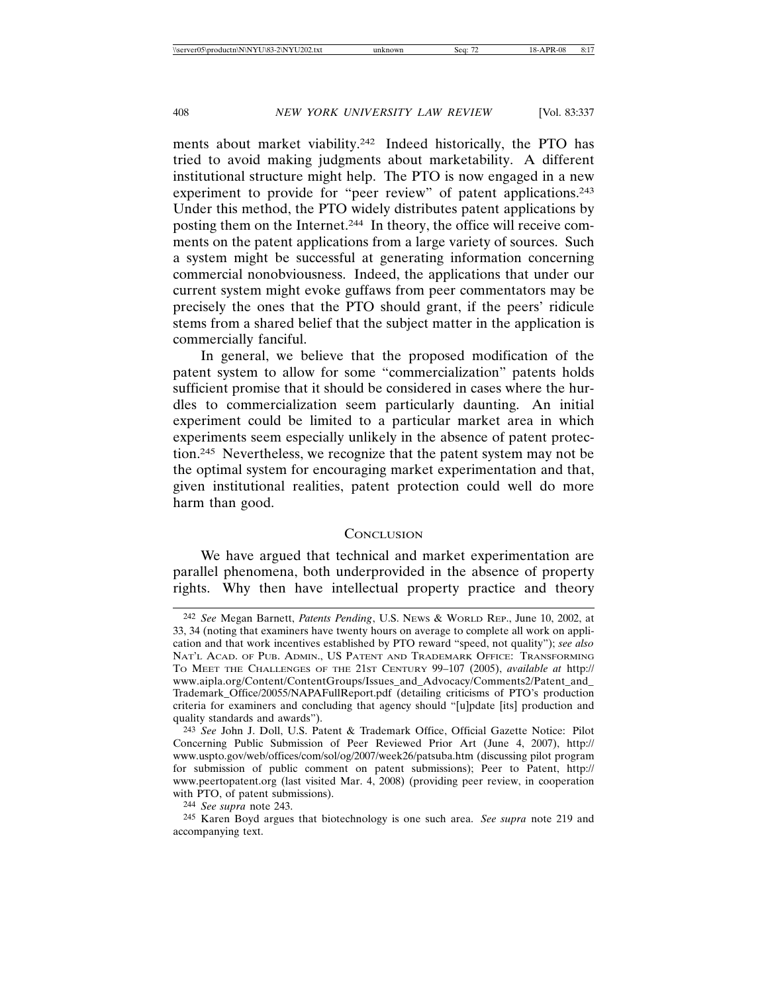ments about market viability.242 Indeed historically, the PTO has tried to avoid making judgments about marketability. A different institutional structure might help. The PTO is now engaged in a new experiment to provide for "peer review" of patent applications.<sup>243</sup> Under this method, the PTO widely distributes patent applications by posting them on the Internet.244 In theory, the office will receive comments on the patent applications from a large variety of sources. Such a system might be successful at generating information concerning commercial nonobviousness. Indeed, the applications that under our current system might evoke guffaws from peer commentators may be precisely the ones that the PTO should grant, if the peers' ridicule stems from a shared belief that the subject matter in the application is commercially fanciful.

In general, we believe that the proposed modification of the patent system to allow for some "commercialization" patents holds sufficient promise that it should be considered in cases where the hurdles to commercialization seem particularly daunting. An initial experiment could be limited to a particular market area in which experiments seem especially unlikely in the absence of patent protection.245 Nevertheless, we recognize that the patent system may not be the optimal system for encouraging market experimentation and that, given institutional realities, patent protection could well do more harm than good.

## **CONCLUSION**

We have argued that technical and market experimentation are parallel phenomena, both underprovided in the absence of property rights. Why then have intellectual property practice and theory

<sup>242</sup> *See* Megan Barnett, *Patents Pending*, U.S. NEWS & WORLD REP., June 10, 2002, at 33, 34 (noting that examiners have twenty hours on average to complete all work on application and that work incentives established by PTO reward "speed, not quality"); *see also* NAT'L ACAD. OF PUB. ADMIN., US PATENT AND TRADEMARK OFFICE: TRANSFORMING TO MEET THE CHALLENGES OF THE 21ST CENTURY 99–107 (2005), *available at* http:// www.aipla.org/Content/ContentGroups/Issues\_and\_Advocacy/Comments2/Patent\_and\_ Trademark\_Office/20055/NAPAFullReport.pdf (detailing criticisms of PTO's production criteria for examiners and concluding that agency should "[u]pdate [its] production and quality standards and awards").

<sup>243</sup> *See* John J. Doll, U.S. Patent & Trademark Office, Official Gazette Notice: Pilot Concerning Public Submission of Peer Reviewed Prior Art (June 4, 2007), http:// www.uspto.gov/web/offices/com/sol/og/2007/week26/patsuba.htm (discussing pilot program for submission of public comment on patent submissions); Peer to Patent, http:// www.peertopatent.org (last visited Mar. 4, 2008) (providing peer review, in cooperation with PTO, of patent submissions).

<sup>244</sup> *See supra* note 243.

<sup>245</sup> Karen Boyd argues that biotechnology is one such area. *See supra* note 219 and accompanying text.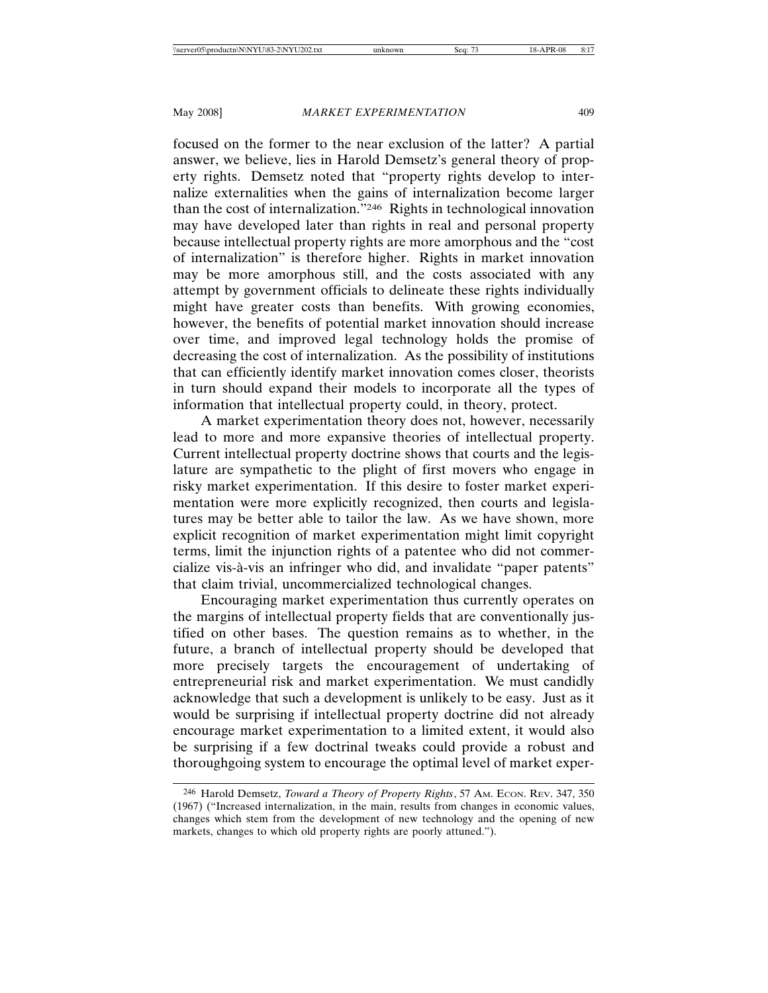## May 2008] *MARKET EXPERIMENTATION* 409

focused on the former to the near exclusion of the latter? A partial answer, we believe, lies in Harold Demsetz's general theory of property rights. Demsetz noted that "property rights develop to internalize externalities when the gains of internalization become larger than the cost of internalization."246 Rights in technological innovation may have developed later than rights in real and personal property because intellectual property rights are more amorphous and the "cost of internalization" is therefore higher. Rights in market innovation may be more amorphous still, and the costs associated with any attempt by government officials to delineate these rights individually might have greater costs than benefits. With growing economies, however, the benefits of potential market innovation should increase over time, and improved legal technology holds the promise of decreasing the cost of internalization. As the possibility of institutions that can efficiently identify market innovation comes closer, theorists in turn should expand their models to incorporate all the types of information that intellectual property could, in theory, protect.

A market experimentation theory does not, however, necessarily lead to more and more expansive theories of intellectual property. Current intellectual property doctrine shows that courts and the legislature are sympathetic to the plight of first movers who engage in risky market experimentation. If this desire to foster market experimentation were more explicitly recognized, then courts and legislatures may be better able to tailor the law. As we have shown, more explicit recognition of market experimentation might limit copyright terms, limit the injunction rights of a patentee who did not commercialize vis-à-vis an infringer who did, and invalidate "paper patents" that claim trivial, uncommercialized technological changes.

Encouraging market experimentation thus currently operates on the margins of intellectual property fields that are conventionally justified on other bases. The question remains as to whether, in the future, a branch of intellectual property should be developed that more precisely targets the encouragement of undertaking of entrepreneurial risk and market experimentation. We must candidly acknowledge that such a development is unlikely to be easy. Just as it would be surprising if intellectual property doctrine did not already encourage market experimentation to a limited extent, it would also be surprising if a few doctrinal tweaks could provide a robust and thoroughgoing system to encourage the optimal level of market exper-

<sup>246</sup> Harold Demsetz, *Toward a Theory of Property Rights*, 57 AM. ECON. REV. 347, 350 (1967) ("Increased internalization, in the main, results from changes in economic values, changes which stem from the development of new technology and the opening of new markets, changes to which old property rights are poorly attuned.").